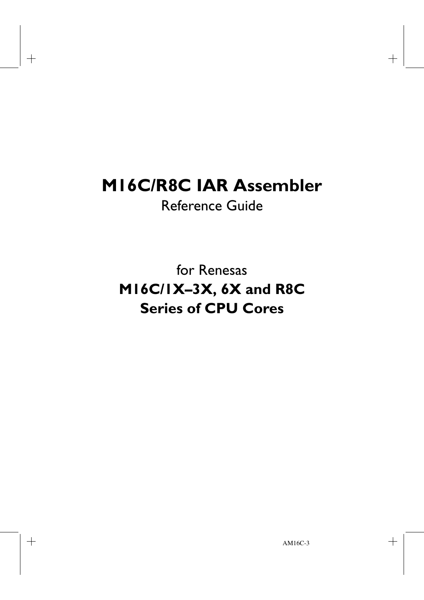# **M16C/R8C IAR Assembler**

# Reference Guide

for Renesas **M16C/1X–3X, 6X and R8C Series of CPU Cores**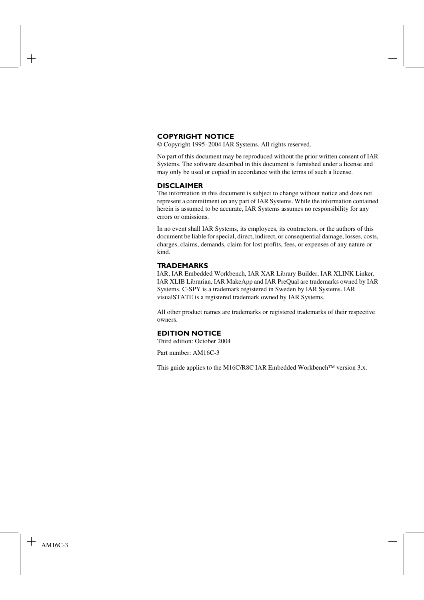### **COPYRIGHT NOTICE**

© Copyright 1995–2004 IAR Systems. All rights reserved.

No part of this document may be reproduced without the prior written consent of IAR Systems. The software described in this document is furnished under a license and may only be used or copied in accordance with the terms of such a license.

### **DISCLAIMER**

The information in this document is subject to change without notice and does not represent a commitment on any part of IAR Systems. While the information contained herein is assumed to be accurate, IAR Systems assumes no responsibility for any errors or omissions.

In no event shall IAR Systems, its employees, its contractors, or the authors of this document be liable for special, direct, indirect, or consequential damage, losses, costs, charges, claims, demands, claim for lost profits, fees, or expenses of any nature or kind.

### **TRADEMARKS**

IAR, IAR Embedded Workbench, IAR XAR Library Builder, IAR XLINK Linker, IAR XLIB Librarian, IAR MakeApp and IAR PreQual are trademarks owned by IAR Systems. C-SPY is a trademark registered in Sweden by IAR Systems. IAR visualSTATE is a registered trademark owned by IAR Systems.

All other product names are trademarks or registered trademarks of their respective owners.

### **EDITION NOTICE**

Third edition: October 2004

Part number: AM16C-3

This guide applies to the M16C/R8C IAR Embedded Workbench™ version 3.x.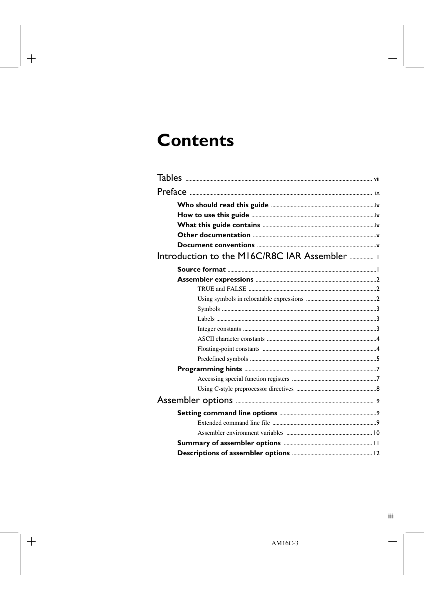# **Contents**

| Introduction to the M16C/R8C IAR Assembler  I |  |
|-----------------------------------------------|--|
|                                               |  |
|                                               |  |
|                                               |  |
|                                               |  |
|                                               |  |
|                                               |  |
|                                               |  |
|                                               |  |
|                                               |  |
|                                               |  |
|                                               |  |
|                                               |  |
|                                               |  |
|                                               |  |
|                                               |  |
|                                               |  |
|                                               |  |
|                                               |  |
|                                               |  |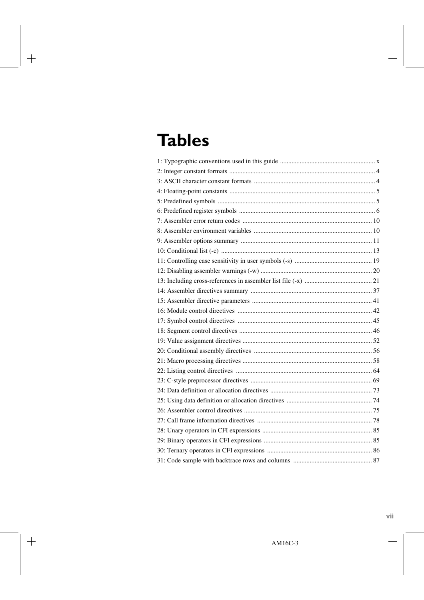# <span id="page-6-0"></span>**Tables**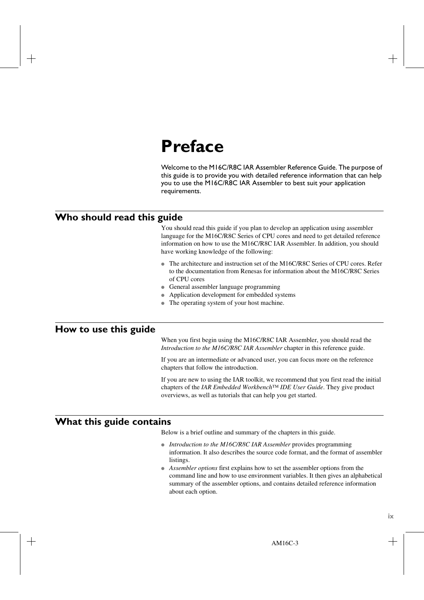# <span id="page-8-0"></span>**Preface**

Welcome to the M16C/R8C IAR Assembler Reference Guide. The purpose of this guide is to provide you with detailed reference information that can help you to use the M16C/R8C IAR Assembler to best suit your application requirements.

# <span id="page-8-1"></span>**Who should read this guide**

You should read this guide if you plan to develop an application using assembler language for the M16C/R8C Series of CPU cores and need to get detailed reference information on how to use the M16C/R8C IAR Assembler. In addition, you should have working knowledge of the following:

- The architecture and instruction set of the M16C/R8C Series of CPU cores. Refer to the documentation from Renesas for information about the M16C/R8C Series of CPU cores
- General assembler language programming
- Application development for embedded systems
- The operating system of your host machine.

### <span id="page-8-2"></span>**How to use this guide**

When you first begin using the M16C/R8C IAR Assembler, you should read the *[Introduction to the M16C/R8C IAR Assembler](#page-12-2)* chapter in this reference guide.

If you are an intermediate or advanced user, you can focus more on the reference chapters that follow the introduction.

If you are new to using the IAR toolkit, we recommend that you first read the initial chapters of the *IAR Embedded Workbench™ IDE User Guide*. They give product overviews, as well as tutorials that can help you get started.

# <span id="page-8-3"></span>**What this guide contains**

Below is a brief outline and summary of the chapters in this guide.

- *[Introduction to the M16C/R8C IAR Assembler](#page-12-2)* provides programming information. It also describes the source code format, and the format of assembler listings.
- *[Assembler options](#page-20-3)* first explains how to set the assembler options from the command line and how to use environment variables. It then gives an alphabetical summary of the assembler options, and contains detailed reference information about each option.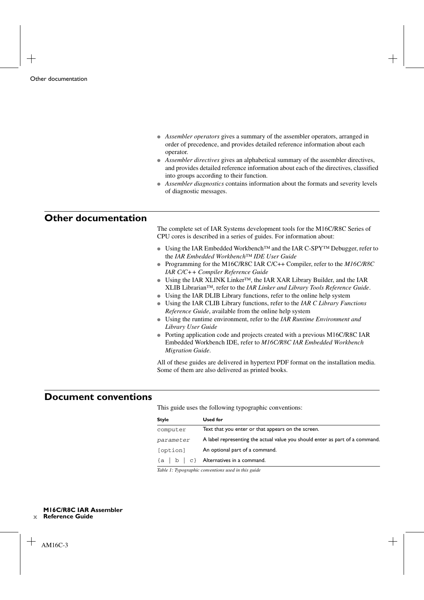- *[Assembler operators](#page-34-4)* gives a summary of the assembler operators, arranged in order of precedence, and provides detailed reference information about each operator.
- *[Assembler directives](#page-48-3)* gives an alphabetical summary of the assembler directives, and provides detailed reference information about each of the directives, classified into groups according to their function.
- *[Assembler diagnostics](#page-100-7)* contains information about the formats and severity levels of diagnostic messages.

### <span id="page-9-0"></span>**Other documentation**

The complete set of IAR Systems development tools for the M16C/R8C Series of CPU cores is described in a series of guides. For information about:

- Using the IAR Embedded Workbench™ and the IAR C-SPY™ Debugger, refer to the *IAR Embedded Workbench™ IDE User Guide*
- Programming for the M16C/R8C IAR C/C++ Compiler, refer to the *M16C/R8C IAR C/C++ Compiler Reference Guide*
- Using the IAR XLINK Linker™, the IAR XAR Library Builder, and the IAR XLIB Librarian™, refer to the *IAR Linker and Library Tools Reference Guide*.
- Using the IAR DLIB Library functions, refer to the online help system
- Using the IAR CLIB Library functions, refer to the *IAR C Library Functions Reference Guide*, available from the online help system
- Using the runtime environment, refer to the *IAR Runtime Environment and Library User Guide*
- Porting application code and projects created with a previous M16C/R8C IAR Embedded Workbench IDE, refer to *M16C/R8C IAR Embedded Workbench Migration Guide*.

All of these guides are delivered in hypertext PDF format on the installation media. Some of them are also delivered as printed books.

### <span id="page-9-1"></span>**Document conventions**

This guide uses the following typographic conventions:

| Style     | Used for                                                                     |
|-----------|------------------------------------------------------------------------------|
| computer  | Text that you enter or that appears on the screen.                           |
| parameter | A label representing the actual value you should enter as part of a command. |
| [option]  | An optional part of a command.                                               |
|           | $\{a \mid b \mid c\}$ Alternatives in a command.                             |
|           | $\cdots$<br>.                                                                |

<span id="page-9-2"></span>*Table 1: Typographic conventions used in this guide*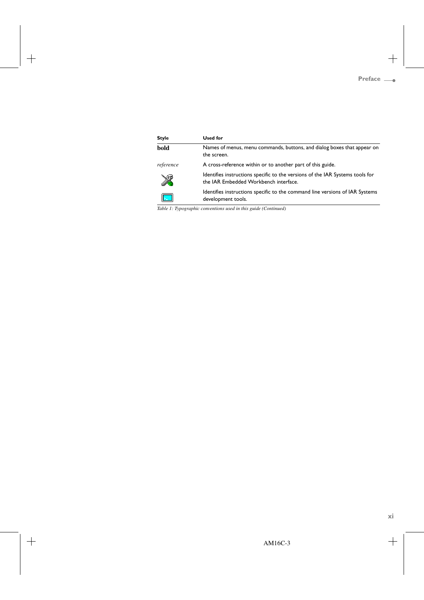| <b>Style</b> | <b>Used for</b>                                                                                                        |
|--------------|------------------------------------------------------------------------------------------------------------------------|
| bold         | Names of menus, menu commands, buttons, and dialog boxes that appear on<br>the screen.                                 |
| reference    | A cross-reference within or to another part of this guide.                                                             |
| X            | Identifies instructions specific to the versions of the IAR Systems tools for<br>the IAR Embedded Workbench interface. |
|              | Identifies instructions specific to the command line versions of IAR Systems<br>development tools.                     |

*Table 1: Typographic conventions used in this guide (Continued)*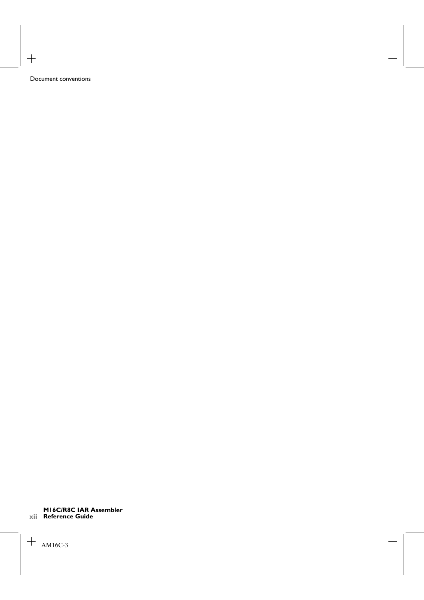Document conventions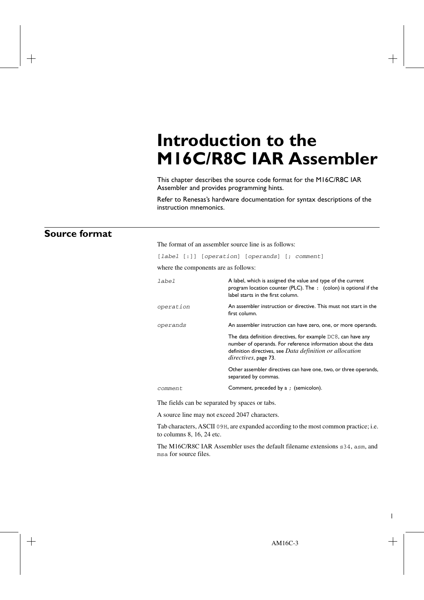# <span id="page-12-2"></span><span id="page-12-0"></span>**Introduction to the M16C/R8C IAR Assembler**

This chapter describes the source code format for the M16C/R8C IAR Assembler and provides programming hints.

Refer to Renesas's hardware documentation for syntax descriptions of the instruction mnemonics.

# <span id="page-12-1"></span>**Source format**

The format of an assembler source line is as follows:

[*label* [:]] [*operation*] [*operands*] [; *comment*]

where the components are as follows:

| label     | A label, which is assigned the value and type of the current<br>program location counter (PLC). The : (colon) is optional if the<br>label starts in the first column.                                                |
|-----------|----------------------------------------------------------------------------------------------------------------------------------------------------------------------------------------------------------------------|
| operation | An assembler instruction or directive. This must not start in the<br>first column.                                                                                                                                   |
| operands  | An assembler instruction can have zero, one, or more operands.                                                                                                                                                       |
|           | The data definition directives, for example $DC8$ , can have any<br>number of operands. For reference information about the data<br>definition directives, see Data definition or allocation<br>directives, page 73. |
|           | Other assembler directives can have one, two, or three operands,<br>separated by commas.                                                                                                                             |
| comment   | Comment, preceded by a; (semicolon).                                                                                                                                                                                 |

The fields can be separated by spaces or tabs.

A source line may not exceed 2047 characters.

Tab characters, ASCII 09H, are expanded according to the most common practice; i.e. to columns 8, 16, 24 etc.

The M16C/R8C IAR Assembler uses the default filename extensions s34, asm, and msa for source files.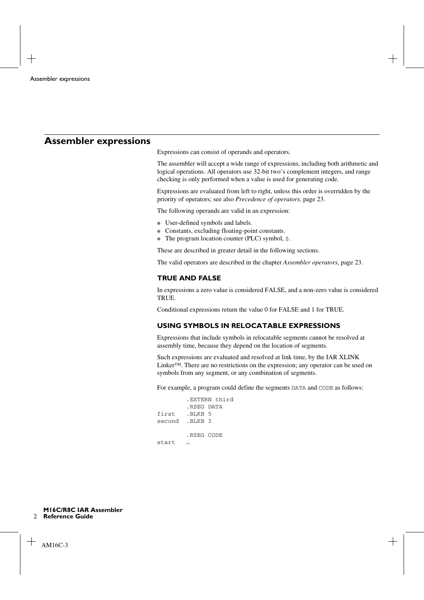# <span id="page-13-0"></span>**Assembler expressions**

Expressions can consist of operands and operators.

The assembler will accept a wide range of expressions, including both arithmetic and logical operations. All operators use 32-bit two's complement integers, and range checking is only performed when a value is used for generating code.

Expressions are evaluated from left to right, unless this order is overridden by the priority of operators; see also *[Precedence of operators](#page-34-5)*, page 23.

The following operands are valid in an expression:

- User-defined symbols and labels.
- Constants, excluding floating-point constants.
- The program location counter (PLC) symbol,  $\zeta$ .

These are described in greater detail in the following sections.

The valid operators are described in the chapter *[Assembler operators](#page-34-4)*, page 23.

### <span id="page-13-1"></span>**TRUE AND FALSE**

In expressions a zero value is considered FALSE, and a non-zero value is considered TRUE.

Conditional expressions return the value 0 for FALSE and 1 for TRUE.

### <span id="page-13-2"></span>**USING SYMBOLS IN RELOCATABLE EXPRESSIONS**

Expressions that include symbols in relocatable segments cannot be resolved at assembly time, because they depend on the location of segments.

Such expressions are evaluated and resolved at link time, by the IAR XLINK  $\text{Linker}^{\text{TM}}$ . There are no restrictions on the expression; any operator can be used on symbols from any segment, or any combination of segments.

For example, a program could define the segments DATA and CODE as follows:

```
 .EXTERN third
        .RSEG DATA
first .BLKB 5
second .BLKB 3
        .RSEG CODE
start …
```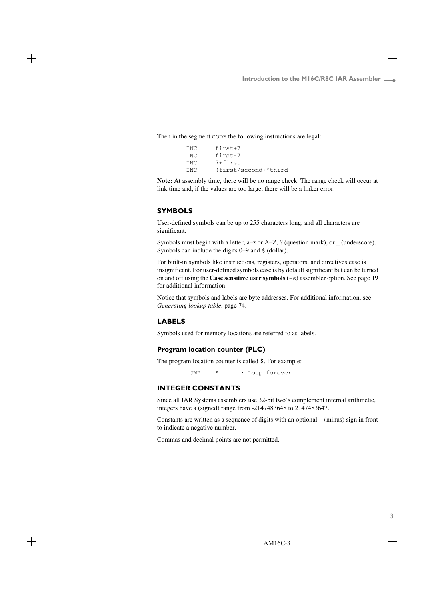Then in the segment CODE the following instructions are legal:

```
 INC first+7
 INC first-7
 INC 7+first
 INC (first/second)*third
```
**Note:** At assembly time, there will be no range check. The range check will occur at link time and, if the values are too large, there will be a linker error.

### <span id="page-14-0"></span>**SYMBOLS**

User-defined symbols can be up to 255 characters long, and all characters are significant.

Symbols must begin with a letter,  $a-z$  or  $A-Z$ , ? (question mark), or  $\overline{\phantom{a}}$  (underscore). Symbols can include the digits  $0-9$  and  $\frac{1}{5}$  (dollar).

For built-in symbols like instructions, registers, operators, and directives case is insignificant. For user-defined symbols case is by default significant but can be turned on and off using the **Case sensitive user symbols** (-s) assembler option. See [page 19](#page-30-1)  for additional information.

Notice that symbols and labels are byte addresses. For additional information, see *[Generating lookup table](#page-85-4)*, page 74.

### <span id="page-14-1"></span>**LABELS**

Symbols used for memory locations are referred to as labels.

### **Program location counter (PLC)**

The program location counter is called **\$**. For example:

JMP  $$$  ; Loop forever

### <span id="page-14-2"></span>**INTEGER CONSTANTS**

Since all IAR Systems assemblers use 32-bit two's complement internal arithmetic, integers have a (signed) range from -2147483648 to 2147483647.

Constants are written as a sequence of digits with an optional - (minus) sign in front to indicate a negative number.

Commas and decimal points are not permitted.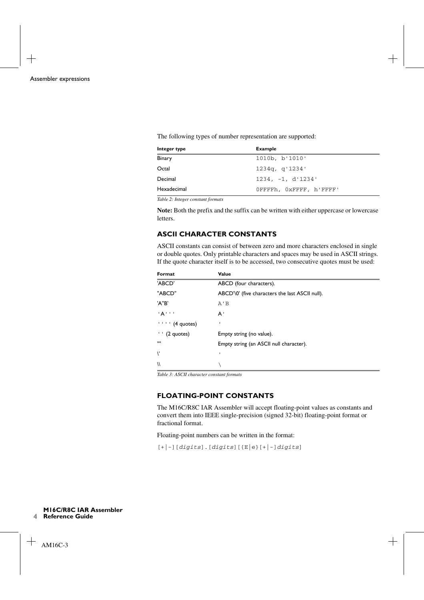The following types of number representation are supported:

| Integer type | <b>Example</b>          |
|--------------|-------------------------|
| Binary       | 1010b, b'1010'          |
| Octal        | 1234q, q'1234'          |
| Decimal      | $1234, -1, d'1234'$     |
| Hexadecimal  | OFFFFh, OXFFFF, h'FFFF' |

<span id="page-15-2"></span>*Table 2: Integer constant formats* 

**Note:** Both the prefix and the suffix can be written with either uppercase or lowercase letters.

### <span id="page-15-0"></span>**ASCII CHARACTER CONSTANTS**

ASCII constants can consist of between zero and more characters enclosed in single or double quotes. Only printable characters and spaces may be used in ASCII strings. If the quote character itself is to be accessed, two consecutive quotes must be used:

| Format             | Value                                           |
|--------------------|-------------------------------------------------|
| 'ABCD'             | ABCD (four characters).                         |
| "ABCD"             | ABCD'\0' (five characters the last ASCII null). |
| 'A"B'              | A'B                                             |
| $A + 1$            | A'                                              |
| $'''''$ (4 quotes) | п                                               |
| $\cdot$ (2 quotes) | Empty string (no value).                        |
| $\cdots$           | Empty string (an ASCII null character).         |
| V.                 | I.                                              |
| $\sqrt{ }$         |                                                 |

<span id="page-15-3"></span>*Table 3: ASCII character constant formats* 

### <span id="page-15-1"></span>**FLOATING-POINT CONSTANTS**

The M16C/R8C IAR Assembler will accept floating-point values as constants and convert them into IEEE single-precision (signed 32-bit) floating-point format or fractional format.

Floating-point numbers can be written in the format:

[+|-][*digits*].[*digits*][{E|e}[+|-]*digits*]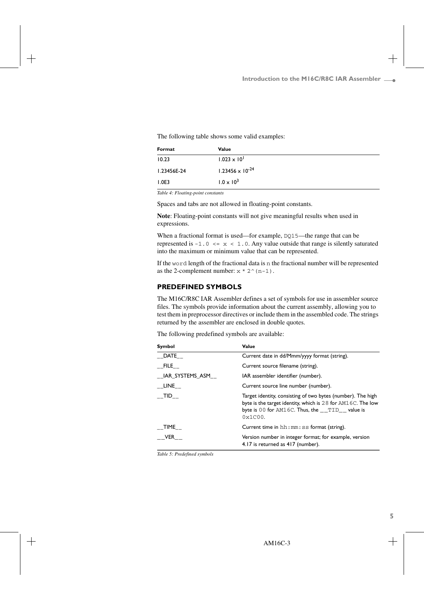| Format      | Value                     |
|-------------|---------------------------|
| 10.23       | $1.023 \times 10^{1}$     |
| l.23456E-24 | $1.23456 \times 10^{-24}$ |
| 1.0E3       | $1.0 \times 10^{3}$       |

The following table shows some valid examples:

<span id="page-16-1"></span>*Table 4: Floating-point constants* 

Spaces and tabs are not allowed in floating-point constants.

**Note**: Floating-point constants will not give meaningful results when used in expressions.

When a fractional format is used—for example, DQ15—the range that can be represented is  $-1.0 \le x \le 1.0$ . Any value outside that range is silently saturated into the maximum or minimum value that can be represented.

If the word length of the fractional data is n the fractional number will be represented as the 2-complement number:  $x * 2^(n-1)$ .

### <span id="page-16-3"></span><span id="page-16-0"></span>**PREDEFINED SYMBOLS**

The M16C/R8C IAR Assembler defines a set of symbols for use in assembler source files. The symbols provide information about the current assembly, allowing you to test them in preprocessor directives or include them in the assembled code. The strings returned by the assembler are enclosed in double quotes.

The following predefined symbols are available:

| Symbol          | Value                                                                                                                                                                                         |
|-----------------|-----------------------------------------------------------------------------------------------------------------------------------------------------------------------------------------------|
| <b>DATE</b>     | Current date in dd/Mmm/yyyy format (string).                                                                                                                                                  |
| <b>FILE</b>     | Current source filename (string).                                                                                                                                                             |
| IAR SYSTEMS ASM | IAR assembler identifier (number).                                                                                                                                                            |
| LINE            | Current source line number (number).                                                                                                                                                          |
| TID             | Target identity, consisting of two bytes (number). The high<br>byte is the target identity, which is 28 for AM16C. The low<br>byte is $00$ for $AM16C$ . Thus, the $_TID$ value is<br>0x1C00. |
| <b>TIME</b>     | Current time in $hh:mm:ss$ format (string).                                                                                                                                                   |
| <b>VER</b>      | Version number in integer format; for example, version<br>4.17 is returned as 417 (number).                                                                                                   |

<span id="page-16-2"></span>*Table 5: Predefined symbols*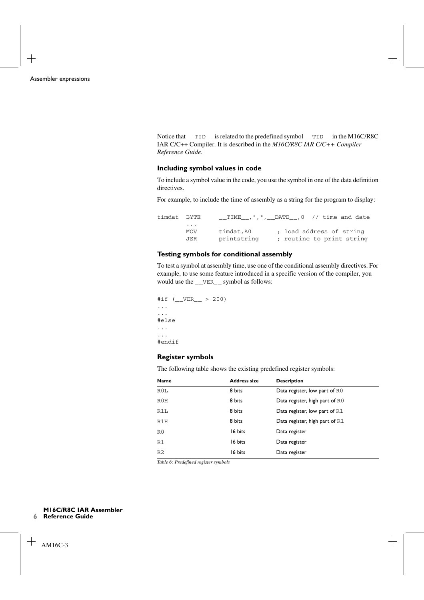Notice that  $_{\text{TID}}$  is related to the predefined symbol  $_{\text{TID}}$  in the M16C/R8C IAR C/C++ Compiler. It is described in the *M16C/R8C IAR C/C++ Compiler Reference Guide*.

### **Including symbol values in code**

To include a symbol value in the code, you use the symbol in one of the data definition directives.

For example, to include the time of assembly as a string for the program to display:

| timdat BYTE |                        |             | $T$ IME $\ldots$ , ", ", $DATE \ldots$ , 0 // time and date |
|-------------|------------------------|-------------|-------------------------------------------------------------|
|             | $\cdots$<br><b>MOV</b> | timdat, A0  | ; load address of string                                    |
|             | JSR                    | printstring | ; routine to print string                                   |

### **Testing symbols for conditional assembly**

To test a symbol at assembly time, use one of the conditional assembly directives. For example, to use some feature introduced in a specific version of the compiler, you would use the \_\_VER\_\_ symbol as follows:

```
#if ( VER  > 200)...
...
#else
...
...
#endif
```
### **Register symbols**

The following table shows the existing predefined register symbols:

| <b>Name</b>    | <b>Address size</b> | <b>Description</b>               |
|----------------|---------------------|----------------------------------|
| R0L            | 8 bits              | Data register, low part of $R0$  |
| R0H            | 8 bits              | Data register, high part of $R0$ |
| R1L            | 8 bits              | Data register, low part of R1    |
| R1H            | 8 bits              | Data register, high part of $R1$ |
| R <sub>0</sub> | 16 bits             | Data register                    |
| R1             | 16 bits             | Data register                    |
| R <sub>2</sub> | 16 bits             | Data register                    |

<span id="page-17-0"></span>*Table 6: Predefined register symbols*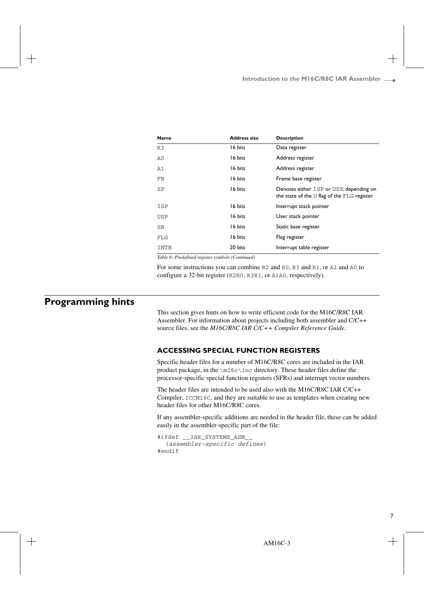| <b>Name</b>    | <b>Address size</b> | <b>Description</b>                                                                     |
|----------------|---------------------|----------------------------------------------------------------------------------------|
| R <sub>3</sub> | 16 bits             | Data register                                                                          |
| A0             | 16 bits             | Address register                                                                       |
| A1             | 16 bits             | Address register                                                                       |
| FB             | 16 bits             | Frame base register                                                                    |
| SP             | 16 bits             | Denotes either ISP or USP, depending on<br>the state of the U flag of the FLG register |
| ISP            | 16 bits             | Interrupt stack pointer                                                                |
| USP            | 16 bits             | User stack pointer                                                                     |
| SB             | 16 bits             | Static base register                                                                   |
| FLG            | 16 bits             | Flag register                                                                          |
| INTB           | 20 bits             | Interrupt table register                                                               |

*Table 6: Predefined register symbols (Continued)*

For some instructions you can combine R2 and R0, R3 and R1, or A1 and A0 to configure a 32-bit register (R2R0, R3R1, or A1A0, respectively).

# <span id="page-18-0"></span>**Programming hints**

This section gives hints on how to write efficient code for the M16C/R8C IAR Assembler. For information about projects including both assembler and C/C++ source files, see the *M16C/R8C IAR C/C++ Compiler Reference Guide*.

### <span id="page-18-1"></span>**ACCESSING SPECIAL FUNCTION REGISTERS**

Specific header files for a number of M16C/R8C cores are included in the IAR product package, in the \m16c\inc directory. These header files define the processor-specific special function registers (SFRs) and interrupt vector numbers.

The header files are intended to be used also with the M16C/R8C IAR C/C++ Compiler, ICCM16C, and they are suitable to use as templates when creating new header files for other M16C/R8C cores.

If any assembler-specific additions are needed in the header file, these can be added easily in the assembler-specific part of the file:

```
#ifdef __IAR_SYSTEMS_ASM__
  (assembler-specific defines)
#endif
```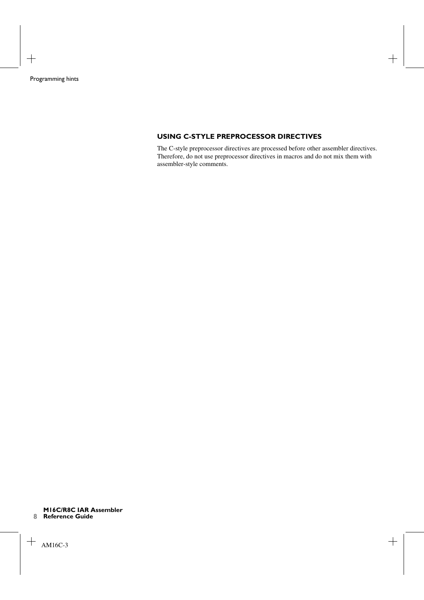### <span id="page-19-0"></span>**USING C-STYLE PREPROCESSOR DIRECTIVES**

The C-style preprocessor directives are processed before other assembler directives. Therefore, do not use preprocessor directives in macros and do not mix them with assembler-style comments.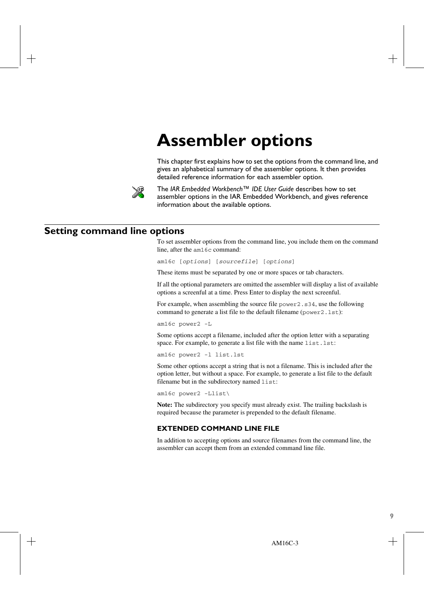# <span id="page-20-3"></span><span id="page-20-0"></span>**Assembler options**

This chapter first explains how to set the options from the command line, and gives an alphabetical summary of the assembler options. It then provides detailed reference information for each assembler option.



The *IAR Embedded Workbench™ IDE User Guide* describes how to set assembler options in the IAR Embedded Workbench, and gives reference information about the available options.

# <span id="page-20-1"></span>**Setting command line options**

To set assembler options from the command line, you include them on the command line, after the am16c command:

am16c [*options*] [*sourcefile*] [*options*]

These items must be separated by one or more spaces or tab characters.

If all the optional parameters are omitted the assembler will display a list of available options a screenful at a time. Press Enter to display the next screenful.

For example, when assembling the source file power 2. s34, use the following command to generate a list file to the default filename (power2.lst):

am16c power2 -L

Some options accept a filename, included after the option letter with a separating space. For example, to generate a list file with the name list.lst:

am16c power2 -l list.lst

Some other options accept a string that is not a filename. This is included after the option letter, but without a space. For example, to generate a list file to the default filename but in the subdirectory named list:

am16c power2 -Llist\

**Note:** The subdirectory you specify must already exist. The trailing backslash is required because the parameter is prepended to the default filename.

### <span id="page-20-2"></span>**EXTENDED COMMAND LINE FILE**

In addition to accepting options and source filenames from the command line, the assembler can accept them from an extended command line file.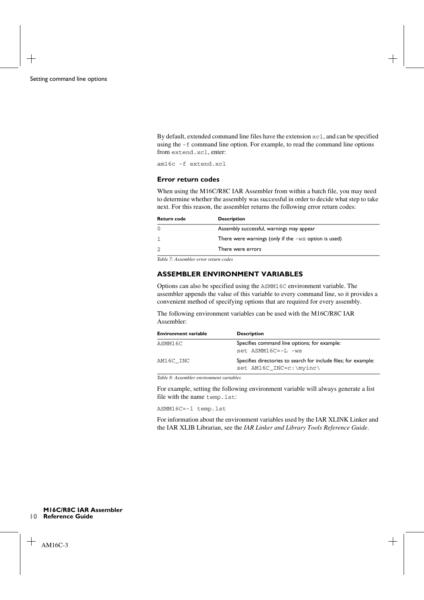By default, extended command line files have the extension  $xcl$ , and can be specified using the -f command line option. For example, to read the command line options from extend.xcl, enter:

am16c -f extend.xcl

### **Error return codes**

When using the M16C/R8C IAR Assembler from within a batch file, you may need to determine whether the assembly was successful in order to decide what step to take next. For this reason, the assembler returns the following error return codes:

| Return code | <b>Description</b>                                     |
|-------------|--------------------------------------------------------|
| $\Omega$    | Assembly successful, warnings may appear               |
|             | There were warnings (only if the $-ws$ option is used) |
| 2           | There were errors                                      |

<span id="page-21-1"></span>*Table 7: Assembler error return codes* 

### <span id="page-21-0"></span>**ASSEMBLER ENVIRONMENT VARIABLES**

Options can also be specified using the ASMM16C environment variable. The assembler appends the value of this variable to every command line, so it provides a convenient method of specifying options that are required for every assembly.

The following environment variables can be used with the M16C/R8C IAR Assembler:

| <b>Environment variable</b> | <b>Description</b>                                                                         |
|-----------------------------|--------------------------------------------------------------------------------------------|
| ASMM16C                     | Specifies command line options; for example:<br>set ASMM16C=-L -ws                         |
| AM16C INC                   | Specifies directories to search for include files; for example:<br>set AM16C_INC=c:\myinc\ |

<span id="page-21-2"></span>*Table 8: Assembler environment variables* 

For example, setting the following environment variable will always generate a list file with the name temp.lst:

ASMM16C=-l temp.lst

For information about the environment variables used by the IAR XLINK Linker and the IAR XLIB Librarian, see the *IAR Linker and Library Tools Reference Guide*.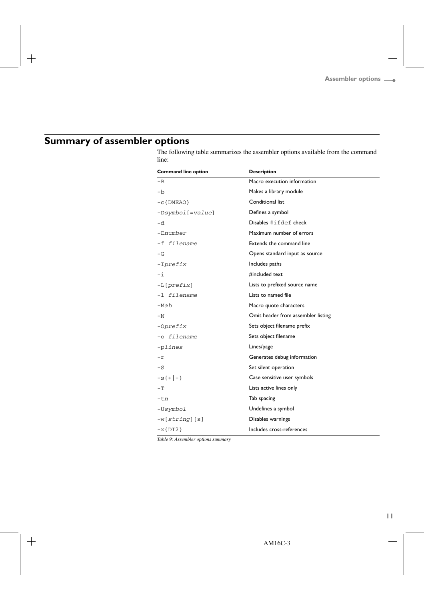# <span id="page-22-0"></span>**Summary of assembler options**

The following table summarizes the assembler options available from the command line:

| <b>Command line option</b> | <b>Description</b>                 |
|----------------------------|------------------------------------|
| $-B$                       | Macro execution information        |
| -b                         | Makes a library module             |
| $-c$ {DMEAO}               | Conditional list                   |
| $-Dsymbol[=value]$         | Defines a symbol                   |
| -d                         | Disables #ifdef check              |
| -Enumber                   | Maximum number of errors           |
| -f filename                | Extends the command line           |
| -G                         | Opens standard input as source     |
| $-Iprefix$                 | Includes paths                     |
| $-i$                       | #included text                     |
| $-L[prefix]$               | Lists to prefixed source name      |
| $-1$ filename              | Lists to named file                |
| -Mab                       | Macro quote characters             |
| $-N$                       | Omit header from assembler listing |
| $-Oprefix$                 | Sets object filename prefix        |
| -o filename                | Sets object filename               |
| $-plines$                  | Lines/page                         |
| $-r$                       | Generates debug information        |
| $-S$                       | Set silent operation               |
| $-S^{-}$ { +   - }         | Case sensitive user symbols        |
| –ጥ                         | Lists active lines only            |
| $-tn$                      | Tab spacing                        |
| -Usymbol                   | Undefines a symbol                 |
| $-w[string][s]$            | Disables warnings                  |
| $-x{DI2}$                  | Includes cross-references          |

<span id="page-22-1"></span>*Table 9: Assembler options summary*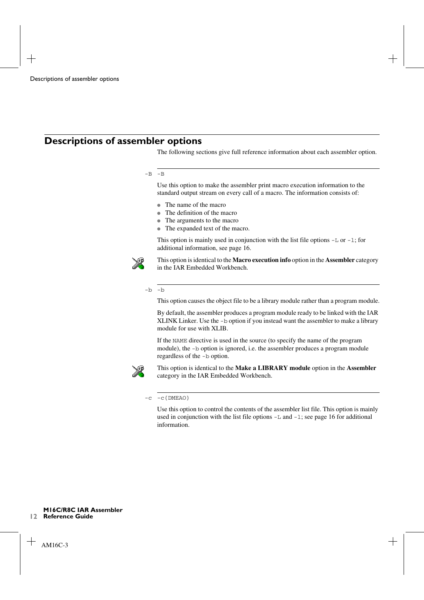# <span id="page-23-0"></span>**Descriptions of assembler options**

The following sections give full reference information about each assembler option.

 $-D$   $-D$ 

Use this option to make the assembler print macro execution information to the standard output stream on every call of a macro. The information consists of:

- The name of the macro
- The definition of the macro
- The arguments to the macro
- The expanded text of the macro.

This option is mainly used in conjunction with the list file options  $-L$  or  $-1$ ; for additional information, see [page 16](#page-27-0).



This option is identical to the **Macro execution info** option in the **Assembler** category in the IAR Embedded Workbench.

 $-b - b$ 

This option causes the object file to be a library module rather than a program module.

By default, the assembler produces a program module ready to be linked with the IAR XLINK Linker. Use the -b option if you instead want the assembler to make a library module for use with XLIB.

If the NAME directive is used in the source (to specify the name of the program module), the -b option is ignored, i.e. the assembler produces a program module regardless of the -b option.



This option is identical to the **Make a LIBRARY module** option in the **Assembler** category in the IAR Embedded Workbench.

 $-c -c$ {DMEAO}

Use this option to control the contents of the assembler list file. This option is mainly used in conjunction with the list file options  $-L$  and  $-1$ ; see [page 16](#page-27-0) for additional information.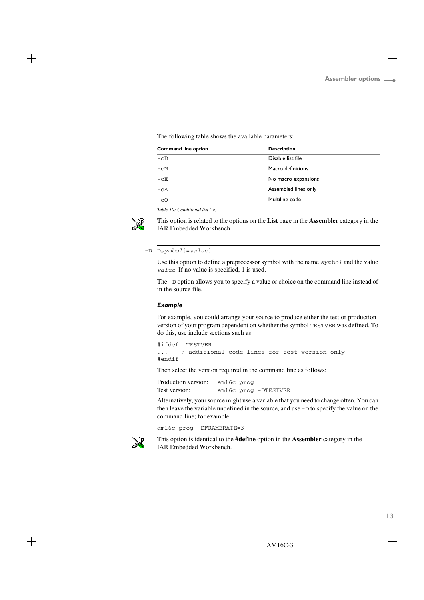| <b>Command line option</b> | <b>Description</b>   |
|----------------------------|----------------------|
| $-cD$                      | Disable list file    |
| $-cM$                      | Macro definitions    |
| $-cE$                      | No macro expansions  |
| $-cA$                      | Assembled lines only |
| $-cO$                      | Multiline code       |

The following table shows the available parameters:

<span id="page-24-0"></span>*Table 10: Conditional list (-c)* 



This option is related to the options on the **List** page in the **Assembler** category in the IAR Embedded Workbench.

#### -D D*symbol*[=*value*]

Use this option to define a preprocessor symbol with the name *symbol* and the value *value*. If no value is specified, 1 is used.

The -D option allows you to specify a value or choice on the command line instead of in the source file.

#### *Example*

For example, you could arrange your source to produce either the test or production version of your program dependent on whether the symbol TESTVER was defined. To do this, use include sections such as:

```
#ifdef TESTVER
... ; additional code lines for test version only
#endif
```
Then select the version required in the command line as follows:

Production version: am16c prog Test version: am16c prog -DTESTVER

Alternatively, your source might use a variable that you need to change often. You can then leave the variable undefined in the source, and use -D to specify the value on the command line; for example:

```
am16c prog -DFRAMERATE=3
```


This option is identical to the **#define** option in the **Assembler** category in the IAR Embedded Workbench.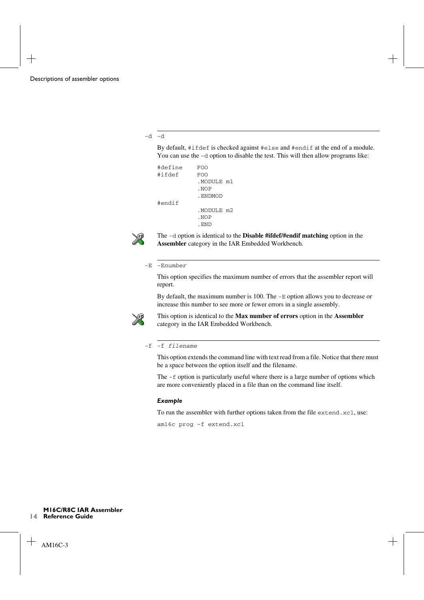$-4 - 6$ 

By default, #ifdef is checked against #else and #endif at the end of a module. You can use the  $-d$  option to disable the test. This will then allow programs like:

```
#define FOO
#ifdef FOO
            .MODULE m1
            .NOP
            .ENDMOD
#endif
            .MODULE m2
            .NOP
            .END
```


The -d option is identical to the **Disable #ifdef/#endif matching** option in the **Assembler** category in the IAR Embedded Workbench.

-E -E*number*

This option specifies the maximum number of errors that the assembler report will report.

By default, the maximum number is 100. The  $-E$  option allows you to decrease or increase this number to see more or fewer errors in a single assembly.



This option is identical to the **Max number of errors** option in the **Assembler** category in the IAR Embedded Workbench.

-f -f *filename*

This option extends the command line with text read from a file. Notice that there must be a space between the option itself and the filename.

The -f option is particularly useful where there is a large number of options which are more conveniently placed in a file than on the command line itself.

### *Example*

To run the assembler with further options taken from the file  $ext{extend}$ . $\tt xcl$ , use:

am16c prog -f extend.xcl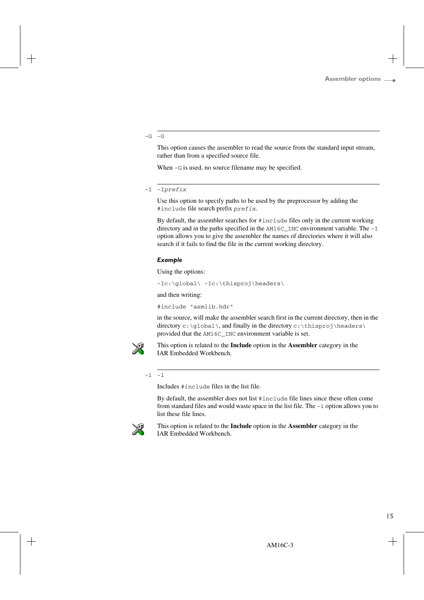$-C - G$ 

This option causes the assembler to read the source from the standard input stream, rather than from a specified source file.

When  $-G$  is used, no source filename may be specified.

```
-I -Iprefix
```
Use this option to specify paths to be used by the preprocessor by adding the #include file search prefix *prefix*.

By default, the assembler searches for #include files only in the current working directory and in the paths specified in the AM16C\_INC environment variable. The -I option allows you to give the assembler the names of directories where it will also search if it fails to find the file in the current working directory.

### *Example*

Using the options:

-Ic:\global\ -Ic:\thisproj\headers\

and then writing:

#include "asmlib.hdr"

in the source, will make the assembler search first in the current directory, then in the directory  $c:\qquad$  and finally in the directory  $c:\theta\$  headers\ provided that the AM16C\_INC environment variable is set.



This option is related to the **Include** option in the **Assembler** category in the IAR Embedded Workbench.

Includes #include files in the list file.

By default, the assembler does not list #include file lines since these often come from standard files and would waste space in the list file. The -i option allows you to list these file lines.



This option is related to the **Include** option in the **Assembler** category in the IAR Embedded Workbench.

 $-i = i$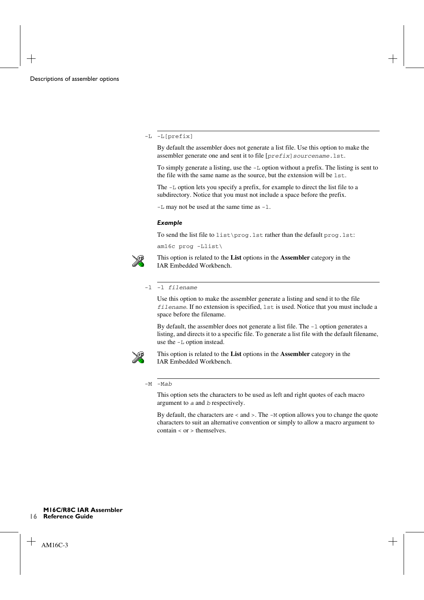#### <span id="page-27-0"></span>-L -L[prefix]

By default the assembler does not generate a list file. Use this option to make the assembler generate one and sent it to file [*prefix*]*sourcename*.lst.

To simply generate a listing, use the -L option without a prefix. The listing is sent to the file with the same name as the source, but the extension will be lst.

The -L option lets you specify a prefix, for example to direct the list file to a subdirectory. Notice that you must not include a space before the prefix.

 $-L$  may not be used at the same time as  $-1$ .

#### *Example*

To send the list file to list\prog.lst rather than the default prog.lst:

am16c prog -Llist\



This option is related to the **List** options in the **Assembler** category in the IAR Embedded Workbench.

-l -l *filename*

Use this option to make the assembler generate a listing and send it to the file *filename*. If no extension is specified, lst is used. Notice that you must include a space before the filename.

By default, the assembler does not generate a list file. The  $-1$  option generates a listing, and directs it to a specific file. To generate a list file with the default filename, use the -L option instead.



This option is related to the **List** options in the **Assembler** category in the IAR Embedded Workbench.

-M -M*ab*

This option sets the characters to be used as left and right quotes of each macro argument to *a* and *b* respectively.

By default, the characters are < and >. The -M option allows you to change the quote characters to suit an alternative convention or simply to allow a macro argument to  $\text{contains} \geq \text{or} > \text{themselves}.$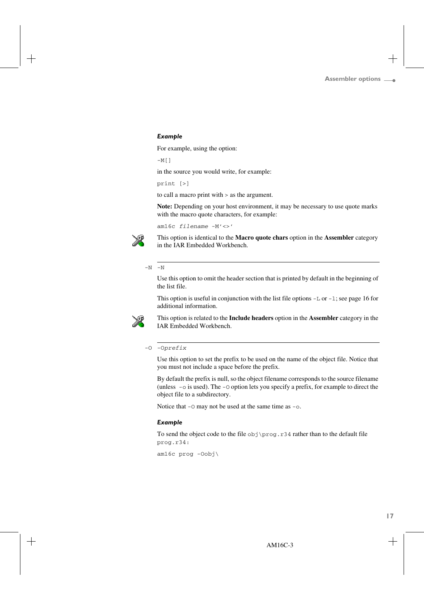### *Example*

For example, using the option:

 $-M$ []

in the source you would write, for example:

print [>]

to call a macro print with > as the argument.

**Note:** Depending on your host environment, it may be necessary to use quote marks with the macro quote characters, for example:

am16c *filename* -M'<>'



This option is identical to the **Macro quote chars** option in the **Assembler** category in the IAR Embedded Workbench.

 $-N - N$ 

Use this option to omit the header section that is printed by default in the beginning of the list file.

This option is useful in conjunction with the list file options  $-L$  or  $-1$ ; see [page 16](#page-27-0) for additional information.



This option is related to the **Include headers** option in the **Assembler** category in the IAR Embedded Workbench.

-O -O*prefix*

Use this option to set the prefix to be used on the name of the object file. Notice that you must not include a space before the prefix.

By default the prefix is null, so the object filename corresponds to the source filename (unless -o is used). The -O option lets you specify a prefix, for example to direct the object file to a subdirectory.

Notice that  $-0$  may not be used at the same time as  $-0$ .

### *Example*

To send the object code to the file  $obj\prod_{34}$  rather than to the default file prog.r34:

am16c prog -Oobj\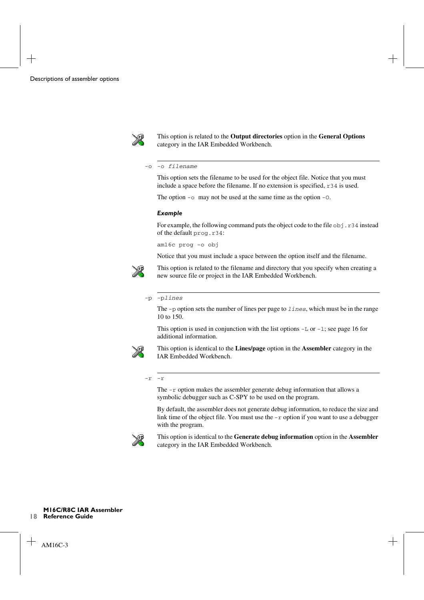

This option is related to the **Output directories** option in the **General Options** category in the IAR Embedded Workbench.

-o -o *filename*

This option sets the filename to be used for the object file. Notice that you must include a space before the filename. If no extension is specified, r34 is used.

The option  $-\circ$  may not be used at the same time as the option  $-\circ$ .

#### *Example*

For example, the following command puts the object code to the file  $\circ$ b $\cdot$ ; r34 instead of the default prog.r34:

am16c prog -o obj

Notice that you must include a space between the option itself and the filename.



This option is related to the filename and directory that you specify when creating a new source file or project in the IAR Embedded Workbench.

-p -p*lines*

The -p option sets the number of lines per page to *lines*, which must be in the range 10 to 150.

This option is used in conjunction with the list options  $-L$  or  $-1$ ; see [page 16](#page-27-0) for additional information.



This option is identical to the **Lines/page** option in the **Assembler** category in the IAR Embedded Workbench.

 $-r - r$ 

The -r option makes the assembler generate debug information that allows a symbolic debugger such as C-SPY to be used on the program.

By default, the assembler does not generate debug information, to reduce the size and link time of the object file. You must use the  $-r$  option if you want to use a debugger with the program.



This option is identical to the **Generate debug information** option in the **Assembler** category in the IAR Embedded Workbench.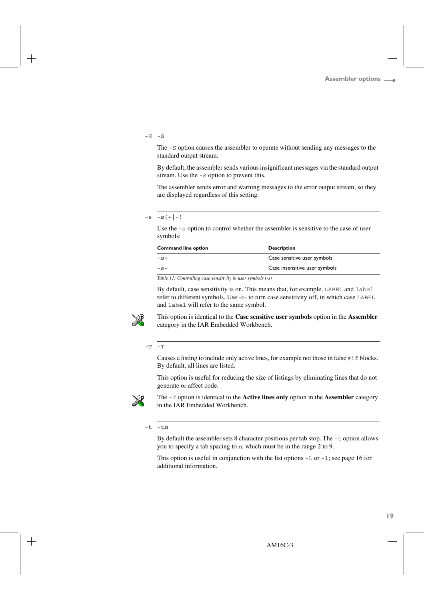$-S = S$ 

The -S option causes the assembler to operate without sending any messages to the standard output stream.

By default, the assembler sends various insignificant messages via the standard output stream. Use the -S option to prevent this.

The assembler sends error and warning messages to the error output stream, so they are displayed regardless of this setting.

<span id="page-30-1"></span> $-s - s + |-}$ 

Use the -s option to control whether the assembler is sensitive to the case of user symbols:

| <b>Command line option</b> | <b>Description</b>            |
|----------------------------|-------------------------------|
| $-S+$                      | Case sensitive user symbols   |
| $-S-$                      | Case insensitive user symbols |
|                            |                               |

<span id="page-30-0"></span>*Table 11: Controlling case sensitivity in user symbols (-s)* 

By default, case sensitivity is on. This means that, for example, LABEL and label refer to different symbols. Use -s- to turn case sensitivity off, in which case LABEL and label will refer to the same symbol.



This option is identical to the **Case sensitive user symbols** option in the **Assembler** category in the IAR Embedded Workbench.

 $-T - T$ 

Causes a listing to include only active lines, for example not those in false #if blocks. By default, all lines are listed.

This option is useful for reducing the size of listings by eliminating lines that do not generate or affect code.



The -T option is identical to the **Active lines only** option in the **Assembler** category in the IAR Embedded Workbench.

-t -t*n* 

By default the assembler sets 8 character positions per tab stop. The -t option allows you to specify a tab spacing to *n*, which must be in the range 2 to 9.

This option is useful in conjunction with the list options  $-L$  or  $-1$ ; see [page 16](#page-27-0) for additional information.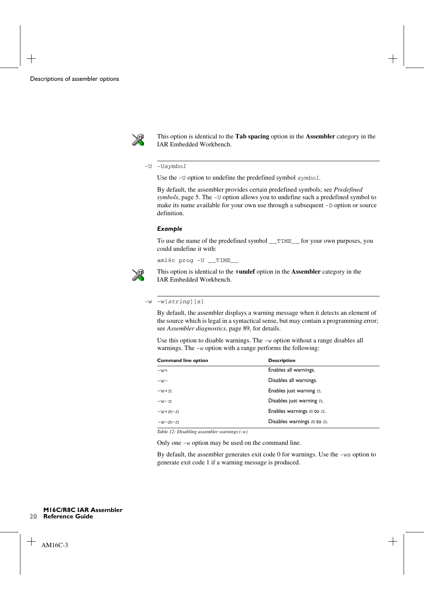

This option is identical to the **Tab spacing** option in the **Assembler** category in the IAR Embedded Workbench.

-U -U*symbol*

Use the -U option to undefine the predefined symbol *symbol*.

By default, the assembler provides certain predefined symbols; see *[Predefined](#page-16-3)  [symbols](#page-16-3)*, page 5. The -U option allows you to undefine such a predefined symbol to make its name available for your own use through a subsequent -D option or source definition.

### *Example*

To use the name of the predefined symbol \_\_TIME\_\_ for your own purposes, you could undefine it with:

am16c prog -U \_\_TIME\_\_



This option is identical to the #**undef** option in the **Assembler** category in the IAR Embedded Workbench.

### -w -w[*string*][s]

By default, the assembler displays a warning message when it detects an element of the source which is legal in a syntactical sense, but may contain a programming error; see *[Assembler diagnostics](#page-100-7)*, page 89, for details.

Use this option to disable warnings. The -w option without a range disables all warnings. The -w option with a range performs the following:

| <b>Command line option</b> | <b>Description</b>             |
|----------------------------|--------------------------------|
| $-W+$                      | Enables all warnings.          |
| $-W-$                      | Disables all warnings.         |
| $-W+n$                     | Enables just warning n.        |
| $-w-n$                     | Disables just warning n.       |
| $-w+m-n$                   | Enables warnings $m$ to $n$ .  |
| -w-m-n                     | Disables warnings $m$ to $n$ . |

<span id="page-31-0"></span>*Table 12: Disabling assembler warnings (-w)*

Only one -w option may be used on the command line.

By default, the assembler generates exit code 0 for warnings. Use the -ws option to generate exit code 1 if a warning message is produced.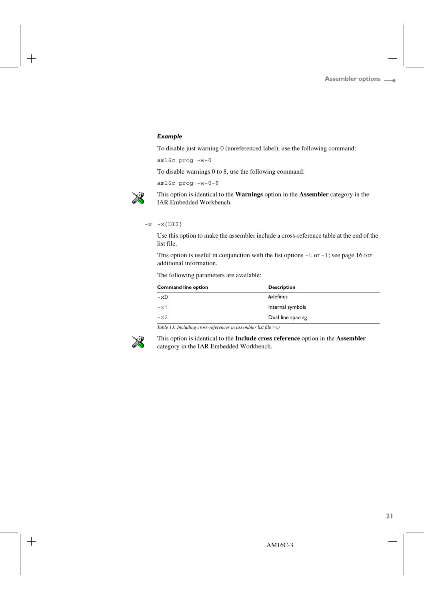### *Example*

To disable just warning 0 (unreferenced label), use the following command:

am16c prog -w-0

To disable warnings 0 to 8, use the following command:

am16c prog -w-0-8



This option is identical to the **Warnings** option in the **Assembler** category in the IAR Embedded Workbench.

 $-x -x$ {DI2}

Use this option to make the assembler include a cross-reference table at the end of the list file.

This option is useful in conjunction with the list options  $-L$  or  $-1$ ; see [page 16](#page-27-0) for additional information.

The following parameters are available:

| <b>Command line option</b> | <b>Description</b> |
|----------------------------|--------------------|
| $-xD$                      | #defines           |
| $-xI$                      | Internal symbols   |
| $-x2$                      | Dual line spacing  |

<span id="page-32-0"></span>*Table 13: Including cross-references in assembler list file (-x)* 



This option is identical to the **Include cross reference** option in the **Assembler** category in the IAR Embedded Workbench.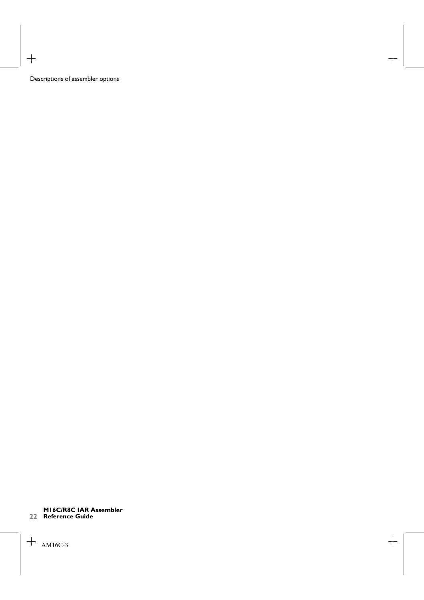Descriptions of assembler options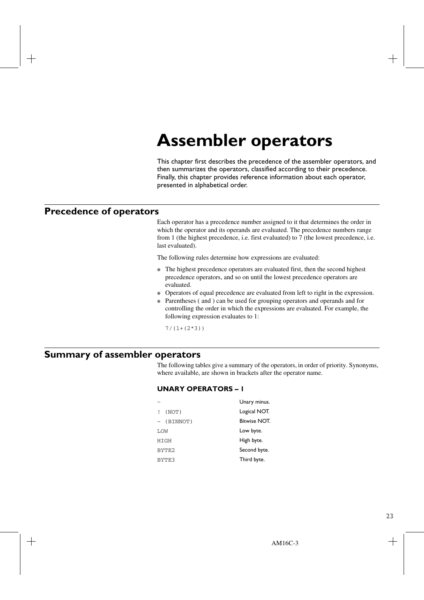# <span id="page-34-4"></span><span id="page-34-0"></span>**Assembler operators**

This chapter first describes the precedence of the assembler operators, and then summarizes the operators, classified according to their precedence. Finally, this chapter provides reference information about each operator, presented in alphabetical order.

# <span id="page-34-5"></span><span id="page-34-1"></span>**Precedence of operators**

Each operator has a precedence number assigned to it that determines the order in which the operator and its operands are evaluated. The precedence numbers range from 1 (the highest precedence, i.e. first evaluated) to 7 (the lowest precedence, i.e. last evaluated).

The following rules determine how expressions are evaluated:

- The highest precedence operators are evaluated first, then the second highest precedence operators, and so on until the lowest precedence operators are evaluated.
- Operators of equal precedence are evaluated from left to right in the expression.
- Parentheses ( and ) can be used for grouping operators and operands and for controlling the order in which the expressions are evaluated. For example, the following expression evaluates to 1:

 $7/(1+(2*3))$ 

## <span id="page-34-2"></span>**Summary of assembler operators**

The following tables give a summary of the operators, in order of priority. Synonyms, where available, are shown in brackets after the operator name.

### <span id="page-34-3"></span>**UNARY OPERATORS – 1**

|              |                   | Unary minus.        |
|--------------|-------------------|---------------------|
| $\mathbf{L}$ | (NOT)             | Logical NOT.        |
|              | $\sim$ (BINNOT)   | <b>Bitwise NOT.</b> |
| LOW          |                   | Low byte.           |
|              | HIGH              | High byte.          |
|              | BYTE <sub>2</sub> | Second byte.        |
|              | BYTE3             | Third byte.         |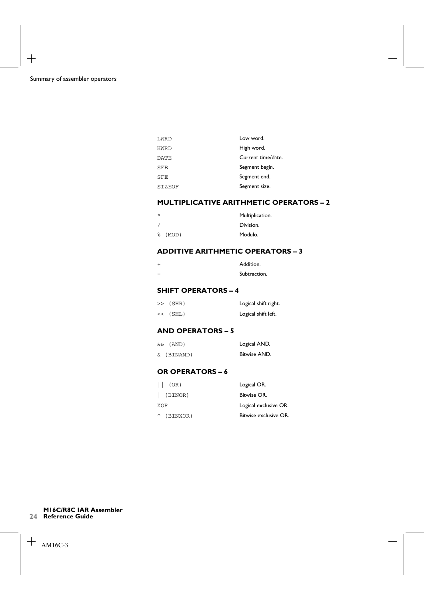| LWRD   | Low word.          |
|--------|--------------------|
| HWRD   | High word.         |
| DATE.  | Current time/date. |
| SFB    | Segment begin.     |
| SFE    | Segment end.       |
| SIZEOF | Segment size.      |
|        |                    |

### <span id="page-35-0"></span>**MULTIPLICATIVE ARITHMETIC OPERATORS – 2**

| ÷ |         | Multiplication. |
|---|---------|-----------------|
|   |         | Division.       |
|   | % (MOD) | Modulo.         |

### <span id="page-35-1"></span>**ADDITIVE ARITHMETIC OPERATORS – 3**

| $+$ | Addition.    |
|-----|--------------|
| -   | Subtraction. |

### <span id="page-35-2"></span>**SHIFT OPERATORS – 4**

| $\gg$ (SHR) | Logical shift right. |
|-------------|----------------------|
| $<<$ (SHL)  | Logical shift left.  |

### <span id="page-35-3"></span>**AND OPERATORS – 5**

&& (AND) Logical AND. & (BINAND) Bitwise AND.

### <span id="page-35-4"></span>**OR OPERATORS – 6**

| $\vert \vert$ (OR)   | Logical OR.           |
|----------------------|-----------------------|
| $ $ (BINOR)          | Bitwise OR.           |
| XOR                  | Logical exclusive OR. |
| $^{\wedge}$ (BINXOR) | Bitwise exclusive OR. |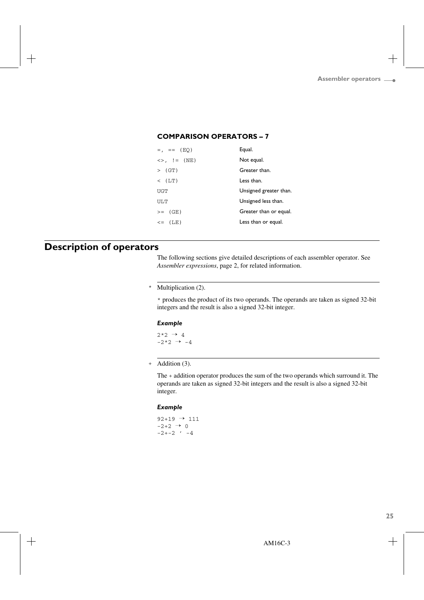| $=$ , $=$ (EO)                           | Equal.                 |
|------------------------------------------|------------------------|
| $\langle > , \ \ \vdots \ \ (\text{NE})$ | Not equal.             |
| $>$ (GT)                                 | Greater than.          |
| $\langle$ (LT)                           | Less than.             |
| UGT                                      | Unsigned greater than. |
| ULT                                      | Unsigned less than.    |
| $>=$ (GE)                                | Greater than or equal. |
| $\leq$ (LE)                              | Less than or equal.    |

# **COMPARISON OPERATORS – 7**

# **Description of operators**

The following sections give detailed descriptions of each assembler operator. See *[Assembler expressions](#page-13-0)*, page 2, for related information.

# \* Multiplication (2).

\* produces the product of its two operands. The operands are taken as signed 32-bit integers and the result is also a signed 32-bit integer.

#### *Example*

 $2*2 \rightarrow 4$  $-2*2 \rightarrow -4$ 

## + Addition (3).

The + addition operator produces the sum of the two operands which surround it. The operands are taken as signed 32-bit integers and the result is also a signed 32-bit integer.

#### *Example*

 $92+19 \rightarrow 111$  $-2+2 \rightarrow 0$  $-2+-2$  '  $-4$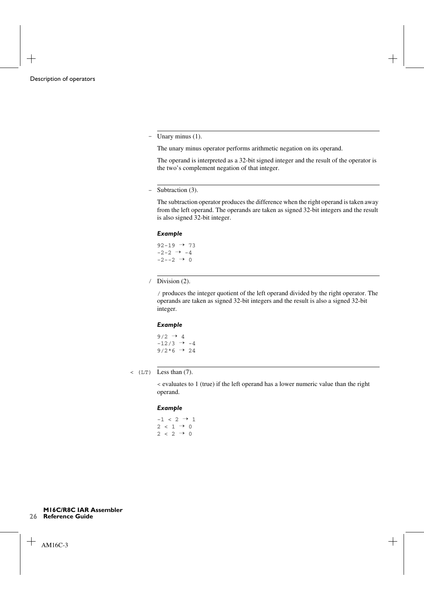– Unary minus (1).

The unary minus operator performs arithmetic negation on its operand.

The operand is interpreted as a 32-bit signed integer and the result of the operator is the two's complement negation of that integer.

#### – Subtraction (3).

The subtraction operator produces the difference when the right operand is taken away from the left operand. The operands are taken as signed 32-bit integers and the result is also signed 32-bit integer.

#### *Example*

 $92 - 19 \rightarrow 73$  $-2-2$   $\rightarrow$   $-4$  $-2--2 \rightarrow 0$ 

#### / Division (2).

/ produces the integer quotient of the left operand divided by the right operator. The operands are taken as signed 32-bit integers and the result is also a signed 32-bit integer.

#### *Example*

 $9/2 \rightarrow 4$  $-12/3 \rightarrow -4$  $9/2*6 \rightarrow 24$ 

 $\langle$  (LT) Less than  $(7)$ .

< evaluates to 1 (true) if the left operand has a lower numeric value than the right operand.

#### *Example*

 $-1$  < 2  $\rightarrow$  1  $2 < 1 \rightarrow 0$  $2 \times 2 \rightarrow 0$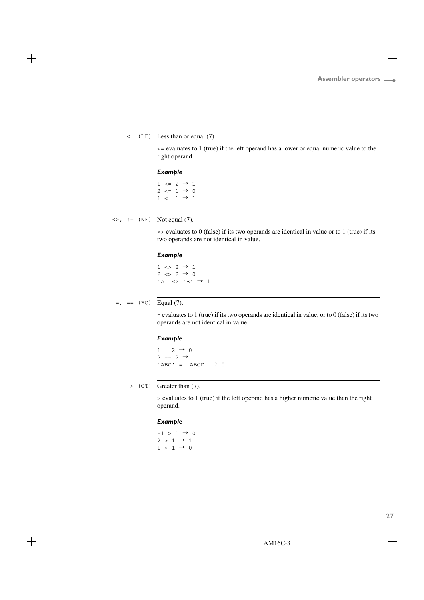$\leq$  (LE) Less than or equal (7)

<= evaluates to 1 (true) if the left operand has a lower or equal numeric value to the right operand.

#### *Example*

```
1 \leq 2 \neq 12 \leq 1 \rightarrow 01 \leq 1 \rightarrow 1
```
 $\langle \rangle$ ,  $\vert = \langle NE \rangle$  Not equal (7).

 $\le$  evaluates to 0 (false) if its two operands are identical in value or to 1 (true) if its two operands are not identical in value.

#### *Example*

 $1 \leftrightarrow 2 \rightarrow 1$  $2 \leq 2 \to 0$ 'A'  $\iff$  'B'  $\rightarrow$  1

 $=$ ,  $=$   $(EQ)$  Equal (7).

 $=$  evaluates to 1 (true) if its two operands are identical in value, or to 0 (false) if its two operands are not identical in value.

#### *Example*

 $1 = 2 \rightarrow 0$  $2 == 2 \rightarrow 1$  $'ABC' = 'ABCD' \rightarrow 0$ 

> (GT) Greater than (7).

> evaluates to 1 (true) if the left operand has a higher numeric value than the right operand.

#### *Example*

 $-1 > 1 \rightarrow 0$  $2 > 1 \rightarrow 1$  $1 > 1 \rightarrow 0$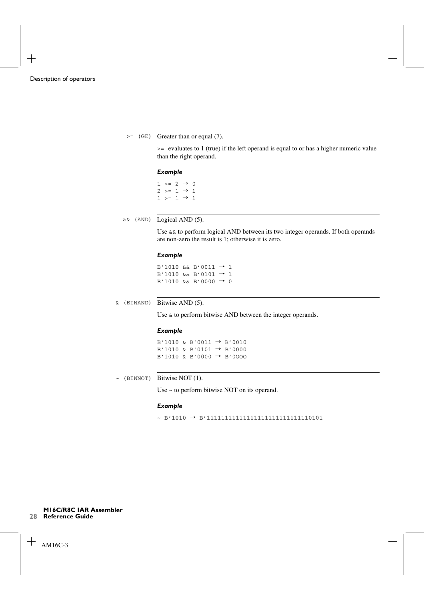$\geq$  (GE) Greater than or equal (7).

 $\epsilon$  = evaluates to 1 (true) if the left operand is equal to or has a higher numeric value than the right operand.

#### *Example*

```
1 > = 2 \rightarrow 02 > 1 \rightarrow 11 > = 1 \rightarrow 1
```
&& (AND) Logical AND (5).

Use  $\&\&\&\to$  to perform logical AND between its two integer operands. If both operands are non-zero the result is 1; otherwise it is zero.

#### *Example*

 $B'1010$  & &  $B'0011 \rightarrow 1$  $B'1010$  & B'0101  $\rightarrow$  1  $B'1010$  & &  $B'0000 \rightarrow 0$ 

& (BINAND) Bitwise AND (5).

Use  $\&$  to perform bitwise AND between the integer operands.

#### *Example*

B'1010 & B'0011 → B'0010 B'1010 & B'0101 → B'0000 B'1010 & B'0000 → B'0OOO

 $\sim$  (BINNOT) Bitwise NOT (1).

Use ~ to perform bitwise NOT on its operand.

#### *Example*

~ B'1010 → B'11111111111111111111111111110101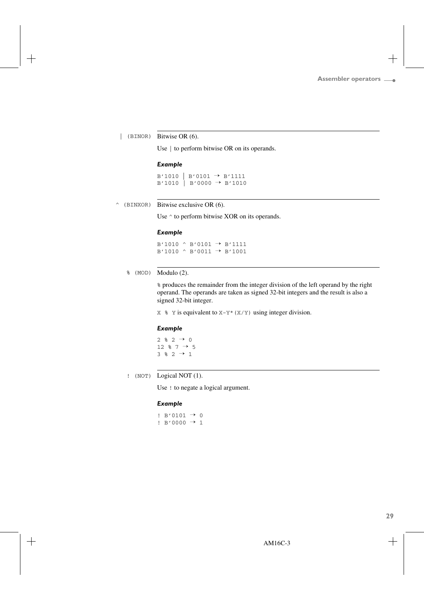| (BINOR) Bitwise OR (6).

Use | to perform bitwise OR on its operands.

#### *Example*

```
B'1010 | B'0101 → B'1111
B'1010 | B'0000 \rightarrow B'1010
```
 $\land$  (BINXOR) Bitwise exclusive OR (6).

Use  $\land$  to perform bitwise XOR on its operands.

#### *Example*

B'1010 ^ B'0101 → B'1111 B'1010 ^ B'0011 → B'1001

% (MOD) Modulo (2).

% produces the remainder from the integer division of the left operand by the right operand. The operands are taken as signed 32-bit integers and the result is also a signed 32-bit integer.

 $X \& Y$  is equivalent to  $X-Y^*(X/Y)$  using integer division.

### *Example*

 $2 % 2 → 0$ 12 % 7 → 5  $3 \times 2 \rightarrow 1$ 

! (NOT) Logical NOT (1).

Use  $\,$  to negate a logical argument.

#### *Example*

```
: B'0101 \rightarrow 0! B'0000 → 1
```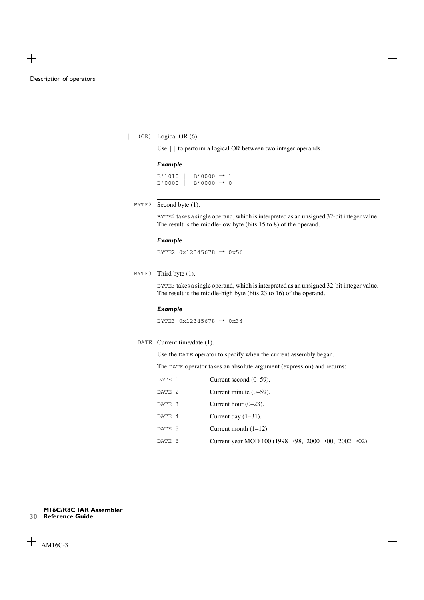$|\cdot|$  (OR) Logical OR (6).

Use  $||\$ to perform a logical OR between two integer operands.

#### *Example*

```
B'1010 || B'0000 \rightarrow 1B'0000 || B'0000 \rightarrow 0
```
BYTE2 Second byte (1).

BYTE2 takes a single operand, which is interpreted as an unsigned 32-bit integer value. The result is the middle-low byte (bits 15 to 8) of the operand.

#### *Example*

```
BYTE2 0x12345678 → 0x56
```
BYTE3 Third byte (1).

BYTE3 takes a single operand, which is interpreted as an unsigned 32-bit integer value. The result is the middle-high byte (bits 23 to 16) of the operand.

#### *Example*

BYTE3 0x12345678 → 0x34

DATE Current time/date (1).

Use the DATE operator to specify when the current assembly began.

The DATE operator takes an absolute argument (expression) and returns:

| DATE 1 | Current second (0–59).                                  |
|--------|---------------------------------------------------------|
| DATE 2 | Current minute $(0-59)$ .                               |
| DATE 3 | Current hour $(0-23)$ .                                 |
| DATE 4 | Current day $(1-31)$ .                                  |
| DATE 5 | Current month $(1-12)$ .                                |
| DATE 6 | Current year MOD 100 (1998 → 98, 2000 → 00, 2002 → 02). |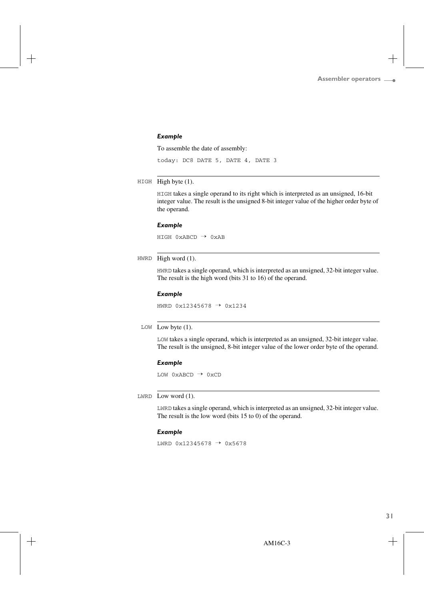#### *Example*

To assemble the date of assembly:

today: DC8 DATE 5, DATE 4, DATE 3

HIGH High byte (1).

HIGH takes a single operand to its right which is interpreted as an unsigned, 16-bit integer value. The result is the unsigned 8-bit integer value of the higher order byte of the operand.

#### *Example*

HIGH 0xABCD → 0xAB

HWRD High word (1).

HWRD takes a single operand, which is interpreted as an unsigned, 32-bit integer value. The result is the high word (bits 31 to 16) of the operand.

#### *Example*

HWRD 0x12345678 → 0x1234

LOW Low byte  $(1)$ .

LOW takes a single operand, which is interpreted as an unsigned, 32-bit integer value. The result is the unsigned, 8-bit integer value of the lower order byte of the operand.

#### *Example*

LOW  $0xABCD \rightarrow 0xCD$ 

LWRD Low word  $(1)$ .

LWRD takes a single operand, which is interpreted as an unsigned, 32-bit integer value. The result is the low word (bits 15 to 0) of the operand.

#### *Example*

LWRD 0x12345678 → 0x5678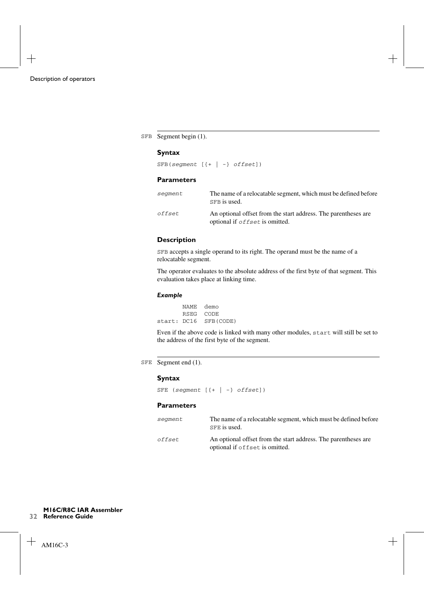SFB Segment begin (1).

# **Syntax**

```
SFB(segment [{+ | -} offset])
```
#### **Parameters**

| segment | The name of a relocatable segment, which must be defined before<br>SFB is used.                         |
|---------|---------------------------------------------------------------------------------------------------------|
| offset  | An optional offset from the start address. The parentheses are<br>optional if <i>offset</i> is omitted. |

# **Description**

SFB accepts a single operand to its right. The operand must be the name of a relocatable segment.

The operator evaluates to the absolute address of the first byte of that segment. This evaluation takes place at linking time.

#### *Example*

 NAME demo RSEG CODE start: DC16 SFB(CODE)

Even if the above code is linked with many other modules, start will still be set to the address of the first byte of the segment.

SFE Segment end (1).

#### **Syntax**

SFE (*segment* [{+ | -} *offset*])

## **Parameters**

| segment | The name of a relocatable segment, which must be defined before<br>SFE is used.                    |
|---------|----------------------------------------------------------------------------------------------------|
| offset  | An optional offset from the start address. The parentheses are<br>optional if of fiset is omitted. |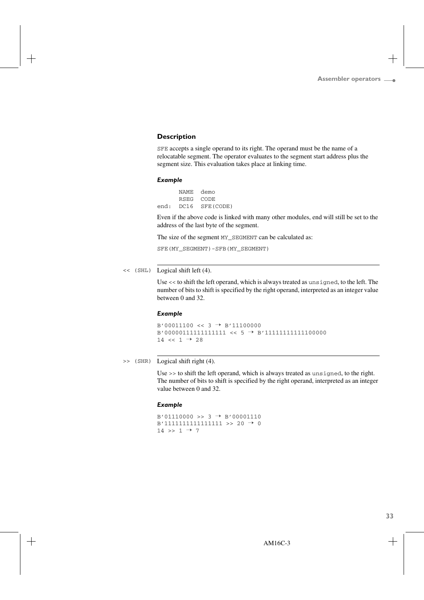### **Description**

SFE accepts a single operand to its right. The operand must be the name of a relocatable segment. The operator evaluates to the segment start address plus the segment size. This evaluation takes place at linking time.

#### *Example*

 NAME demo RSEG CODE end: DC16 SFE(CODE)

Even if the above code is linked with many other modules, end will still be set to the address of the last byte of the segment.

The size of the segment MY\_SEGMENT can be calculated as:

```
SFE(MY_SEGMENT)-SFB(MY_SEGMENT)
```
<< (SHL) Logical shift left (4).

Use << to shift the left operand, which is always treated as unsigned, to the left. The number of bits to shift is specified by the right operand, interpreted as an integer value between 0 and 32.

#### *Example*

```
B'00011100 \leq 3 \rightarrow B'11100000B'00000111111111111 \leftrightarrow 5 \rightarrow B'1111111111110000014 \le 1 \rightarrow 28
```
>> (SHR) Logical shift right (4).

Use >> to shift the left operand, which is always treated as unsigned, to the right. The number of bits to shift is specified by the right operand, interpreted as an integer value between 0 and 32.

#### *Example*

 $B'01110000 \gg 3 \rightarrow B'00001110$  $B'1111111111111111 \Rightarrow 20 \rightarrow 0$  $14 \Rightarrow 1 \rightarrow 7$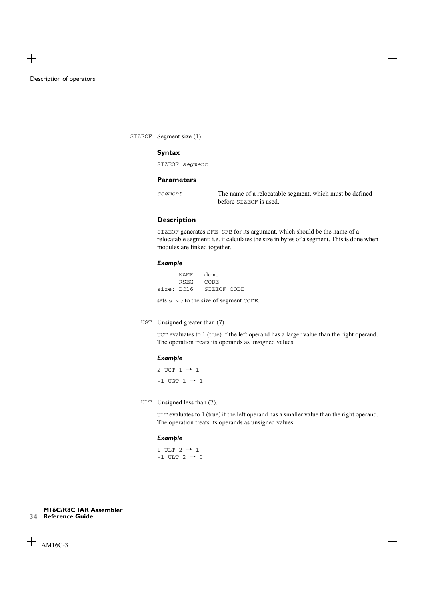SIZEOF Segment size (1).

#### **Syntax**

SIZEOF *segment*

#### **Parameters**

*segment* The name of a relocatable segment, which must be defined before SIZEOF is used.

#### **Description**

SIZEOF generates SFE-SFB for its argument, which should be the name of a relocatable segment; i.e. it calculates the size in bytes of a segment. This is done when modules are linked together.

#### *Example*

 NAME demo RSEG CODE size: DC16 SIZEOF CODE

sets size to the size of segment CODE.

UGT Unsigned greater than (7).

UGT evaluates to 1 (true) if the left operand has a larger value than the right operand. The operation treats its operands as unsigned values.

#### *Example*

2 UGT 1  $\rightarrow$  1  $-1$  UGT  $1 \rightarrow 1$ 

ULT Unsigned less than  $(7)$ .

ULT evaluates to 1 (true) if the left operand has a smaller value than the right operand. The operation treats its operands as unsigned values.

#### *Example*

1 ULT  $2 \rightarrow 1$  $-1$  ULT 2  $\rightarrow$  0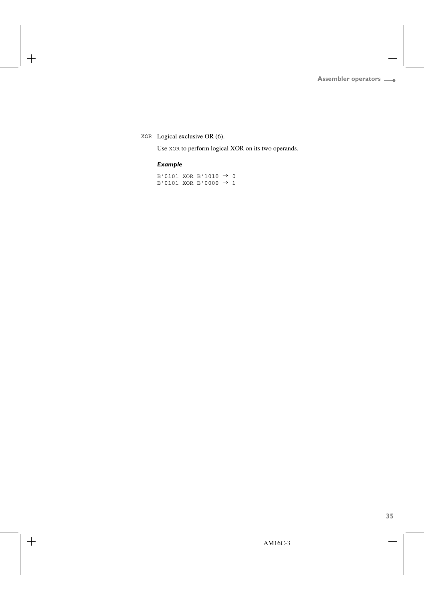XOR Logical exclusive OR (6).

Use XOR to perform logical XOR on its two operands.

# *Example*

B'0101 XOR B'1010  $\rightarrow$  0 B'0101 XOR B'0000 → 1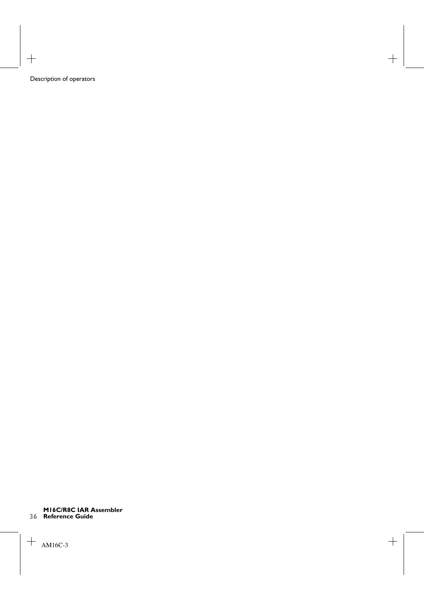Description of operators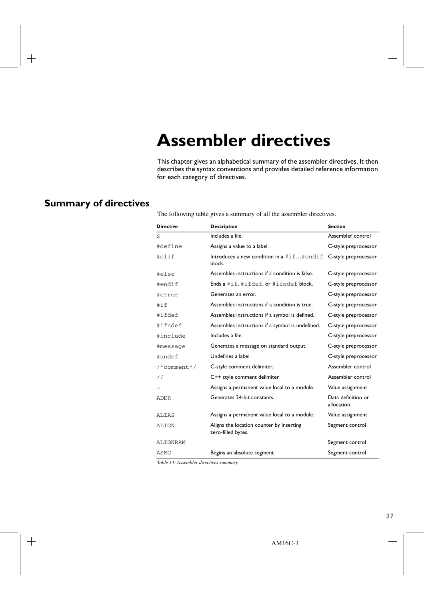# **Assembler directives**

This chapter gives an alphabetical summary of the assembler directives. It then describes the syntax conventions and provides detailed reference information for each category of directives.

# **Summary of directives**

**Directive Description Section**  $\ddot{\text{S}}$  includes a file. Assembler control #define Assigns a value to a label. C-style preprocessor #elif **Introduces a new condition in a** #if...#endif C-style preprocessor block. #else Assembles instructions if a condition is false. C-style preprocessor #endif **Ends a** #if, #ifdef, or #ifndef block. C-style preprocessor #error Generates an error. C-style preprocessor #if Assembles instructions if a condition is true. C-style preprocessor #ifdef **Assembles instructions if a symbol is defined.** C-style preprocessor #ifndef **Assembles instructions if a symbol is undefined.** C-style preprocessor #include Includes a file. C-style preprocessor #message Generates a message on standard output. C-style preprocessor #undef Undefines a label. C-style preprocessor /\*comment\*/ C-style comment delimiter. Assembler control // C++ style comment delimiter. Assembler control = Assigns a permanent value local to a module. Value assignment ADDR Generates 24-bit constants. Data definition or allocation ALIAS Assigns a permanent value local to a module. Value assignment ALIGN Aligns the location counter by inserting zero-filled bytes. Segment control ALIGNRAM Segment control ASEG Begins an absolute segment. Segment control

The following table gives a summary of all the assembler directives.

*Table 14: Assembler directives summary*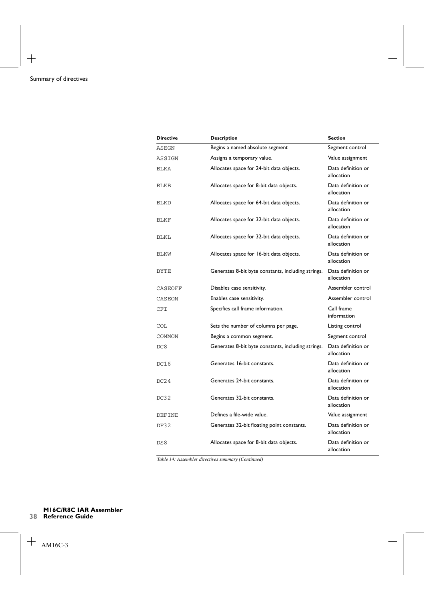| <b>Directive</b> | <b>Description</b>                                 | <b>Section</b>                   |
|------------------|----------------------------------------------------|----------------------------------|
| ASEGN            | Begins a named absolute segment                    | Segment control                  |
| ASSIGN           | Assigns a temporary value.                         | Value assignment                 |
| <b>BLKA</b>      | Allocates space for 24-bit data objects.           | Data definition or<br>allocation |
| <b>BLKB</b>      | Allocates space for 8-bit data objects.            | Data definition or<br>allocation |
| <b>BLKD</b>      | Allocates space for 64-bit data objects.           | Data definition or<br>allocation |
| <b>BLKF</b>      | Allocates space for 32-bit data objects.           | Data definition or<br>allocation |
| <b>BLKL</b>      | Allocates space for 32-bit data objects.           | Data definition or<br>allocation |
| <b>BLKW</b>      | Allocates space for 16-bit data objects.           | Data definition or<br>allocation |
| <b>BYTE</b>      | Generates 8-bit byte constants, including strings. | Data definition or<br>allocation |
| CASEOFF          | Disables case sensitivity.                         | Assembler control                |
| CASEON           | Enables case sensitivity.                          | Assembler control                |
| CFT              | Specifies call frame information.                  | Call frame<br>information        |
| COL              | Sets the number of columns per page.               | Listing control                  |
| COMMON           | Begins a common segment.                           | Segment control                  |
| DC <sub>8</sub>  | Generates 8-bit byte constants, including strings. | Data definition or<br>allocation |
| DC16             | Generates 16-bit constants.                        | Data definition or<br>allocation |
| DC24             | Generates 24-bit constants.                        | Data definition or<br>allocation |
| DC32             | Generates 32-bit constants.                        | Data definition or<br>allocation |
| <b>DEFINE</b>    | Defines a file-wide value.                         | Value assignment                 |
| DF32             | Generates 32-bit floating point constants.         | Data definition or<br>allocation |
| DS8              | Allocates space for 8-bit data objects.            | Data definition or<br>allocation |

*Table 14: Assembler directives summary (Continued)*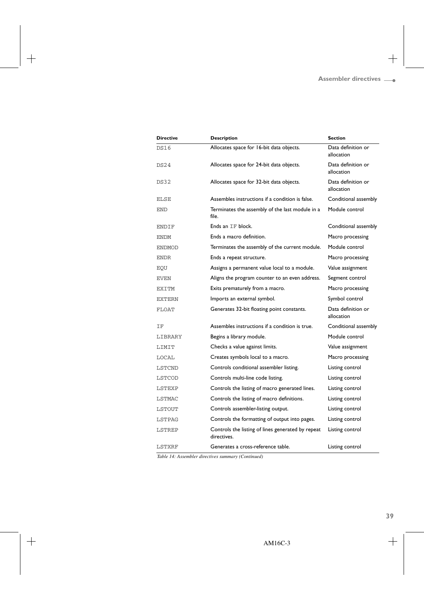| <b>Directive</b> | <b>Description</b>                                               | <b>Section</b>                   |
|------------------|------------------------------------------------------------------|----------------------------------|
| <b>DS16</b>      | Allocates space for 16-bit data objects.                         | Data definition or<br>allocation |
| DS24             | Allocates space for 24-bit data objects.                         | Data definition or<br>allocation |
| DS32             | Allocates space for 32-bit data objects.                         | Data definition or<br>allocation |
| ELSE             | Assembles instructions if a condition is false.                  | Conditional assembly             |
| <b>END</b>       | Terminates the assembly of the last module in a<br>file.         | Module control                   |
| <b>ENDIF</b>     | Ends an IF block.                                                | Conditional assembly             |
| ENDM             | Ends a macro definition.                                         | Macro processing                 |
| <b>ENDMOD</b>    | Terminates the assembly of the current module.                   | Module control                   |
| <b>ENDR</b>      | Ends a repeat structure.                                         | Macro processing                 |
| EOU              | Assigns a permanent value local to a module.                     | Value assignment                 |
| EVEN             | Aligns the program counter to an even address.                   | Segment control                  |
| EXITM            | Exits prematurely from a macro.                                  | Macro processing                 |
| <b>EXTERN</b>    | Imports an external symbol.                                      | Symbol control                   |
| FLOAT            | Generates 32-bit floating point constants.                       | Data definition or<br>allocation |
| ΤF               | Assembles instructions if a condition is true.                   | Conditional assembly             |
| LIBRARY          | Begins a library module.                                         | Module control                   |
| LIMIT            | Checks a value against limits.                                   | Value assignment                 |
| LOCAL            | Creates symbols local to a macro.                                | Macro processing                 |
| LSTCND           | Controls conditional assembler listing.                          | Listing control                  |
| LSTCOD           | Controls multi-line code listing.                                | Listing control                  |
| LSTEXP           | Controls the listing of macro generated lines.                   | Listing control                  |
| LSTMAC           | Controls the listing of macro definitions.                       | Listing control                  |
| LSTOUT           | Controls assembler-listing output.                               | Listing control                  |
| LSTPAG           | Controls the formatting of output into pages.                    | Listing control                  |
| LSTREP           | Controls the listing of lines generated by repeat<br>directives. | Listing control                  |
| LSTXRF           | Generates a cross-reference table.                               | Listing control                  |
|                  |                                                                  |                                  |

*Table 14: Assembler directives summary (Continued)*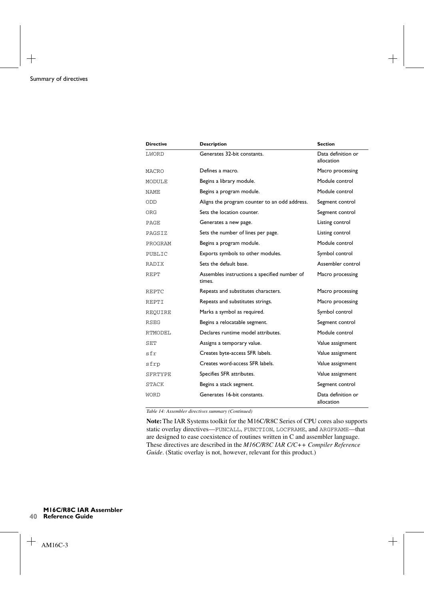| <b>Directive</b> | <b>Description</b>                                     | <b>Section</b>                   |
|------------------|--------------------------------------------------------|----------------------------------|
| LWORD            | Generates 32-bit constants.                            | Data definition or<br>allocation |
| MACRO            | Defines a macro.                                       | Macro processing                 |
| MODULE           | Begins a library module.                               | Module control                   |
| NAME             | Begins a program module.                               | Module control                   |
| <b>ODD</b>       | Aligns the program counter to an odd address.          | Segment control                  |
| <b>ORG</b>       | Sets the location counter.                             | Segment control                  |
| <b>PAGE</b>      | Generates a new page.                                  | Listing control                  |
| PAGSIZ           | Sets the number of lines per page.                     | Listing control                  |
| PROGRAM          | Begins a program module.                               | Module control                   |
| PUBLIC           | Exports symbols to other modules.                      | Symbol control                   |
| RADIX            | Sets the default base.                                 | Assembler control                |
| REPT             | Assembles instructions a specified number of<br>times. | Macro processing                 |
| <b>REPTC</b>     | Repeats and substitutes characters.                    | Macro processing                 |
| REPTI            | Repeats and substitutes strings.                       | Macro processing                 |
| REQUIRE          | Marks a symbol as required.                            | Symbol control                   |
| <b>RSEG</b>      | Begins a relocatable segment.                          | Segment control                  |
| RTMODEL          | Declares runtime model attributes.                     | Module control                   |
| SET              | Assigns a temporary value.                             | Value assignment                 |
| sfr              | Creates byte-access SFR labels.                        | Value assignment                 |
| sfrp             | Creates word-access SFR labels.                        | Value assignment                 |
| SFRTYPE          | Specifies SFR attributes.                              | Value assignment                 |
| STACK            | Begins a stack segment.                                | Segment control                  |
| <b>WORD</b>      | Generates 16-bit constants.                            | Data definition or<br>allocation |

*Table 14: Assembler directives summary (Continued)*

**Note:**The IAR Systems toolkit for the M16C/R8C Series of CPU cores also supports static overlay directives—FUNCALL, FUNCTION, LOCFRAME, and ARGFRAME—that are designed to ease coexistence of routines written in C and assembler language. These directives are described in the *M16C/R8C IAR C/C++ Compiler Reference Guide*. (Static overlay is not, however, relevant for this product.)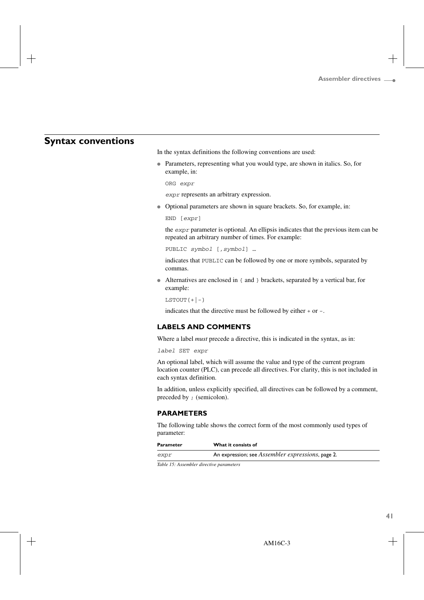# **Syntax conventions**

In the syntax definitions the following conventions are used:

● Parameters, representing what you would type, are shown in italics. So, for example, in:

ORG *expr*

*expr* represents an arbitrary expression.

● Optional parameters are shown in square brackets. So, for example, in:

END [*expr*]

the *expr* parameter is optional. An ellipsis indicates that the previous item can be repeated an arbitrary number of times. For example:

PUBLIC *symbol* [*,symbol*] …

indicates that PUBLIC can be followed by one or more symbols, separated by commas.

● Alternatives are enclosed in { and } brackets, separated by a vertical bar, for example:

```
LSTOUT{+|-}
```
indicates that the directive must be followed by either + or -.

# **LABELS AND COMMENTS**

Where a label *must* precede a directive, this is indicated in the syntax, as in:

*label* SET *expr*

An optional label, which will assume the value and type of the current program location counter (PLC), can precede all directives. For clarity, this is not included in each syntax definition.

In addition, unless explicitly specified, all directives can be followed by a comment, preceded by ; (semicolon).

### **PARAMETERS**

The following table shows the correct form of the most commonly used types of parameter:

| Parameter | What it consists of                                       |
|-----------|-----------------------------------------------------------|
| expr      | An expression; see <i>Assembler expressions</i> , page 2. |

*Table 15: Assembler directive parameters*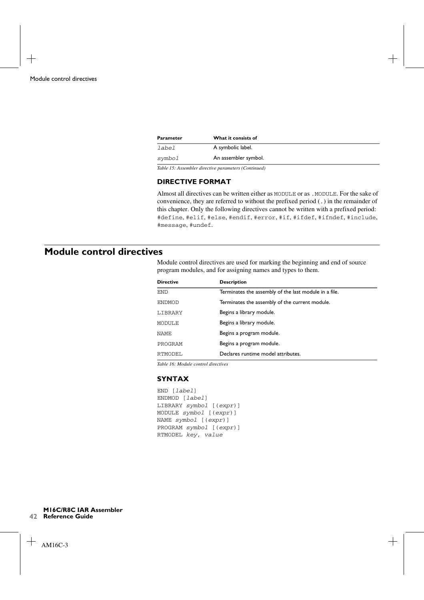| <b>Parameter</b>                   | What it consists of  |  |
|------------------------------------|----------------------|--|
| label                              | A symbolic label.    |  |
| symbol                             | An assembler symbol. |  |
| $\pi$ if it is the set of $\alpha$ |                      |  |

*Table 15: Assembler directive parameters (Continued)*

# **DIRECTIVE FORMAT**

Almost all directives can be written either as MODULE or as .MODULE. For the sake of convenience, they are referred to without the prefixed period (.) in the remainder of this chapter. Only the following directives cannot be written with a prefixed period: #define, #elif, #else, #endif, #error, #if, #ifdef, #ifndef, #include, #message, #undef.

# **Module control directives**

Module control directives are used for marking the beginning and end of source program modules, and for assigning names and types to them.

| <b>Directive</b> | <b>Description</b>                                    |
|------------------|-------------------------------------------------------|
| END              | Terminates the assembly of the last module in a file. |
| <b>ENDMOD</b>    | Terminates the assembly of the current module.        |
| LIBRARY          | Begins a library module.                              |
| MODULE           | Begins a library module.                              |
| <b>NAME</b>      | Begins a program module.                              |
| PROGRAM          | Begins a program module.                              |
| RTMODEL          | Declares runtime model attributes.                    |

*Table 16: Module control directives*

# **SYNTAX**

END [*label*] ENDMOD [*label*] LIBRARY *symbol* [(*expr*)] MODULE *symbol* [(*expr*)] NAME *symbol* [(*expr*)] PROGRAM *symbol* [(*expr*)] RTMODEL *key*, *value*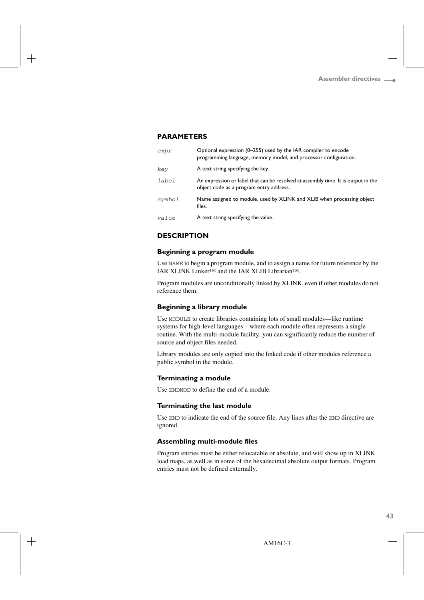# **PARAMETERS**

| expr   | Optional expression (0-255) used by the IAR compiler to encode<br>programming language, memory model, and processor configuration. |
|--------|------------------------------------------------------------------------------------------------------------------------------------|
| kev    | A text string specifying the key.                                                                                                  |
| label  | An expression or label that can be resolved at assembly time. It is output in the<br>object code as a program entry address.       |
| symbol | Name assigned to module, used by XLINK and XLIB when processing object<br>files.                                                   |
| value  | A text string specifying the value.                                                                                                |

# **DESCRIPTION**

# **Beginning a program module**

Use NAME to begin a program module, and to assign a name for future reference by the IAR XLINK Linker™ and the IAR XLIB Librarian™.

Program modules are unconditionally linked by XLINK, even if other modules do not reference them.

# **Beginning a library module**

Use MODULE to create libraries containing lots of small modules—like runtime systems for high-level languages—where each module often represents a single routine. With the multi-module facility, you can significantly reduce the number of source and object files needed.

Library modules are only copied into the linked code if other modules reference a public symbol in the module.

### **Terminating a module**

Use ENDMOD to define the end of a module.

### **Terminating the last module**

Use END to indicate the end of the source file. Any lines after the END directive are ignored.

### **Assembling multi-module files**

Program entries must be either relocatable or absolute, and will show up in XLINK load maps, as well as in some of the hexadecimal absolute output formats. Program entries must not be defined externally.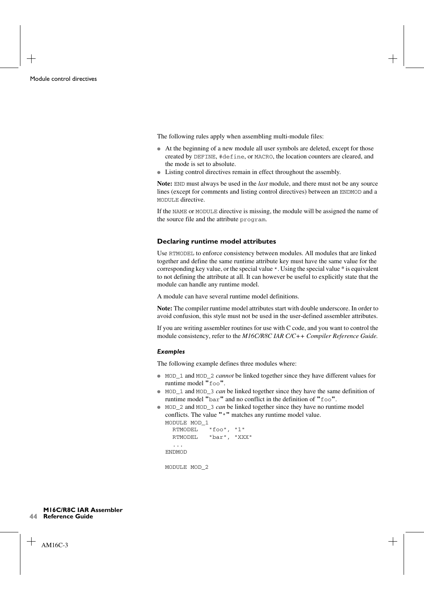The following rules apply when assembling multi-module files:

- At the beginning of a new module all user symbols are deleted, except for those created by DEFINE, #define, or MACRO, the location counters are cleared, and the mode is set to absolute.
- Listing control directives remain in effect throughout the assembly.

**Note:** END must always be used in the *last* module, and there must not be any source lines (except for comments and listing control directives) between an ENDMOD and a MODULE directive.

If the NAME or MODULE directive is missing, the module will be assigned the name of the source file and the attribute program.

### **Declaring runtime model attributes**

Use RTMODEL to enforce consistency between modules. All modules that are linked together and define the same runtime attribute key must have the same value for the corresponding key value, or the special value \*. Using the special value \* is equivalent to not defining the attribute at all. It can however be useful to explicitly state that the module can handle any runtime model.

A module can have several runtime model definitions.

**Note:** The compiler runtime model attributes start with double underscore. In order to avoid confusion, this style must not be used in the user-defined assembler attributes.

If you are writing assembler routines for use with C code, and you want to control the module consistency, refer to the *M16C/R8C IAR C/C++ Compiler Reference Guide.* 

#### *Examples*

The following example defines three modules where:

- MOD\_1 and MOD\_2 *cannot* be linked together since they have different values for runtime model **"**foo**"**.
- MOD\_1 and MOD\_3 *can* be linked together since they have the same definition of runtime model **"**bar**"** and no conflict in the definition of **"**foo**"**.
- MOD\_2 and MOD\_3 *can* be linked together since they have no runtime model conflicts. The value **"**\***"** matches any runtime model value.

```
MODULE MOD_1
   RTMODEL "foo", "1"
  RTMODEL "bar", "XXX"
   ...
ENDMOD
```
MODULE MOD\_2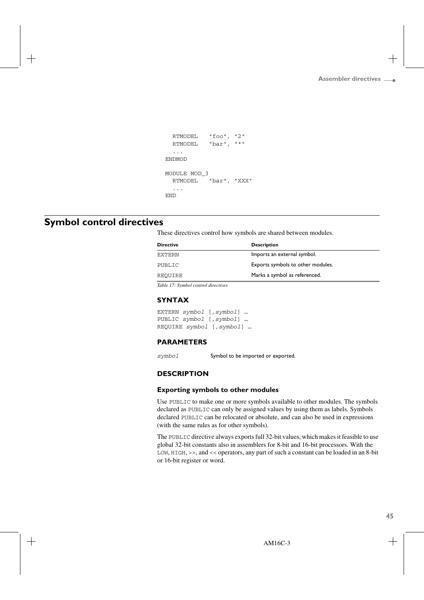```
 RTMODEL "foo", "2"
   RTMODEL "bar", "*"
   ...
ENDMOD
MODULE MOD_3
   RTMODEL "bar", "XXX"
   ...
END
```
# **Symbol control directives**

These directives control how symbols are shared between modules.

| <b>Directive</b> | <b>Description</b>                |
|------------------|-----------------------------------|
| <b>EXTERN</b>    | Imports an external symbol.       |
| PUBLIC           | Exports symbols to other modules. |
| REOUIRE          | Marks a symbol as referenced.     |

*Table 17: Symbol control directives* 

### **SYNTAX**

EXTERN *symbol* [*,symbol*] … PUBLIC *symbol* [*,symbol*] … REQUIRE *symbol* [*,symbol*] …

#### **PARAMETERS**

*symbol* Symbol to be imported or exported.

# **DESCRIPTION**

#### **Exporting symbols to other modules**

Use PUBLIC to make one or more symbols available to other modules. The symbols declared as PUBLIC can only be assigned values by using them as labels. Symbols declared PUBLIC can be relocated or absolute, and can also be used in expressions (with the same rules as for other symbols).

The PUBLIC directive always exports full 32-bit values, which makes it feasible to use global 32-bit constants also in assemblers for 8-bit and 16-bit processors. With the LOW, HIGH, >>, and << operators, any part of such a constant can be loaded in an 8-bit or 16-bit register or word.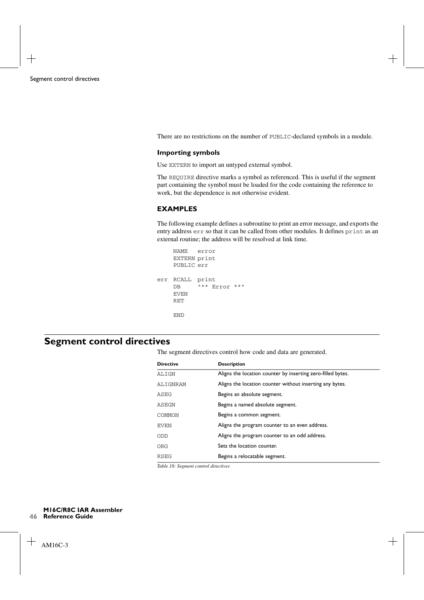There are no restrictions on the number of PUBLIC-declared symbols in a module.

#### **Importing symbols**

Use EXTERN to import an untyped external symbol.

The REQUIRE directive marks a symbol as referenced. This is useful if the segment part containing the symbol must be loaded for the code containing the reference to work, but the dependence is not otherwise evident.

#### **EXAMPLES**

The following example defines a subroutine to print an error message, and exports the entry address err so that it can be called from other modules. It defines print as an external routine; the address will be resolved at link time.

```
NAME error
    EXTERN print
    PUBLIC err
err RCALL print
    DB "** Error **"
    EVEN
    RET
    END
```
# **Segment control directives**

The segment directives control how code and data are generated.

| <b>Directive</b> | <b>Description</b>                                          |
|------------------|-------------------------------------------------------------|
| ALIGN            | Aligns the location counter by inserting zero-filled bytes. |
| ALIGNRAM         | Aligns the location counter without inserting any bytes.    |
| ASEG             | Begins an absolute segment.                                 |
| ASEGN            | Begins a named absolute segment.                            |
| COMMON           | Begins a common segment.                                    |
| <b>EVEN</b>      | Aligns the program counter to an even address.              |
| ODD              | Aligns the program counter to an odd address.               |
| ORG              | Sets the location counter.                                  |
| <b>RSEG</b>      | Begins a relocatable segment.                               |

*Table 18: Segment control directives*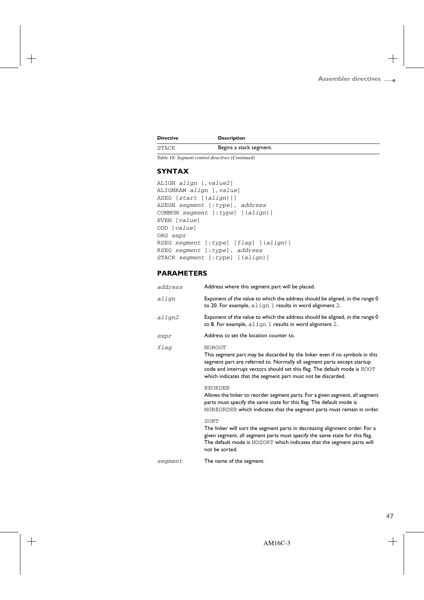| Directive | <b>Description</b>      |
|-----------|-------------------------|
| STACK     | Begins a stack segment. |

*Table 18: Segment control directives (Continued)*

# **SYNTAX**

```
ALIGN align [,value2]
ALIGNRAM align [,value]
ASEG [start [(align)]]
ASEGN segment [:type], address
COMMON segment [:type] [(align)]
EVEN [value]
ODD [value]
ORG expr
RSEG segment [:type] [flag] [(align)]
RSEG segment [:type], address
STACK segment [:type] [(align)]
```
# **PARAMETERS**

| address | Address where this segment part will be placed.                                                                                                                                                                                                                                                                      |  |  |
|---------|----------------------------------------------------------------------------------------------------------------------------------------------------------------------------------------------------------------------------------------------------------------------------------------------------------------------|--|--|
| align   | Exponent of the value to which the address should be aligned, in the range 0<br>to 20. For example, $align 1$ results in word alignment 2.                                                                                                                                                                           |  |  |
| align2  | Exponent of the value to which the address should be aligned, in the range 0<br>to 8. For example, align 1 results in word alignment 2.                                                                                                                                                                              |  |  |
| expr    | Address to set the location counter to.                                                                                                                                                                                                                                                                              |  |  |
| flag    | <b>NOROOT</b><br>This segment part may be discarded by the linker even if no symbols in this<br>segment part are referred to. Normally all segment parts except startup<br>code and interrupt vectors should set this flag. The default mode is ROOT<br>which indicates that the segment part must not be discarded. |  |  |
|         | <b>REORDER</b><br>Allows the linker to reorder segment parts. For a given segment, all segment<br>parts must specify the same state for this flag. The default mode is<br>NOREORDER which indicates that the segment parts must remain in order.                                                                     |  |  |
|         | SORT<br>The linker will sort the segment parts in decreasing alignment order. For a<br>given segment, all segment parts must specify the same state for this flag.<br>The default mode is NOSORT which indicates that the segment parts will<br>not be sorted.                                                       |  |  |
| segment | The name of the segment.                                                                                                                                                                                                                                                                                             |  |  |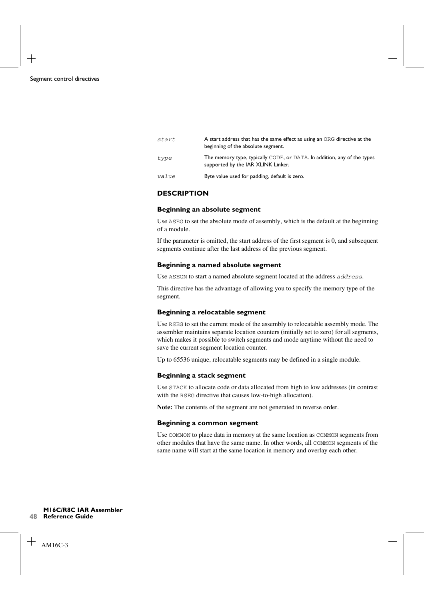| start | A start address that has the same effect as using an ORG directive at the<br>beginning of the absolute segment. |
|-------|-----------------------------------------------------------------------------------------------------------------|
| type  | The memory type, typically CODE, or DATA. In addition, any of the types<br>supported by the IAR XLINK Linker.   |
| value | Byte value used for padding, default is zero.                                                                   |

# **DESCRIPTION**

#### **Beginning an absolute segment**

Use ASEG to set the absolute mode of assembly, which is the default at the beginning of a module.

If the parameter is omitted, the start address of the first segment is 0, and subsequent segments continue after the last address of the previous segment.

# **Beginning a named absolute segment**

Use ASEGN to start a named absolute segment located at the address *address*.

This directive has the advantage of allowing you to specify the memory type of the segment.

### **Beginning a relocatable segment**

Use RSEG to set the current mode of the assembly to relocatable assembly mode. The assembler maintains separate location counters (initially set to zero) for all segments, which makes it possible to switch segments and mode anytime without the need to save the current segment location counter.

Up to 65536 unique, relocatable segments may be defined in a single module.

### **Beginning a stack segment**

Use STACK to allocate code or data allocated from high to low addresses (in contrast with the RSEG directive that causes low-to-high allocation).

**Note:** The contents of the segment are not generated in reverse order.

#### **Beginning a common segment**

Use COMMON to place data in memory at the same location as COMMON segments from other modules that have the same name. In other words, all COMMON segments of the same name will start at the same location in memory and overlay each other.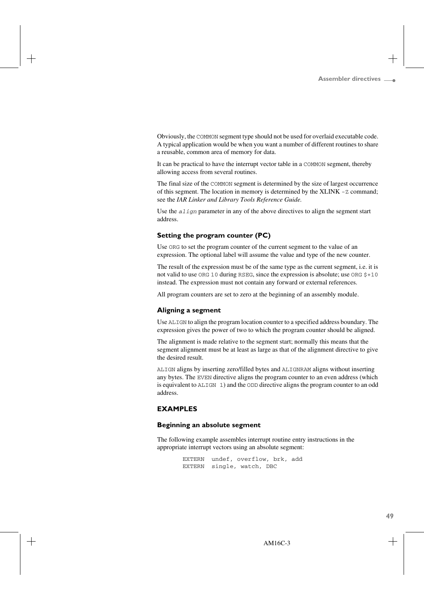Obviously, the COMMON segment type should not be used for overlaid executable code. A typical application would be when you want a number of different routines to share a reusable, common area of memory for data.

It can be practical to have the interrupt vector table in a COMMON segment, thereby allowing access from several routines.

The final size of the COMMON segment is determined by the size of largest occurrence of this segment. The location in memory is determined by the XLINK -z command; see the *IAR Linker and Library Tools Reference Guide.*

Use the *align* parameter in any of the above directives to align the segment start address.

# **Setting the program counter (PC)**

Use ORG to set the program counter of the current segment to the value of an expression. The optional label will assume the value and type of the new counter.

The result of the expression must be of the same type as the current segment, i.e. it is not valid to use ORG 10 during RSEG, since the expression is absolute; use ORG \$+10 instead. The expression must not contain any forward or external references.

All program counters are set to zero at the beginning of an assembly module.

#### **Aligning a segment**

Use ALIGN to align the program location counter to a specified address boundary. The expression gives the power of two to which the program counter should be aligned.

The alignment is made relative to the segment start; normally this means that the segment alignment must be at least as large as that of the alignment directive to give the desired result.

ALIGN aligns by inserting zero/filled bytes and ALIGNRAM aligns without inserting any bytes. The EVEN directive aligns the program counter to an even address (which is equivalent to ALIGN 1) and the ODD directive aligns the program counter to an odd address.

# **EXAMPLES**

#### **Beginning an absolute segment**

The following example assembles interrupt routine entry instructions in the appropriate interrupt vectors using an absolute segment:

> EXTERN undef, overflow, brk, add EXTERN single, watch, DBC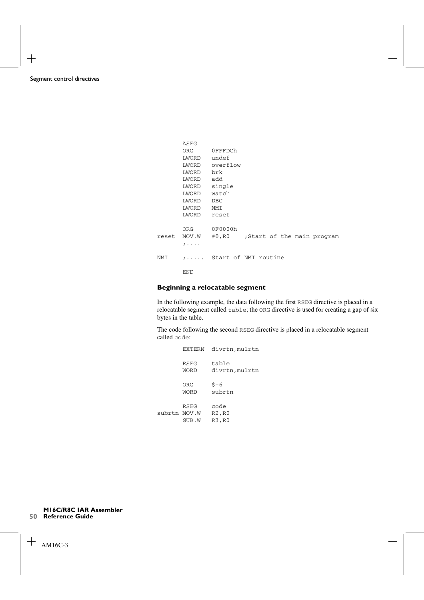```
 ASEG
       ORG 0FFFDCh
       LWORD undef
       LWORD overflow
       LWORD brk
       LWORD add
       LWORD single
       LWORD watch
       LWORD DBC
       LWORD NMI
       LWORD reset
       ORG 0F0000h
reset MOV.W #0,R0 ;Start of the main program
       ;....
NMI ;..... Start of NMI routine
       END
```
# **Beginning a relocatable segment**

In the following example, the data following the first RSEG directive is placed in a relocatable segment called table; the ORG directive is used for creating a gap of six bytes in the table.

The code following the second RSEG directive is placed in a relocatable segment called code:

|              | EXTERN        | divrtn, mulrtn           |
|--------------|---------------|--------------------------|
|              | RSEG<br>WORD  | table<br>divrtn, mulrtn  |
|              | ORG<br>WORD   | $$+6$<br>subrtn          |
| subrtn MOV.W | RSEG<br>SUB.W | code<br>R2, R0<br>R3, R0 |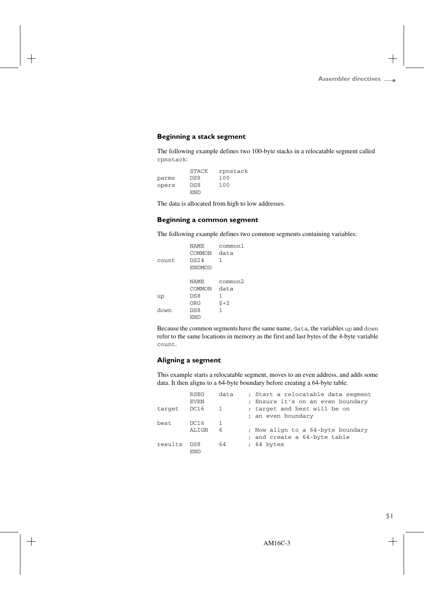# **Beginning a stack segment**

The following example defines two 100-byte stacks in a relocatable segment called rpnstack:

|       | STACK | rpnstack |
|-------|-------|----------|
| parms | DS8   | 100      |
| opers | DS8   | 100      |
|       | END   |          |

The data is allocated from high to low addresses.

# **Beginning a common segment**

The following example defines two common segments containing variables:

|        | <b>NAME</b>   | common1 |
|--------|---------------|---------|
|        | COMMON        | data    |
| count. | DS24          | 1       |
|        | <b>ENDMOD</b> |         |
|        |               |         |
|        | <b>NAME</b>   | common2 |
|        | COMMON        | data    |
| up     | DS8           | 1.      |
|        | ORG           | \$+2    |
| down   | DS8           | 1       |
|        | END           |         |

Because the common segments have the same name, data, the variables up and down refer to the same locations in memory as the first and last bytes of the 4-byte variable count.

# **Aligning a segment**

This example starts a relocatable segment, moves to an even address, and adds some data. It then aligns to a 64-byte boundary before creating a 64-byte table.

|         | <b>RSEG</b> | data         | ; Start a relocatable data segment |
|---------|-------------|--------------|------------------------------------|
|         | <b>EVEN</b> |              | ; Ensure it's on an even boundary  |
| target  | DC16        | $\mathbf{1}$ | ; target and best will be on       |
|         |             |              | ; an even boundary                 |
| best.   | DC16        | 1            |                                    |
|         | ALIGN       | 6            | ; Now align to a 64-byte boundary  |
|         |             |              | ; and create a 64-byte table       |
| results | DS8         | 64           | ; 64 bytes                         |
|         | <b>END</b>  |              |                                    |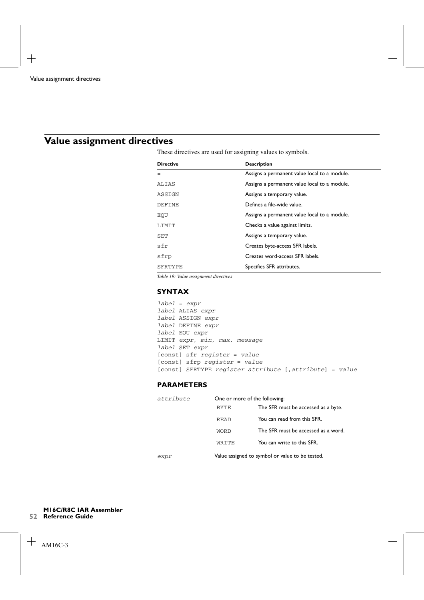# **Value assignment directives**

These directives are used for assigning values to symbols.

| <b>Directive</b> | <b>Description</b>                           |
|------------------|----------------------------------------------|
| $=$              | Assigns a permanent value local to a module. |
| ALIAS            | Assigns a permanent value local to a module. |
| ASSIGN           | Assigns a temporary value.                   |
| <b>DEFINE</b>    | Defines a file-wide value.                   |
| EOU              | Assigns a permanent value local to a module. |
| LIMIT            | Checks a value against limits.               |
| SET              | Assigns a temporary value.                   |
| sfr              | Creates byte-access SFR labels.              |
| sfrp             | Creates word-access SFR labels.              |
| SFRTYPE          | Specifies SFR attributes.                    |

*Table 19: Value assignment directives* 

# **SYNTAX**

*label* = *expr label* ALIAS *expr label* ASSIGN *expr label* DEFINE *expr label* EQU *expr* LIMIT *expr, min, max, message label* SET *expr* [const] sfr *register* = *value* [const] sfrp *register* = *value* [const] SFRTYPE *register attribute* [,*attribute*] = *value*

#### **PARAMETERS**

| attribute |             | One or more of the following:                   |  |
|-----------|-------------|-------------------------------------------------|--|
|           | <b>BYTE</b> | The SFR must be accessed as a byte.             |  |
|           | READ        | You can read from this SFR.                     |  |
|           | WORD        | The SFR must be accessed as a word.             |  |
|           | WRITE       | You can write to this SFR.                      |  |
| expr      |             | Value assigned to symbol or value to be tested. |  |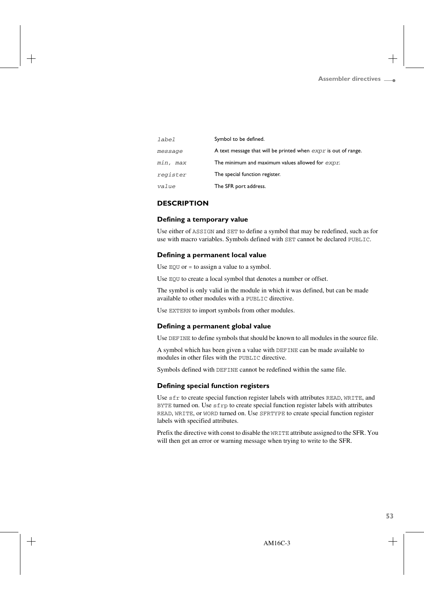| label       | Symbol to be defined.                                              |
|-------------|--------------------------------------------------------------------|
| message     | A text message that will be printed when $\exp r$ is out of range. |
| min,<br>max | The minimum and maximum values allowed for expr.                   |
| register    | The special function register.                                     |
| value       | The SFR port address.                                              |

# **DESCRIPTION**

# **Defining a temporary value**

Use either of ASSIGN and SET to define a symbol that may be redefined, such as for use with macro variables. Symbols defined with SET cannot be declared PUBLIC.

# **Defining a permanent local value**

Use  $EQU$  or  $=$  to assign a value to a symbol.

Use EQU to create a local symbol that denotes a number or offset.

The symbol is only valid in the module in which it was defined, but can be made available to other modules with a PUBLIC directive.

Use EXTERN to import symbols from other modules.

# **Defining a permanent global value**

Use DEFINE to define symbols that should be known to all modules in the source file.

A symbol which has been given a value with DEFINE can be made available to modules in other files with the PUBLIC directive.

Symbols defined with DEFINE cannot be redefined within the same file.

# **Defining special function registers**

Use sfr to create special function register labels with attributes READ, WRITE, and BYTE turned on. Use sfrp to create special function register labels with attributes READ, WRITE, or WORD turned on. Use SFRTYPE to create special function register labels with specified attributes.

Prefix the directive with const to disable the WRITE attribute assigned to the SFR. You will then get an error or warning message when trying to write to the SFR.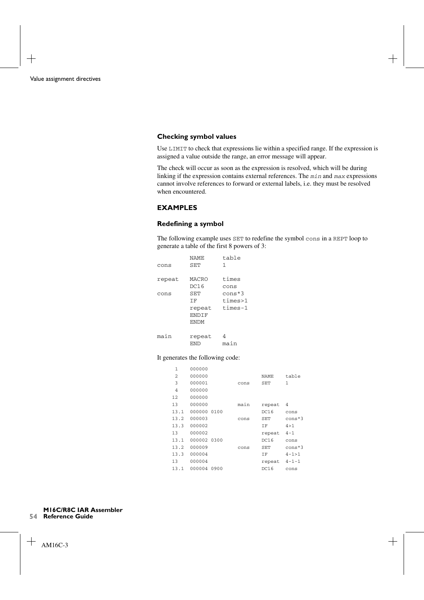# **Checking symbol values**

Use **LIMIT** to check that expressions lie within a specified range. If the expression is assigned a value outside the range, an error message will appear.

The check will occur as soon as the expression is resolved, which will be during linking if the expression contains external references. The *min* and *max* expressions cannot involve references to forward or external labels, i.e. they must be resolved when encountered.

# **EXAMPLES**

## **Redefining a symbol**

The following example uses SET to redefine the symbol cons in a REPT loop to generate a table of the first 8 powers of 3:

|        | <b>NAME</b>            | table    |
|--------|------------------------|----------|
| cons   | SET                    | 1        |
| repeat | MACRO                  | times    |
|        | DC16                   | cons     |
| cons   | <b>SET</b>             | $cons*3$ |
|        | ΤF                     | times>1  |
|        | repeat<br><b>ENDIF</b> | times-1  |
|        | <b>ENDM</b>            |          |
| main   | repeat                 | 4        |
|        | END.                   | main     |

#### It generates the following code:

| $\mathbf{1}$ | 000000      |      |            |             |
|--------------|-------------|------|------------|-------------|
| 2            | 000000      |      | NAME       | table       |
| 3            | 000001      | cons | <b>SET</b> | 1           |
| 4            | 000000      |      |            |             |
| 12           | 000000      |      |            |             |
| 13           | 000000      | main | repeat     | 4           |
| 13.1         | 000000 0100 |      | DC16       | cons        |
| 13.2         | 000003      | cons | <b>SET</b> | $cons*3$    |
| 13.3         | 000002      |      | ΙF         | 4 > 1       |
| 13           | 000002      |      | repeat     | $4 - 1$     |
| 13.1         | 000002 0300 |      | DC16       | cons        |
| 13.2         | 000009      | cons | SET        | $cons*3$    |
| 13.3         | 000004      |      | ΙF         | $4 - 1 > 1$ |
| 13           | 000004      |      | repeat     | $4 - 1 - 1$ |
| 13.1         | 000004 0900 |      | DC16       | cons        |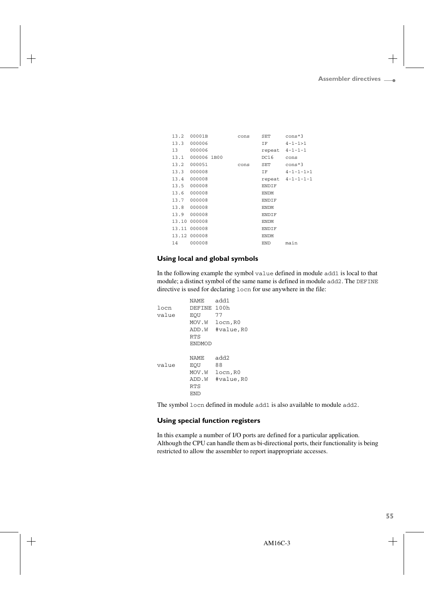| 13.2  | 00001B       | cons | SET          | $cons*3$            |
|-------|--------------|------|--------------|---------------------|
| 13.3  | 000006       |      | IF           | $4 - 1 - 1 > 1$     |
| 13    | 000006       |      |              | repeat $4-1-1-1$    |
| 13.1  | 000006 1B00  |      | DC16         | cons                |
| 13.2  | 000051       | cons | SET          | $cons*3$            |
| 13.3  | 000008       |      | IF           | $4 - 1 - 1 - 1 > 1$ |
| 13.4  | 000008       |      |              | repeat $4-1-1-1-1$  |
| 13.5  | 000008       |      | <b>ENDIF</b> |                     |
| 13.6  | 000008       |      | <b>ENDM</b>  |                     |
| 13.7  | 000008       |      | ENDIF        |                     |
|       | 13.8 000008  |      | <b>ENDM</b>  |                     |
| 13.9  | 000008       |      | ENDIF        |                     |
| 13.10 | 000008       |      | <b>ENDM</b>  |                     |
|       | 13.11 000008 |      | <b>ENDIF</b> |                     |
|       | 13.12 000008 |      | <b>ENDM</b>  |                     |
| 14    | 000008       |      | <b>END</b>   | main                |

# **Using local and global symbols**

In the following example the symbol value defined in module add1 is local to that module; a distinct symbol of the same name is defined in module add2. The DEFINE directive is used for declaring locn for use anywhere in the file:

|       | NAME          | add1       |
|-------|---------------|------------|
| locn  | DEFINE 100h   |            |
| value | EOU           | 77         |
|       | MOV.W         | locn,R0    |
|       | ADD.W         | #value, R0 |
|       | <b>RTS</b>    |            |
|       | <b>ENDMOD</b> |            |
|       |               |            |
|       | <b>NAME</b>   | add2       |
| value | EOU           | 88         |
|       | MOV.W         | locn, R0   |
|       | ADD.W         | #value,R0  |
|       | <b>RTS</b>    |            |
|       | END           |            |

The symbol locn defined in module add1 is also available to module add2.

# **Using special function registers**

In this example a number of I/O ports are defined for a particular application. Although the CPU can handle them as bi-directional ports, their functionality is being restricted to allow the assembler to report inappropriate accesses.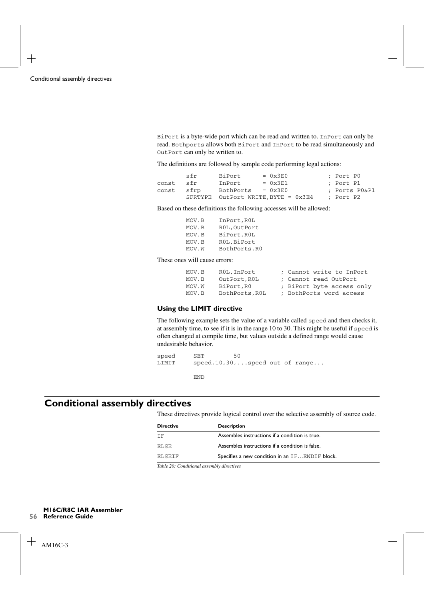BiPort is a byte-wide port which can be read and written to. InPort can only be read. Bothports allows both BiPort and InPort to be read simultaneously and OutPort can only be written to.

The definitions are followed by sample code performing legal actions:

|       | sfr  | BiPort    | $= 0x3E0$                           |  | : Port PO     |
|-------|------|-----------|-------------------------------------|--|---------------|
| const | sfr  | InPort    | $= 0x3E1$                           |  | : Port P1     |
| const | sfrp | BothPorts | $= 0x3E0$                           |  | ; Ports P0&P1 |
|       |      |           | SFRTYPE OutPort WRITE, BYTE = 0x3E4 |  | : Port P2     |

Based on these definitions the following accesses will be allowed:

 MOV.B InPort,R0L MOV.B R0L,OutPort MOV.B BiPort,R0L MOV.B R0L,BiPort MOV.W BothPorts,R0

These ones will cause errors:

| MOV.B | ROL, InPort    | : Cannot write to InPort  |
|-------|----------------|---------------------------|
| MOV.B | OutPort, ROL   | ; Cannot read OutPort     |
| MOV.W | BiPort, RO     | ; BiPort byte access only |
| MOV.B | BothPorts, ROL | ; BothPorts word access   |

# **Using the LIMIT directive**

The following example sets the value of a variable called speed and then checks it, at assembly time, to see if it is in the range 10 to 30. This might be useful if speed is often changed at compile time, but values outside a defined range would cause undesirable behavior.

speed SET 50 LIMIT speed,10,30,...speed out of range... END

# **Conditional assembly directives**

These directives provide logical control over the selective assembly of source code.

| Directive | <b>Description</b>                              |
|-----------|-------------------------------------------------|
| ΤF        | Assembles instructions if a condition is true.  |
| ELSE      | Assembles instructions if a condition is false. |
| ELSETF    | Specifies a new condition in an IFENDIF block.  |

*Table 20: Conditional assembly directives*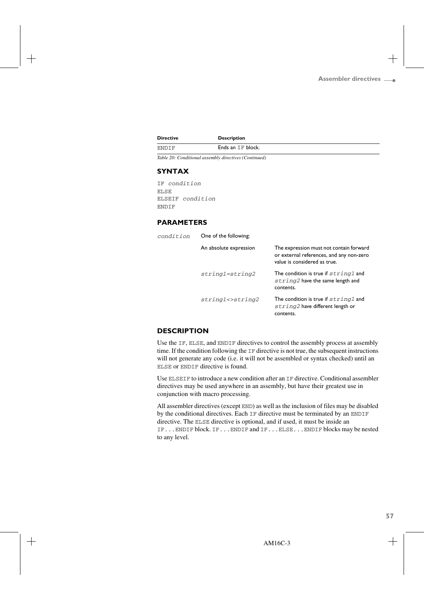| Directive    | <b>Description</b> |
|--------------|--------------------|
| <b>ENDIF</b> | Ends an IF block.  |

*Table 20: Conditional assembly directives (Continued)*

# **SYNTAX**

IF *condition* ELSE ELSEIF *condition* ENDIF

# **PARAMETERS**

| condition | One of the following:  |                                                                                                                     |  |  |
|-----------|------------------------|---------------------------------------------------------------------------------------------------------------------|--|--|
|           | An absolute expression | The expression must not contain forward<br>or external references, and any non-zero<br>value is considered as true. |  |  |
|           | string1=string2        | The condition is true if $string1$ and<br>$string2$ have the same length and<br>contents.                           |  |  |
|           | string1<>string2       | The condition is true if $string1$ and<br>string2 have different length or<br>contents.                             |  |  |

# **DESCRIPTION**

Use the IF, ELSE, and ENDIF directives to control the assembly process at assembly time. If the condition following the IF directive is not true, the subsequent instructions will not generate any code (i.e. it will not be assembled or syntax checked) until an ELSE or ENDIF directive is found.

Use ELSEIF to introduce a new condition after an IF directive. Conditional assembler directives may be used anywhere in an assembly, but have their greatest use in conjunction with macro processing.

All assembler directives (except END) as well as the inclusion of files may be disabled by the conditional directives. Each IF directive must be terminated by an ENDIF directive. The ELSE directive is optional, and if used, it must be inside an IF... ENDIF block. IF... ENDIF and IF... ELSE... ENDIF blocks may be nested to any level.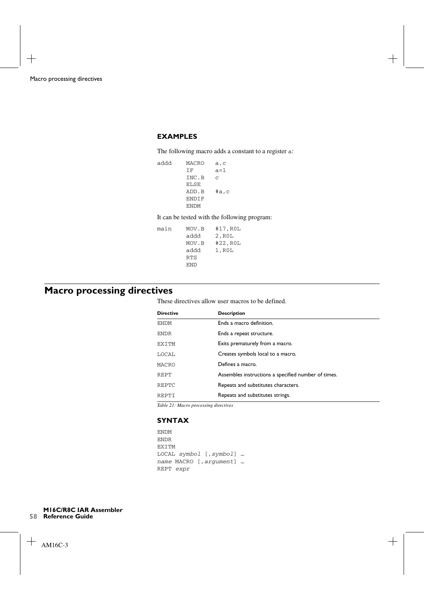# **EXAMPLES**

The following macro adds a constant to a register a:

addd MACRO a,c IF a=1 INC.B c ELSE ADD.B #a,c ENDIF ENDM

It can be tested with the following program:

| main | MOV.B      | #17,ROL  |
|------|------------|----------|
|      | addd       | 2,R0L    |
|      | MOV.B      | #22, ROL |
|      | addd       | 1,R0L    |
|      | RTS        |          |
|      | <b>END</b> |          |

# **Macro processing directives**

These directives allow user macros to be defined.

| <b>Directive</b> | <b>Description</b>                                  |
|------------------|-----------------------------------------------------|
| <b>ENDM</b>      | Ends a macro definition.                            |
| <b>ENDR</b>      | Ends a repeat structure.                            |
| <b>EXTTM</b>     | Exits prematurely from a macro.                     |
| LOCAL            | Creates symbols local to a macro.                   |
| <b>MACRO</b>     | Defines a macro.                                    |
| <b>REPT</b>      | Assembles instructions a specified number of times. |
| <b>REPTC</b>     | Repeats and substitutes characters.                 |
| <b>REPTT</b>     | Repeats and substitutes strings.                    |

*Table 21: Macro processing directives* 

# **SYNTAX**

ENDM ENDR EXITM LOCAL *symbol* [,*symbol*] … *name* MACRO [,*argument*] … REPT *expr*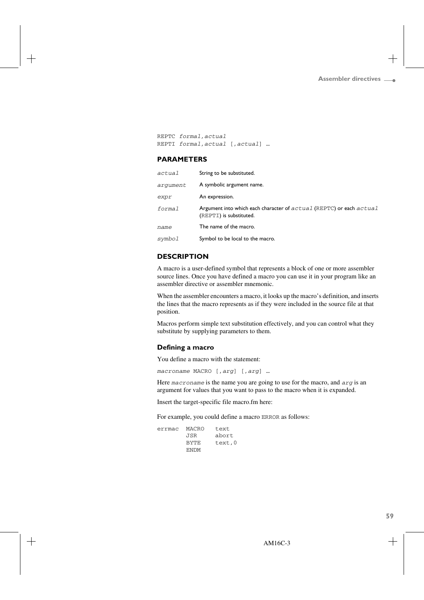REPTC *formal,actual* REPTI *formal,actual* [,*actual*] …

# **PARAMETERS**

| actual   | String to be substituted.                                                                          |
|----------|----------------------------------------------------------------------------------------------------|
| arqument | A symbolic argument name.                                                                          |
| expr     | An expression.                                                                                     |
| formal   | Argument into which each character of $actual$ (REPTC) or each $actual$<br>(REPTI) is substituted. |
| name     | The name of the macro.                                                                             |
| symbol   | Symbol to be local to the macro.                                                                   |

# **DESCRIPTION**

A macro is a user-defined symbol that represents a block of one or more assembler source lines. Once you have defined a macro you can use it in your program like an assembler directive or assembler mnemonic.

When the assembler encounters a macro, it looks up the macro's definition, and inserts the lines that the macro represents as if they were included in the source file at that position.

Macros perform simple text substitution effectively, and you can control what they substitute by supplying parameters to them.

#### **Defining a macro**

You define a macro with the statement:

*macroname* MACRO [,*arg*] [,*arg*] …

Here *macroname* is the name you are going to use for the macro, and *arg* is an argument for values that you want to pass to the macro when it is expanded.

Insert the target-specific file macro.fm here:

For example, you could define a macro ERROR as follows:

| errmac | <b>MACRO</b> | t.ext. |
|--------|--------------|--------|
|        | JSR          | abort  |
|        | BYTE.        | text.0 |
|        | <b>ENDM</b>  |        |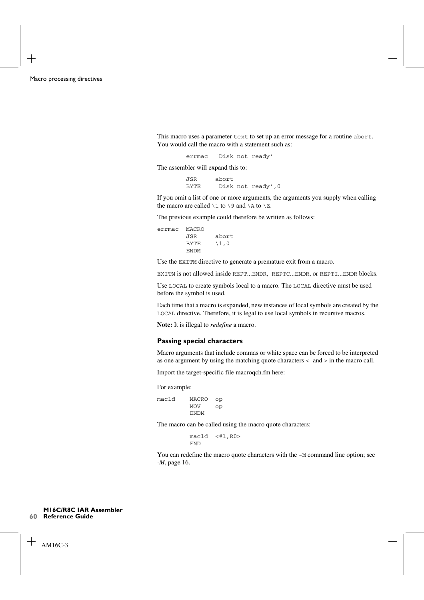This macro uses a parameter text to set up an error message for a routine abort. You would call the macro with a statement such as:

errmac 'Disk not ready'

The assembler will expand this to:

 JSR abort BYTE 'Disk not ready',0

If you omit a list of one or more arguments, the arguments you supply when calling the macro are called  $\setminus$ 1 to  $\setminus$ 9 and  $\setminus$ A to  $\setminus$ Z.

The previous example could therefore be written as follows:

errmac MACRO JSR abort BYTE  $\setminus 1, 0$ **ENDM** 

Use the EXITM directive to generate a premature exit from a macro.

EXITM is not allowed inside REPT...ENDR, REPTC...ENDR, or REPTI...ENDR blocks.

Use LOCAL to create symbols local to a macro. The LOCAL directive must be used before the symbol is used.

Each time that a macro is expanded, new instances of local symbols are created by the LOCAL directive. Therefore, it is legal to use local symbols in recursive macros.

**Note:** It is illegal to *redefine* a macro.

#### **Passing special characters**

Macro arguments that include commas or white space can be forced to be interpreted as one argument by using the matching quote characters  $\langle$  and  $\rangle$  in the macro call.

Import the target-specific file macroqch.fm here:

For example:

```
macld MACRO op
        MOV op
        ENDM
```
The macro can be called using the macro quote characters:

 macld <#1,R0> END

You can redefine the macro quote characters with the  $-M$  command line option; see *-M*[, page 16.](#page-27-0)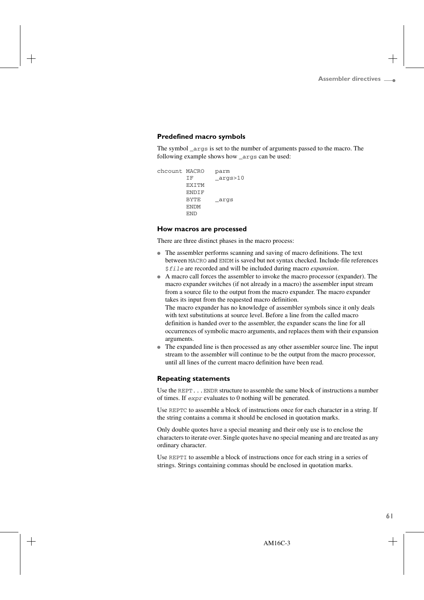#### <span id="page-72-0"></span>**Predefined macro symbols**

The symbol args is set to the number of arguments passed to the macro. The following example shows how args can be used:

```
chcount MACRO parm
       IF args>10
        EXITM
        ENDIF
       BYTE args
        ENDM
        END
```
#### <span id="page-72-1"></span>**How macros are processed**

There are three distinct phases in the macro process:

- The assembler performs scanning and saving of macro definitions. The text between MACRO and ENDM is saved but not syntax checked. Include-file references \$*file* are recorded and will be included during macro *expansion*.
- A macro call forces the assembler to invoke the macro processor (expander). The macro expander switches (if not already in a macro) the assembler input stream from a source file to the output from the macro expander. The macro expander takes its input from the requested macro definition.

The macro expander has no knowledge of assembler symbols since it only deals with text substitutions at source level. Before a line from the called macro definition is handed over to the assembler, the expander scans the line for all occurrences of symbolic macro arguments, and replaces them with their expansion arguments.

● The expanded line is then processed as any other assembler source line. The input stream to the assembler will continue to be the output from the macro processor, until all lines of the current macro definition have been read.

#### **Repeating statements**

Use the REPT...ENDR structure to assemble the same block of instructions a number of times. If *expr* evaluates to 0 nothing will be generated.

Use REPTC to assemble a block of instructions once for each character in a string. If the string contains a comma it should be enclosed in quotation marks.

Only double quotes have a special meaning and their only use is to enclose the characters to iterate over. Single quotes have no special meaning and are treated as any ordinary character.

Use REPTI to assemble a block of instructions once for each string in a series of strings. Strings containing commas should be enclosed in quotation marks.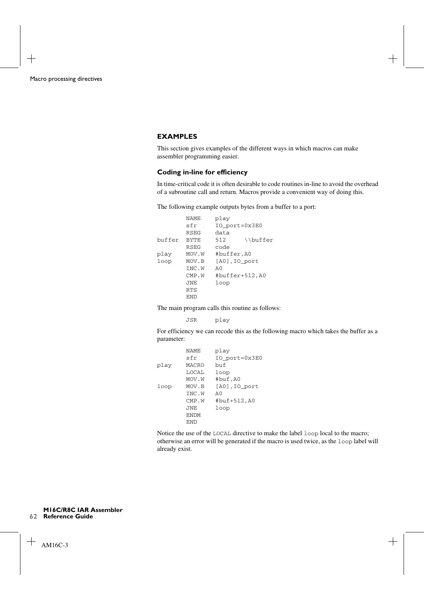#### **EXAMPLES**

This section gives examples of the different ways in which macros can make assembler programming easier.

#### <span id="page-73-0"></span>**Coding in-line for efficiency**

In time-critical code it is often desirable to code routines in-line to avoid the overhead of a subroutine call and return. Macros provide a convenient way of doing this.

The following example outputs bytes from a buffer to a port:

|        | NAME.       | play               |
|--------|-------------|--------------------|
|        | sfr         | IO port=0x3E0      |
|        | <b>RSEG</b> | data               |
| buffer | <b>BYTE</b> | 512<br>\\buffer    |
|        | <b>RSEG</b> | code               |
| play   | MOV.W       | #buffer,A0         |
| loop   | MOV.B       | $[A0]$ , $IO$ port |
|        | INC.W       | A <sub>0</sub>     |
|        | CMP.W       | #buffer+512,A0     |
|        | JNE         | loop               |
|        | <b>RTS</b>  |                    |
|        | END         |                    |

The main program calls this routine as follows:

JSR play

For efficiency we can recode this as the following macro which takes the buffer as a parameter:

|      | NAME.       | play             |
|------|-------------|------------------|
|      | sfr         | $IO\_port=0x3E0$ |
| play | MACRO       | buf              |
|      | LOCAL       | loop             |
|      | MOV.W       | #buf,A0          |
| loop | MOV.B       | $[A0]$ , IO port |
|      | INC.W       | ΑO               |
|      | CMP.W       | #buf+512,A0      |
|      | JNE         | loop             |
|      | <b>ENDM</b> |                  |
|      | END         |                  |

Notice the use of the LOCAL directive to make the label loop local to the macro; otherwise an error will be generated if the macro is used twice, as the loop label will already exist.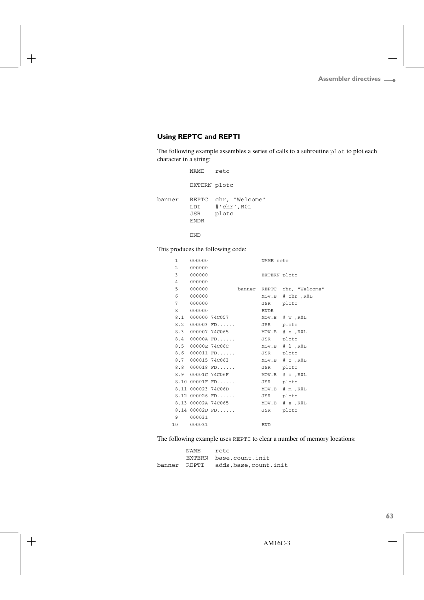#### **Using REPTC and REPTI**

The following example assembles a series of calls to a subroutine plot to plot each character in a string:

 NAME retc EXTERN plotc banner REPTC chr, "Welcome" LDI #'chr',R0L JSR plotc ENDR

END

This produces the following code:

| $1 \quad \Box$    | 000000    |                                 | NAME retc    |                             |
|-------------------|-----------|---------------------------------|--------------|-----------------------------|
| $2 \qquad \qquad$ | 000000    |                                 |              |                             |
|                   | 3 000000  |                                 | EXTERN plotc |                             |
|                   | 4 000000  |                                 |              |                             |
| $5 -$             | 000000    |                                 |              | banner REPTC chr, "Welcome" |
| 6 —               | 000000    |                                 |              | MOV.B #'chr', ROL           |
| 7                 | 000000    |                                 | JSR plotc    |                             |
|                   | 8 000000  |                                 | ENDR         |                             |
|                   |           | 8.1 000000 74C057               |              | MOV.B #'W',ROL              |
|                   |           | 8.2 000003 FD                   |              | JSR plotc                   |
|                   |           | 8.3 000007 74C065               |              | MOV.B #'e',ROL              |
|                   |           | 8.4 00000A FD                   |              | JSR plotc                   |
|                   |           | 8.5 00000E 74C06C               |              | MOV.B #'l',ROL              |
|                   |           | 8.6 000011 FD                   |              | JSR plotc                   |
|                   |           | 8.7 000015 74C063               |              | MOV.B #'c',ROL              |
|                   |           | 8.8 000018 FD                   | JSR plotc    |                             |
|                   |           | 8.9 00001C 74C06F               |              | MOV.B #'o',ROL              |
|                   |           | 8.10 00001F FD                  | JSR plotc    |                             |
|                   |           | 8.11 000023 74C06D              |              | MOV.B #'m',ROL              |
|                   |           | $8.12\ 000026\ \text{FD} \dots$ | JSR plotc    |                             |
|                   |           | 8.13 00002A 74C065              |              | MOV.B #'e',ROL              |
|                   |           | 8.14 00002D FD                  | JSR plotc    |                             |
|                   | 9 000031  |                                 |              |                             |
|                   | 10 000031 |                                 | <b>END</b>   |                             |
|                   |           |                                 |              |                             |

The following example uses REPTI to clear a number of memory locations:

 NAME retc EXTERN base,count,init banner REPTI adds,base,count,init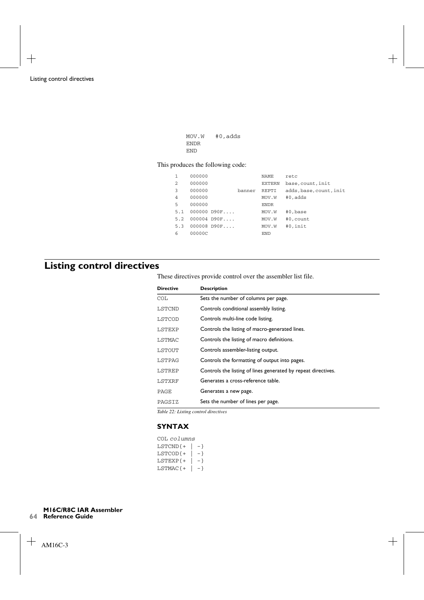| MOV.W | #0,adds |
|-------|---------|
| ENDR. |         |
| END   |         |

#### This produces the following code:

| 1              | 000000 |                 |        | NAME.         | retc                    |
|----------------|--------|-----------------|--------|---------------|-------------------------|
| $\mathfrak{D}$ | 000000 |                 |        | <b>EXTERN</b> | base, count, init       |
| 3              | 000000 |                 | banner | <b>REPTT</b>  | adds, base, count, init |
| 4              | 000000 |                 |        | MOV.W         | $#0$ , adds             |
| 5              | 000000 |                 |        | <b>ENDR</b>   |                         |
| 5.1            |        | 0000000090F     |        | MOV.W         | $#0$ , base             |
| 5.2            |        | $000004$ $D90F$ |        | MOV.W         | $#0$ , count            |
| 5.3            |        | $000008$ $D90F$ |        | MOV.W         | #0,init                 |
| 6              | 00000C |                 |        | <b>END</b>    |                         |

### **Listing control directives**

<span id="page-75-1"></span>These directives provide control over the assembler list file.

<span id="page-75-6"></span><span id="page-75-5"></span><span id="page-75-4"></span><span id="page-75-3"></span><span id="page-75-2"></span><span id="page-75-0"></span>

| <b>Directive</b> | <b>Description</b>                                            |
|------------------|---------------------------------------------------------------|
| COL              | Sets the number of columns per page.                          |
| LSTCND           | Controls conditional assembly listing.                        |
| LSTCOD           | Controls multi-line code listing.                             |
| LSTEXP           | Controls the listing of macro-generated lines.                |
| LSTMAC           | Controls the listing of macro definitions.                    |
| LSTOUT           | Controls assembler-listing output.                            |
| LSTPAG           | Controls the formatting of output into pages.                 |
| LSTREP           | Controls the listing of lines generated by repeat directives. |
| LSTXRF           | Generates a cross-reference table.                            |
| <b>PAGE</b>      | Generates a new page.                                         |
| PAGSIZ           | Sets the number of lines per page.                            |

<span id="page-75-11"></span><span id="page-75-10"></span><span id="page-75-9"></span><span id="page-75-8"></span><span id="page-75-7"></span>*Table 22: Listing control directives* 

#### **SYNTAX**

COL *columns*  $LSTCND{+ | -}$  $LSTCOD+ | -$ }  $LSTEXP{+ | -}$ LSTMAC $\{-$  | -}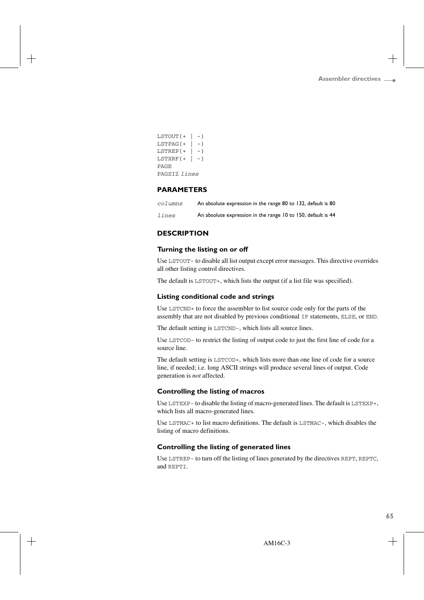```
LSTOUT(+ | -)LSTPAG\{+ | -\}LSTREF\{+ | -\}LSTXRF\{+ | -\}PAGE
PAGSIZ lines
```
#### **PARAMETERS**

| columns | An absolute expression in the range 80 to 132, default is 80 |
|---------|--------------------------------------------------------------|
| lines   | An absolute expression in the range 10 to 150, default is 44 |

#### **DESCRIPTION**

#### <span id="page-76-1"></span>**Turning the listing on or off**

Use LSTOUT- to disable all list output except error messages. This directive overrides all other listing control directives.

The default is LSTOUT+, which lists the output (if a list file was specified).

#### <span id="page-76-0"></span>**Listing conditional code and strings**

Use LSTCND+ to force the assembler to list source code only for the parts of the assembly that are not disabled by previous conditional IF statements, ELSE, or END.

The default setting is LSTCND-, which lists all source lines.

Use LSTCOD- to restrict the listing of output code to just the first line of code for a source line.

The default setting is LSTCOD+, which lists more than one line of code for a source line, if needed; i.e. long ASCII strings will produce several lines of output. Code generation is *not* affected.

#### <span id="page-76-3"></span>**Controlling the listing of macros**

Use LSTEXP- to disable the listing of macro-generated lines. The default is LSTEXP+, which lists all macro-generated lines.

Use LSTMAC+ to list macro definitions. The default is LSTMAC-, which disables the listing of macro definitions.

#### <span id="page-76-2"></span>**Controlling the listing of generated lines**

Use LSTREP- to turn off the listing of lines generated by the directives REPT, REPTC, and REPTI.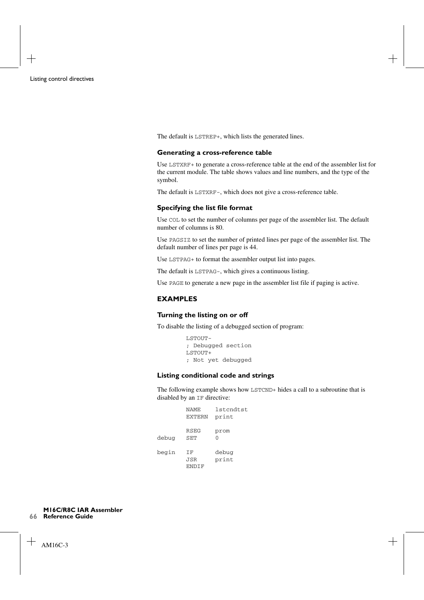The default is LSTREP+, which lists the generated lines.

#### <span id="page-77-0"></span>**Generating a cross-reference table**

Use LSTXRF+ to generate a cross-reference table at the end of the assembler list for the current module. The table shows values and line numbers, and the type of the symbol.

The default is LSTXRF-, which does not give a cross-reference table.

#### <span id="page-77-1"></span>**Specifying the list file format**

Use COL to set the number of columns per page of the assembler list. The default number of columns is 80.

Use PAGSIZ to set the number of printed lines per page of the assembler list. The default number of lines per page is 44.

Use LSTPAG+ to format the assembler output list into pages.

The default is LSTPAG-, which gives a continuous listing.

Use PAGE to generate a new page in the assembler list file if paging is active.

#### **EXAMPLES**

#### **Turning the listing on or off**

To disable the listing of a debugged section of program:

```
 LSTOUT-
 ; Debugged section
 LSTOUT+
 ; Not yet debugged
```
#### **Listing conditional code and strings**

The following example shows how LSTCND+ hides a call to a subroutine that is disabled by an IF directive:

|       | <b>NAME</b> | lstcndtst |
|-------|-------------|-----------|
|       | EXTERN      | print     |
|       |             |           |
|       | RSEG        | prom      |
| debug | SET         |           |
|       |             |           |
| begin | ΤF          | debua     |
|       | JSR         | print     |
|       | ENDIF       |           |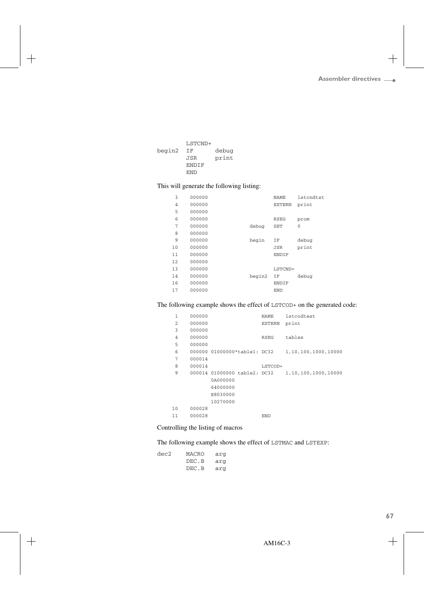LSTCND+ begin2 IF debug JSR print ENDIF END

This will generate the following listing:

| 3              | 000000 |        | <b>NAME</b>   | lstendtst |
|----------------|--------|--------|---------------|-----------|
| $\overline{4}$ | 000000 |        | <b>EXTERN</b> | print     |
| 5              | 000000 |        |               |           |
| 6              | 000000 |        | <b>RSEG</b>   | prom      |
| 7              | 000000 | debug  | <b>SET</b>    | 0         |
| 8              | 000000 |        |               |           |
| 9              | 000000 | begin  | ΙF            | debug     |
| 10             | 000000 |        | <b>JSR</b>    | print     |
| 11             | 000000 |        | <b>ENDIF</b>  |           |
| 12             | 000000 |        |               |           |
| 13             | 000000 |        | LSTCND+       |           |
| 14             | 000000 | begin2 | ΙF            | debug     |
| 16             | 000000 |        | <b>ENDIF</b>  |           |
| 17             | 000000 |        | END           |           |

The following example shows the effect of LSTCOD+ on the generated code:

| 1              | 000000 |                              | <b>NAME</b>   | lstcodtest          |
|----------------|--------|------------------------------|---------------|---------------------|
| $\mathfrak{D}$ | 000000 |                              | <b>EXTERN</b> | print               |
| 3              | 000000 |                              |               |                     |
| 4              | 000000 |                              | <b>RSEG</b>   | tables              |
| 5              | 000000 |                              |               |                     |
| 6              |        | 000000 01000000*table1: DC32 |               | 1,10,100,1000,10000 |
| 7              | 000014 |                              |               |                     |
| 8              | 000014 |                              | LSTCOD+       |                     |
| 9              |        | 000014 01000000 table2: DC32 |               | 1,10,100,1000,10000 |
|                |        | 0A000000                     |               |                     |
|                |        | 64000000                     |               |                     |
|                |        | E8030000                     |               |                     |
|                |        | 10270000                     |               |                     |
| 10             | 000028 |                              |               |                     |
| 11             | 000028 |                              | <b>END</b>    |                     |

Controlling the listing of macros

The following example shows the effect of LSTMAC and LSTEXP:

| dec2 | MACRO   | arq |
|------|---------|-----|
|      | DEC . B | arq |
|      | DEC . B | arq |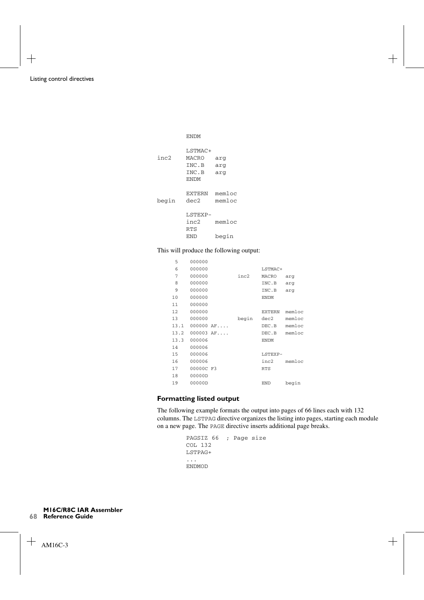**ENDM**  LSTMAC+ inc2 MACRO arg INC.B arg INC.B arg ENDM EXTERN memloc begin dec2 memloc LSTEXP inc2 memloc RTS END begin

This will produce the following output:

| 5    | 000000         |       |               |        |
|------|----------------|-------|---------------|--------|
| 6    | 000000         |       | LSTMAC+       |        |
| 7    | 000000         | inc2  | MACRO         | arg    |
| 8    | 000000         |       | INC.B         | arg    |
| 9    | 000000         |       | INC.B         | arg    |
| 10   | 000000         |       | <b>ENDM</b>   |        |
| 11   | 000000         |       |               |        |
| 12   | 000000         |       | <b>EXTERN</b> | memloc |
| 13   | 000000         | begin | dec2          | memloc |
| 13.1 | $0000000$ $AF$ |       | DEC.B         | memloc |
| 13.2 | $000003$ AF    |       | DEC.B         | memloc |
| 13.3 | 000006         |       | <b>ENDM</b>   |        |
| 14   | 000006         |       |               |        |
| 15   | 000006         |       | LSTEXP-       |        |
| 16   | 000006         |       | inc2          | memloc |
| 17   | 00000C F3      |       | <b>RTS</b>    |        |
| 18   | 00000D         |       |               |        |
| 19   | 00000D         |       | END           | begin  |

#### **Formatting listed output**

The following example formats the output into pages of 66 lines each with 132 columns. The LSTPAG directive organizes the listing into pages, starting each module on a new page. The PAGE directive inserts additional page breaks.

```
 PAGSIZ 66 ; Page size
 COL 132
 LSTPAG+
 ...
 ENDMOD
```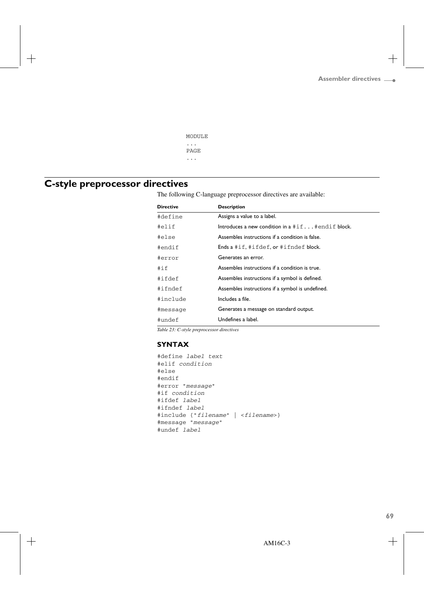#### MODULE.

<span id="page-80-0"></span> ... PAGE ...

## **C-style preprocessor directives**

The following C-language preprocessor directives are available:

<span id="page-80-6"></span><span id="page-80-5"></span><span id="page-80-4"></span><span id="page-80-3"></span><span id="page-80-2"></span><span id="page-80-1"></span>

| <b>Directive</b> | <b>Description</b>                                                 |
|------------------|--------------------------------------------------------------------|
| #define          | Assigns a value to a label.                                        |
| #elif            | Introduces a new condition in a $\#$ i f $\#$ endi f block.        |
| #else            | Assembles instructions if a condition is false.                    |
| #endif           | Ends $a \# \text{if}, \# \text{ifdef}, or \# \text{ifndef block}.$ |
| #error           | Generates an error.                                                |
| #if              | Assembles instructions if a condition is true.                     |
| #ifdef           | Assembles instructions if a symbol is defined.                     |
| #ifndef          | Assembles instructions if a symbol is undefined.                   |
| #include         | Includes a file.                                                   |
| #message         | Generates a message on standard output.                            |
| #undef           | Undefines a label.                                                 |

<span id="page-80-11"></span><span id="page-80-10"></span><span id="page-80-9"></span><span id="page-80-8"></span><span id="page-80-7"></span>*Table 23: C-style preprocessor directives* 

#### **SYNTAX**

```
#define label text
#elif condition
#else
#endif
#error "message"
#if condition
#ifdef label
#ifndef label
#include {"filename" | <filename>}
#message "message"
#undef label
```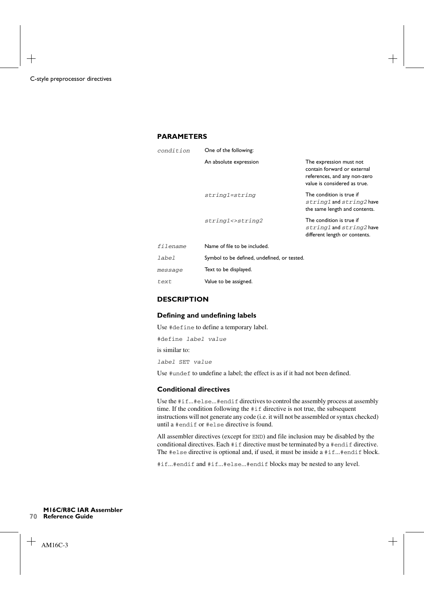#### **PARAMETERS**

| condition | One of the following:                       |                                                                                                                        |  |  |  |
|-----------|---------------------------------------------|------------------------------------------------------------------------------------------------------------------------|--|--|--|
|           | An absolute expression                      | The expression must not<br>contain forward or external<br>references, and any non-zero<br>value is considered as true. |  |  |  |
|           | string1=string                              | The condition is true if<br>$string1$ and $string2$ have<br>the same length and contents.                              |  |  |  |
|           | string1<>string2                            | The condition is true if<br>$string1$ and $string2$ have<br>different length or contents.                              |  |  |  |
| filename  | Name of file to be included.                |                                                                                                                        |  |  |  |
| label     | Symbol to be defined, undefined, or tested. |                                                                                                                        |  |  |  |
| message   | Text to be displayed.                       |                                                                                                                        |  |  |  |
| text      | Value to be assigned.                       |                                                                                                                        |  |  |  |

#### **DESCRIPTION**

#### <span id="page-81-1"></span>**Defining and undefining labels**

Use #define to define a temporary label.

#define *label value* is similar to: *label* SET *value* Use #undef to undefine a label; the effect is as if it had not been defined.

#### <span id="page-81-0"></span>**Conditional directives**

Use the #if...#else...#endif directives to control the assembly process at assembly time. If the condition following the #if directive is not true, the subsequent instructions will not generate any code (i.e. it will not be assembled or syntax checked) until a #endif or #else directive is found.

All assembler directives (except for END) and file inclusion may be disabled by the conditional directives. Each #if directive must be terminated by a #endif directive. The #else directive is optional and, if used, it must be inside a #if...#endif block.

#if...#endif and #if...#else...#endif blocks may be nested to any level.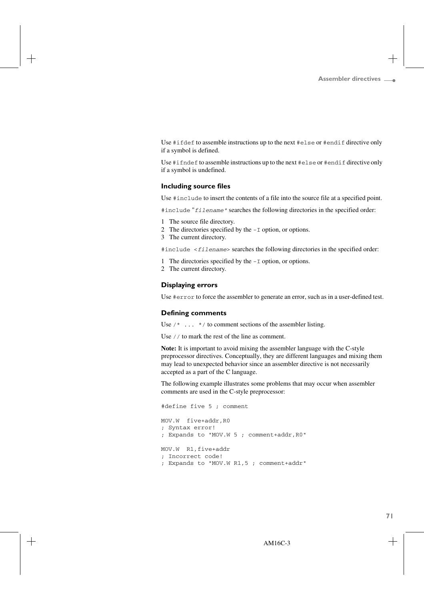Use #ifdef to assemble instructions up to the next #else or #endif directive only if a symbol is defined.

Use  $\#$ i fndef to assemble instructions up to the next  $\#$ else or  $\#$ endif directive only if a symbol is undefined.

#### <span id="page-82-0"></span>**Including source files**

Use #include to insert the contents of a file into the source file at a specified point.

#include "*filename"* searches the following directories in the specified order:

- 1 The source file directory.
- 2 The directories specified by the -I option, or options.
- 3 The current directory.

#include <*filename*> searches the following directories in the specified order:

- 1 The directories specified by the -I option, or options.
- 2 The current directory.

#### <span id="page-82-2"></span>**Displaying errors**

Use #error to force the assembler to generate an error, such as in a user-defined test.

#### <span id="page-82-1"></span>**Defining comments**

Use  $\ell^*$  ...  $\ell$  to comment sections of the assembler listing.

Use  $//$  to mark the rest of the line as comment.

**Note:** It is important to avoid mixing the assembler language with the C-style preprocessor directives. Conceptually, they are different languages and mixing them may lead to unexpected behavior since an assembler directive is not necessarily accepted as a part of the C language.

The following example illustrates some problems that may occur when assembler comments are used in the C-style preprocessor:

```
#define five 5 ; comment
MOV.W five+addr,R0
; Syntax error!
; Expands to "MOV.W 5 ; comment+addr,R0"
MOV.W R1,five+addr
; Incorrect code!
; Expands to "MOV.W R1,5 ; comment+addr"
```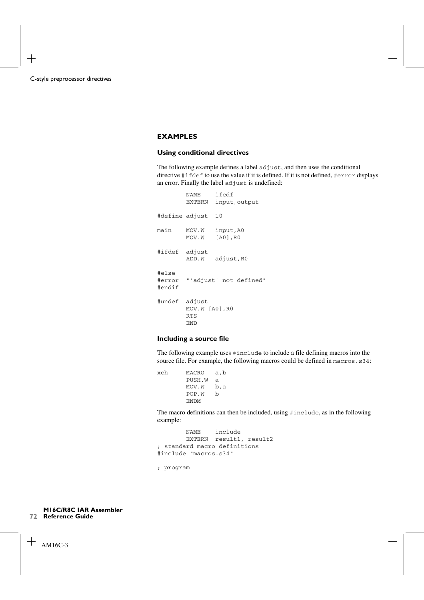#### **EXAMPLES**

#### **Using conditional directives**

The following example defines a label adjust, and then uses the conditional directive #ifdef to use the value if it is defined. If it is not defined, #error displays an error. Finally the label adjust is undefined:

```
 NAME ifedf
        EXTERN input,output
#define adjust 10
main MOV.W input,A0
        MOV.W [A0],R0
#ifdef adjust
        ADD.W adjust,R0
#else
#error "'adjust' not defined"
#endif
#undef adjust
        MOV.W [A0],R0
        RTS
        END
```
#### **Including a source file**

The following example uses #include to include a file defining macros into the source file. For example, the following macros could be defined in macros.s34:

```
xch MACRO a,b
       PUSH.W a
       MOV.W b,a
       POP.W b
       ENDM
```
The macro definitions can then be included, using #include, as in the following example:

```
 NAME include
        EXTERN result1, result2
; standard macro definitions
#include "macros.s34"
```
; program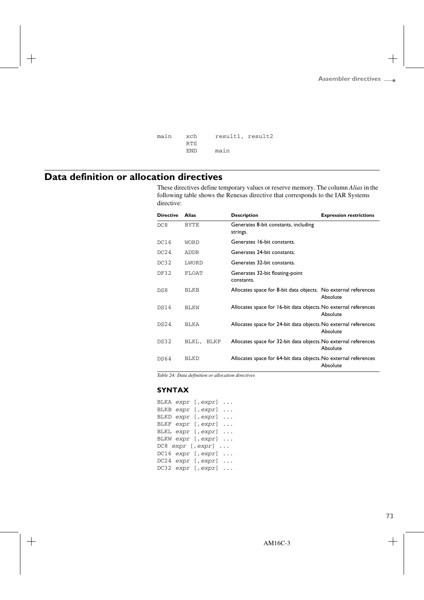| main | xch        | result1, result2 |  |
|------|------------|------------------|--|
|      | <b>RTS</b> |                  |  |
|      | END.       | main             |  |

### **Data definition or allocation directives**

<span id="page-84-6"></span>These directives define temporary values or reserve memory. The column *Alias* in the following table shows the Renesas directive that corresponds to the IAR Systems directive:

<span id="page-84-19"></span><span id="page-84-18"></span><span id="page-84-17"></span><span id="page-84-12"></span><span id="page-84-11"></span><span id="page-84-10"></span><span id="page-84-9"></span><span id="page-84-8"></span><span id="page-84-7"></span><span id="page-84-5"></span><span id="page-84-2"></span><span id="page-84-0"></span>

| <b>Directive</b> | Alias       | <b>Description</b>                                              | <b>Expression restrictions</b> |
|------------------|-------------|-----------------------------------------------------------------|--------------------------------|
| DC <sub>8</sub>  | <b>BYTE</b> | Generates 8-bit constants, including<br>strings.                |                                |
| DC16             | WORD        | Generates 16-bit constants.                                     |                                |
| DC24             | <b>ADDR</b> | Generates 24-bit constants.                                     |                                |
| DC32             | LWORD       | Generates 32-bit constants.                                     |                                |
| DF32             | FLOAT       | Generates 32-bit floating-point<br>constants.                   |                                |
| DS8              | <b>BLKB</b> | Allocates space for 8-bit data objects. No external references  | Absolute                       |
| DS16             | <b>BLKW</b> | Allocates space for 16-bit data objects. No external references | Absolute                       |
| DS24             | <b>BLKA</b> | Allocates space for 24-bit data objects. No external references | Absolute                       |
| DS32             | BLKL, BLKF  | Allocates space for 32-bit data objects. No external references | Absolute                       |
| DS64             | <b>BLKD</b> | Allocates space for 64-bit data objects. No external references | Absolute                       |

<span id="page-84-16"></span><span id="page-84-15"></span><span id="page-84-14"></span><span id="page-84-13"></span><span id="page-84-4"></span><span id="page-84-3"></span><span id="page-84-1"></span>*Table 24: Data definition or allocation directives* 

#### **SYNTAX**

BLKA *expr* [,*expr*] ... BLKB *expr* [,*expr*] ... BLKD *expr* [,*expr*] ... BLKF *expr* [,*expr*] ... BLKL *expr* [,*expr*] ... BLKW *expr* [,*expr*] ... DC8 *expr* [,*expr*] ... DC16 *expr* [,*expr*] ... DC24 *expr* [,*expr*] ... DC32 *expr* [,*expr*] ...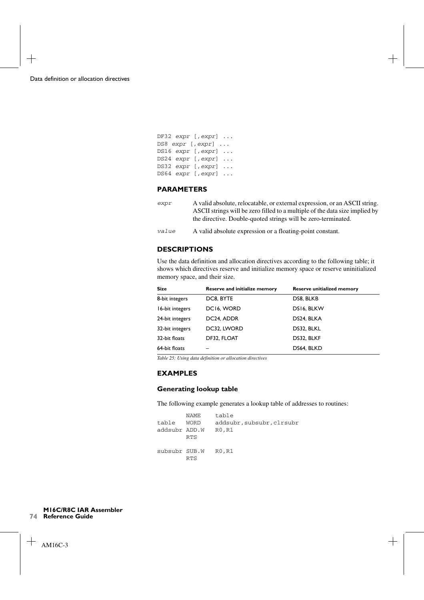```
DF32 expr [,expr] ...
DS8 expr [,expr] ...
DS16 expr [,expr] ...
DS24 expr [,expr] ...
DS32 expr [,expr] ...
DS64 expr [,expr] ...
```
#### **PARAMETERS**

- *expr* A valid absolute, relocatable, or external expression, or an ASCII string. ASCII strings will be zero filled to a multiple of the data size implied by the directive. Double-quoted strings will be zero-terminated.
- *value* A valid absolute expression or a floating-point constant.

#### **DESCRIPTIONS**

Use the data definition and allocation directives according to the following table; it shows which directives reserve and initialize memory space or reserve uninitialized memory space, and their size.

| <b>Size</b>     | Reserve and initialize memory | <b>Reserve unitialized memory</b> |
|-----------------|-------------------------------|-----------------------------------|
| 8-bit integers  | DC8, BYTE                     | DS8, BLKB                         |
| 16-bit integers | DC16, WORD                    | DS16, BLKW                        |
| 24-bit integers | DC24, ADDR                    | DS24, BLKA                        |
| 32-bit integers | DC32, LWORD                   | DS32, BLKL                        |
| 32-bit floats   | DF32, FLOAT                   | DS32, BLKF                        |
| 64-bit floats   |                               | DS64, BLKD                        |

*Table 25: Using data definition or allocation directives* 

#### **EXAMPLES**

#### **Generating lookup table**

The following example generates a lookup table of addresses to routines:

| table<br>addsubr ADD.W | NAME.<br><b>WORD</b><br><b>RTS</b> | table<br>addsubr, subsubr, clrsubr<br>R0, R1 |
|------------------------|------------------------------------|----------------------------------------------|
| subsubr SUB.W          | RTS.                               | R0, R1                                       |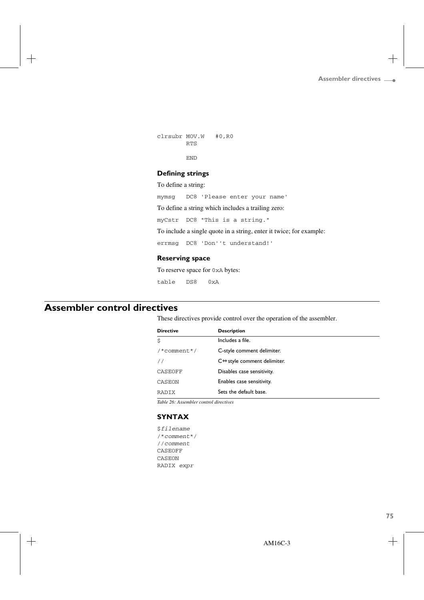clrsubr MOV.W #0,R0 RTS END

#### **Defining strings**

To define a string:

mymsg DC8 'Please enter your name'

To define a string which includes a trailing zero:

myCstr DC8 "This is a string."

To include a single quote in a string, enter it twice; for example:

errmsg DC8 'Don''t understand!'

#### **Reserving space**

To reserve space for 0xA bytes:

<span id="page-86-0"></span>table DS8 0xA

### **Assembler control directives**

These directives provide control over the operation of the assembler.

<span id="page-86-6"></span><span id="page-86-5"></span><span id="page-86-4"></span>

| <b>Directive</b> | <b>Description</b>                       |
|------------------|------------------------------------------|
| \$               | Includes a file.                         |
| /*comment*/      | C-style comment delimiter.               |
|                  | C <sup>++</sup> style comment delimiter. |
| CASEOFF          | Disables case sensitivity.               |
| CASEON           | Enables case sensitivity.                |
| <b>RADIX</b>     | Sets the default base.                   |

<span id="page-86-3"></span><span id="page-86-2"></span><span id="page-86-1"></span>*Table 26: Assembler control directives* 

#### **SYNTAX**

\$*filename* /\**comment*\*/ //*comment* CASEOFF CASEON RADIX *expr*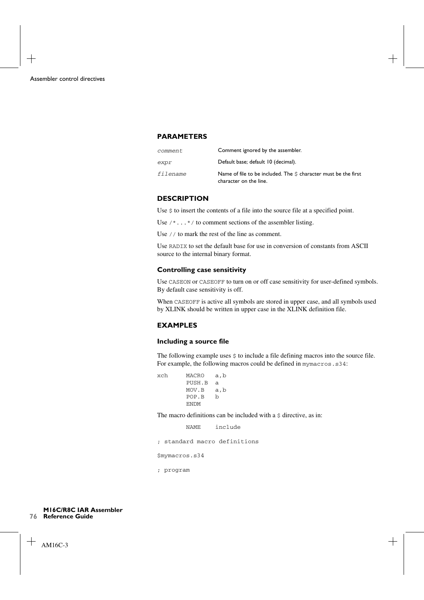#### **PARAMETERS**

| comment  | Comment ignored by the assembler.                                                        |
|----------|------------------------------------------------------------------------------------------|
| expr     | Default base; default 10 (decimal).                                                      |
| filename | Name of file to be included. The S character must be the first<br>character on the line. |

#### **DESCRIPTION**

Use  $\ddot{\text{s}}$  to insert the contents of a file into the source file at a specified point.

Use  $/ * \dots * /$  to comment sections of the assembler listing.

Use  $\frac{1}{2}$  to mark the rest of the line as comment.

Use RADIX to set the default base for use in conversion of constants from ASCII source to the internal binary format.

#### <span id="page-87-1"></span>**Controlling case sensitivity**

Use CASEON or CASEOFF to turn on or off case sensitivity for user-defined symbols. By default case sensitivity is off.

When CASEOFF is active all symbols are stored in upper case, and all symbols used by XLINK should be written in upper case in the XLINK definition file.

#### **EXAMPLES**

#### <span id="page-87-0"></span>**Including a source file**

The following example uses  $\hat{S}$  to include a file defining macros into the source file. For example, the following macros could be defined in mymacros.s34:

xch MACRO a,b PUSH.B a MOV.B a,b POP.B b ENDM

The macro definitions can be included with a  $\beta$  directive, as in:

 NAME include ; standard macro definitions \$mymacros.s34

; program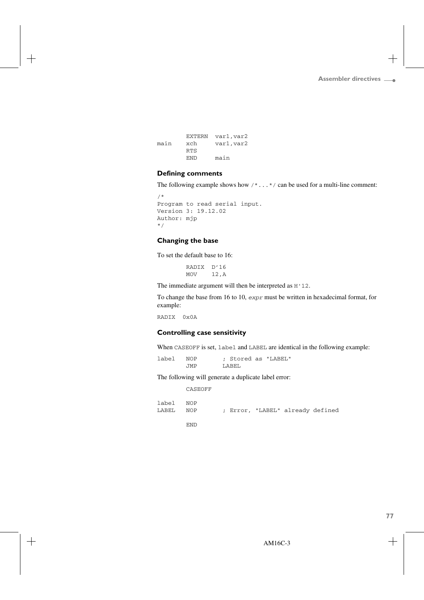EXTERN var1, var2 main xch var1,var2 RTS END main

#### <span id="page-88-0"></span>**Defining comments**

The following example shows how  $/ * ... * /$  can be used for a multi-line comment:

```
/*
Program to read serial input.
Version 3: 19.12.02
Author: mjp
*/
```
#### **Changing the base**

To set the default base to 16:

 RADIX D'16 MOV 12,A

The immediate argument will then be interpreted as  $H'12$ .

To change the base from 16 to 10, *expr* must be written in hexadecimal format, for example:

RADIX 0x0A

#### **Controlling case sensitivity**

When CASEOFF is set, label and LABEL are identical in the following example:

| label | NOP  | ; Stored as "LABEL" |
|-------|------|---------------------|
|       | TMP. | T.ARET.             |

The following will generate a duplicate label error:

 CASEOFF label NOP LABEL NOP ; Error, "LABEL" already defined

```
 END
```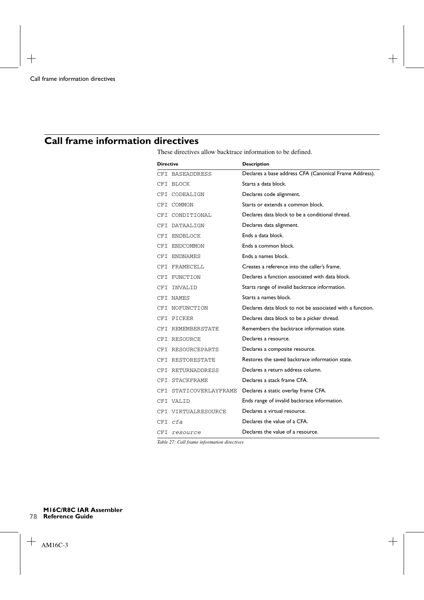### **Call frame information directives**

<span id="page-89-1"></span><span id="page-89-0"></span>These directives allow backtrace information to be defined.

| <b>Directive</b>       | <b>Description</b>                                        |
|------------------------|-----------------------------------------------------------|
| CFI BASEADDRESS        | Declares a base address CFA (Canonical Frame Address).    |
| CFI BLOCK              | Starts a data block.                                      |
| CFI CODEALIGN          | Declares code alignment.                                  |
| CFI COMMON             | Starts or extends a common block.                         |
| CFI CONDITIONAL        | Declares data block to be a conditional thread.           |
| CFI DATAALIGN          | Declares data alignment.                                  |
| CFI ENDBLOCK           | Ends a data block.                                        |
| CFI ENDCOMMON          | Ends a common block.                                      |
| CFI ENDNAMES           | Ends a names block.                                       |
| CFI FRAMECELL          | Creates a reference into the caller's frame.              |
| CFI FUNCTION           | Declares a function associated with data block.           |
| CFI INVALID            | Starts range of invalid backtrace information.            |
| CFI NAMES              | Starts a names block.                                     |
| CFI NOFUNCTION         | Declares data block to not be associated with a function. |
| CFI PICKER             | Declares data block to be a picker thread.                |
| CFI REMEMBERSTATE      | Remembers the backtrace information state.                |
| CFI RESOURCE           | Declares a resource.                                      |
| CFI RESOURCEPARTS      | Declares a composite resource.                            |
| CFI RESTORESTATE       | Restores the saved backtrace information state.           |
| CFI RETURNADDRESS      | Declares a return address column.                         |
| CFI STACKFRAME         | Declares a stack frame CFA.                               |
| CFI STATICOVERLAYFRAME | Declares a static overlay frame CFA.                      |
| CFI VALID              | Ends range of invalid backtrace information.              |
| CFI VIRTUALRESOURCE    | Declares a virtual resource.                              |
| CFI cfa                | Declares the value of a CFA.                              |
| CFI resource           | Declares the value of a resource.                         |

*Table 27: Call frame information directives*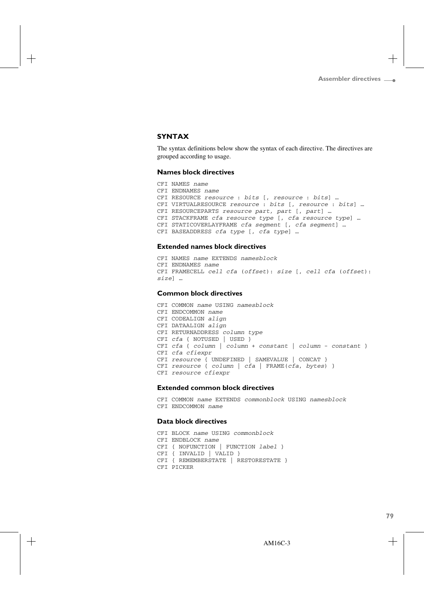#### **SYNTAX**

The syntax definitions below show the syntax of each directive. The directives are grouped according to usage.

#### **Names block directives**

CFI NAMES *name* CFI ENDNAMES *name* CFI RESOURCE *resource* : *bits* [, *resource* : *bits*] … CFI VIRTUALRESOURCE *resource* : *bits* [, *resource* : *bits*] … CFI RESOURCEPARTS *resource part, part* [, *part*] … CFI STACKFRAME *cfa resource type* [, *cfa resource type*] … CFI STATICOVERLAYFRAME *cfa segment* [, *cfa segment*] … CFI BASEADDRESS *cfa type* [, *cfa type*] …

#### **Extended names block directives**

```
CFI NAMES name EXTENDS namesblock
CFI ENDNAMES name
CFI FRAMECELL cell cfa (offset): size [, cell cfa (offset): 
size] …
```
#### <span id="page-90-0"></span>**Common block directives**

```
CFI COMMON name USING namesblock
CFI ENDCOMMON name
CFI CODEALIGN align
CFI DATAALIGN align
CFI RETURNADDRESS column type
CFI cfa { NOTUSED | USED }
CFI cfa { column | column + constant | column - constant }
CFI cfa cfiexpr
CFI resource { UNDEFINED | SAMEVALUE | CONCAT }
CFI resource { column | cfa | FRAME(cfa, bytes) }
CFI resource cfiexpr
```
#### **Extended common block directives**

CFI COMMON *name* EXTENDS *commonblock* USING *namesblock* CFI ENDCOMMON *name*

#### <span id="page-90-1"></span>**Data block directives**

- CFI BLOCK *name* USING *commonblock*
- CFI ENDBLOCK *name*
- CFI { NOFUNCTION | FUNCTION *label* }
- CFI { INVALID | VALID }
- CFI { REMEMBERSTATE | RESTORESTATE }
- CFI PICKER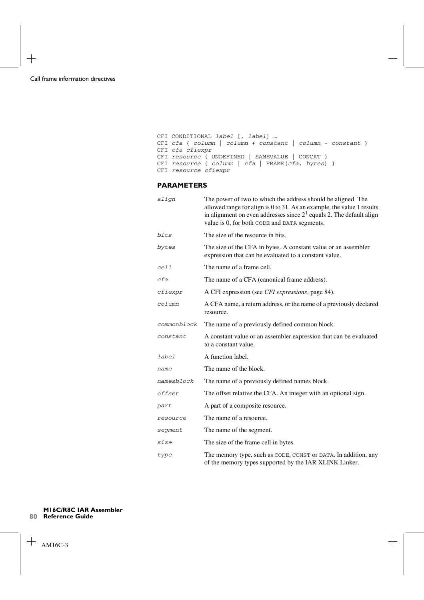```
CFI CONDITIONAL label [, label] …
CFI cfa { column | column + constant | column - constant }
CFI cfa cfiexpr
CFI resource { UNDEFINED | SAMEVALUE | CONCAT }
CFI resource { column | cfa | FRAME(cfa, bytes) }
CFI resource cfiexpr
```
#### **PARAMETERS**

| align       | The power of two to which the address should be aligned. The<br>allowed range for align is $0$ to $31$ . As an example, the value 1 results<br>in alignment on even addresses since $21$ equals 2. The default align<br>value is 0, for both CODE and DATA segments. |
|-------------|----------------------------------------------------------------------------------------------------------------------------------------------------------------------------------------------------------------------------------------------------------------------|
| bits        | The size of the resource in bits.                                                                                                                                                                                                                                    |
| bytes       | The size of the CFA in bytes. A constant value or an assembler<br>expression that can be evaluated to a constant value.                                                                                                                                              |
| cell        | The name of a frame cell.                                                                                                                                                                                                                                            |
| cfa         | The name of a CFA (canonical frame address).                                                                                                                                                                                                                         |
| cfiexpr     | A CFI expression (see <i>CFI expressions</i> , page 84).                                                                                                                                                                                                             |
| column      | A CFA name, a return address, or the name of a previously declared<br>resource.                                                                                                                                                                                      |
| commonblock | The name of a previously defined common block.                                                                                                                                                                                                                       |
| constant    | A constant value or an assembler expression that can be evaluated<br>to a constant value.                                                                                                                                                                            |
| label       | A function label.                                                                                                                                                                                                                                                    |
| name        | The name of the block.                                                                                                                                                                                                                                               |
| namesblock  | The name of a previously defined names block.                                                                                                                                                                                                                        |
| offset      | The offset relative the CFA. An integer with an optional sign.                                                                                                                                                                                                       |
| part        | A part of a composite resource.                                                                                                                                                                                                                                      |
| resource    | The name of a resource.                                                                                                                                                                                                                                              |
| segment     | The name of the segment.                                                                                                                                                                                                                                             |
| size        | The size of the frame cell in bytes.                                                                                                                                                                                                                                 |
| type        | The memory type, such as CODE, CONST or DATA. In addition, any<br>of the memory types supported by the IAR XLINK Linker.                                                                                                                                             |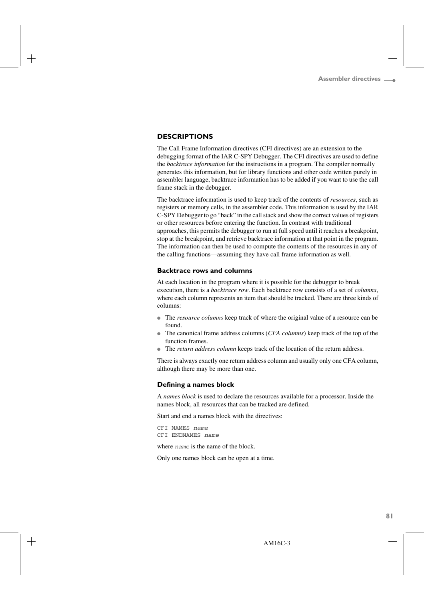#### **DESCRIPTIONS**

The Call Frame Information directives (CFI directives) are an extension to the debugging format of the IAR C-SPY Debugger. The CFI directives are used to define the *backtrace information* for the instructions in a program. The compiler normally generates this information, but for library functions and other code written purely in assembler language, backtrace information has to be added if you want to use the call frame stack in the debugger.

The backtrace information is used to keep track of the contents of *resources*, such as registers or memory cells, in the assembler code. This information is used by the IAR C-SPY Debugger to go "back" in the call stack and show the correct values of registers or other resources before entering the function. In contrast with traditional approaches, this permits the debugger to run at full speed until it reaches a breakpoint, stop at the breakpoint, and retrieve backtrace information at that point in the program. The information can then be used to compute the contents of the resources in any of the calling functions—assuming they have call frame information as well.

#### **Backtrace rows and columns**

At each location in the program where it is possible for the debugger to break execution, there is a *backtrace row*. Each backtrace row consists of a set of *columns*, where each column represents an item that should be tracked. There are three kinds of columns:

- The *resource columns* keep track of where the original value of a resource can be found.
- The canonical frame address columns (*CFA columns*) keep track of the top of the function frames.
- The *return address column* keeps track of the location of the return address.

There is always exactly one return address column and usually only one CFA column, although there may be more than one.

#### **Defining a names block**

A *names block* is used to declare the resources available for a processor. Inside the names block, all resources that can be tracked are defined.

Start and end a names block with the directives:

CFI NAMES *name* CFI ENDNAMES *name*

where *name* is the name of the block.

Only one names block can be open at a time.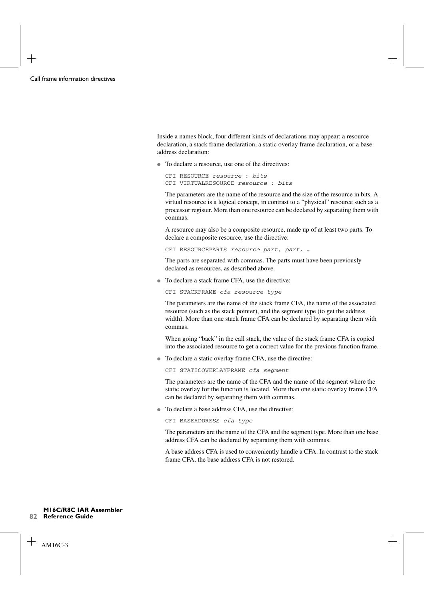Inside a names block, four different kinds of declarations may appear: a resource declaration, a stack frame declaration, a static overlay frame declaration, or a base address declaration:

● To declare a resource, use one of the directives:

```
CFI RESOURCE resource : bits
CFI VIRTUALRESOURCE resource : bits
```
The parameters are the name of the resource and the size of the resource in bits. A virtual resource is a logical concept, in contrast to a "physical" resource such as a processor register. More than one resource can be declared by separating them with commas.

A resource may also be a composite resource, made up of at least two parts. To declare a composite resource, use the directive:

CFI RESOURCEPARTS *resource part, part,* …

The parts are separated with commas. The parts must have been previously declared as resources, as described above.

● To declare a stack frame CFA, use the directive:

CFI STACKFRAME *cfa resource type*

The parameters are the name of the stack frame CFA, the name of the associated resource (such as the stack pointer), and the segment type (to get the address width). More than one stack frame CFA can be declared by separating them with commas.

When going "back" in the call stack, the value of the stack frame CFA is copied into the associated resource to get a correct value for the previous function frame.

● To declare a static overlay frame CFA, use the directive:

CFI STATICOVERLAYFRAME *cfa segment*

The parameters are the name of the CFA and the name of the segment where the static overlay for the function is located. More than one static overlay frame CFA can be declared by separating them with commas.

● To declare a base address CFA, use the directive:

CFI BASEADDRESS *cfa type*

The parameters are the name of the CFA and the segment type. More than one base address CFA can be declared by separating them with commas.

A base address CFA is used to conveniently handle a CFA. In contrast to the stack frame CFA, the base address CFA is not restored.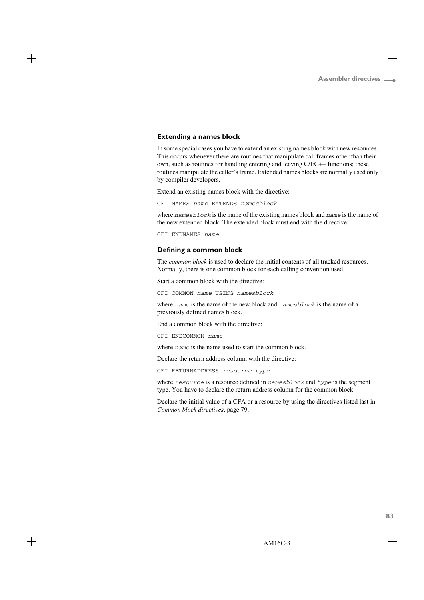#### **Extending a names block**

In some special cases you have to extend an existing names block with new resources. This occurs whenever there are routines that manipulate call frames other than their own, such as routines for handling entering and leaving C/EC++ functions; these routines manipulate the caller's frame. Extended names blocks are normally used only by compiler developers.

Extend an existing names block with the directive:

CFI NAMES *name* EXTENDS *namesblock*

where *namesblock* is the name of the existing names block and *name* is the name of the new extended block. The extended block must end with the directive:

CFI ENDNAMES *name*

#### **Defining a common block**

The *common block* is used to declare the initial contents of all tracked resources. Normally, there is one common block for each calling convention used.

Start a common block with the directive:

CFI COMMON *name* USING *namesblock*

where *name* is the name of the new block and *namesblock* is the name of a previously defined names block.

End a common block with the directive:

CFI ENDCOMMON *name*

where *name* is the name used to start the common block.

Declare the return address column with the directive:

CFI RETURNADDRESS *resource type*

where *resource* is a resource defined in *namesblock* and *type* is the segment type. You have to declare the return address column for the common block.

Declare the initial value of a CFA or a resource by using the directives listed last in *[Common block directives](#page-90-0)*, page 79.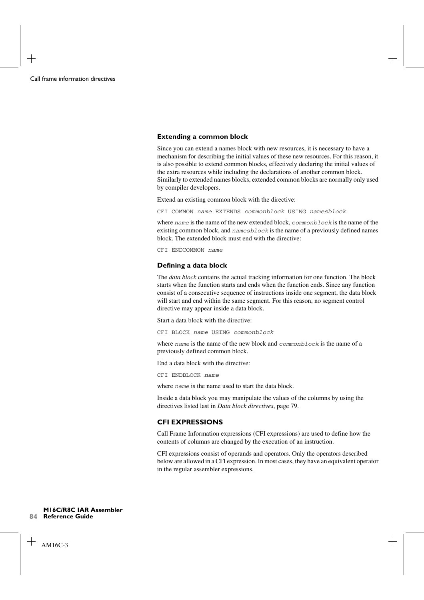#### **Extending a common block**

Since you can extend a names block with new resources, it is necessary to have a mechanism for describing the initial values of these new resources. For this reason, it is also possible to extend common blocks, effectively declaring the initial values of the extra resources while including the declarations of another common block. Similarly to extended names blocks, extended common blocks are normally only used by compiler developers.

Extend an existing common block with the directive:

CFI COMMON *name* EXTENDS *commonblock* USING *namesblock*

where *name* is the name of the new extended block, *commonblock* is the name of the existing common block, and *namesblock* is the name of a previously defined names block. The extended block must end with the directive:

CFI ENDCOMMON *name*

#### **Defining a data block**

The *data block* contains the actual tracking information for one function. The block starts when the function starts and ends when the function ends. Since any function consist of a consecutive sequence of instructions inside one segment, the data block will start and end within the same segment. For this reason, no segment control directive may appear inside a data block.

Start a data block with the directive:

CFI BLOCK *name* USING *commonblock*

where *name* is the name of the new block and *commonblock* is the name of a previously defined common block.

End a data block with the directive:

CFI ENDBLOCK *name*

where *name* is the name used to start the data block.

Inside a data block you may manipulate the values of the columns by using the directives listed last in *[Data block directives](#page-90-1)*, page 79.

#### <span id="page-95-1"></span><span id="page-95-0"></span>**CFI EXPRESSIONS**

Call Frame Information expressions (CFI expressions) are used to define how the contents of columns are changed by the execution of an instruction.

CFI expressions consist of operands and operators. Only the operators described below are allowed in a CFI expression. In most cases, they have an equivalent operator in the regular assembler expressions.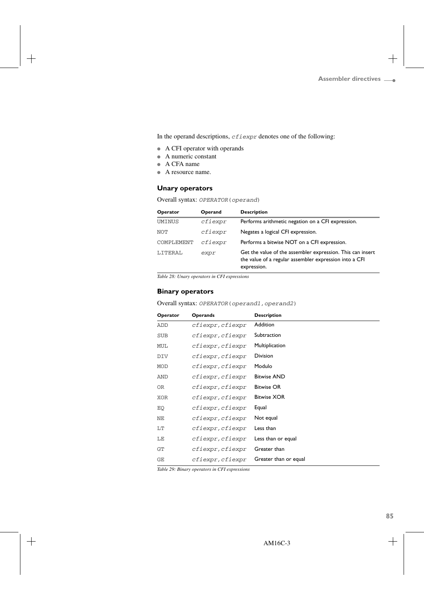In the operand descriptions, *cfiexpr* denotes one of the following:

- A CFI operator with operands
- A numeric constant
- A CFA name
- A resource name.

#### <span id="page-96-2"></span>**Unary operators**

Overall syntax: *OPERATOR*(*operand*)

<span id="page-96-3"></span>

| Operator   | Operand | <b>Description</b>                                                                                                                  |
|------------|---------|-------------------------------------------------------------------------------------------------------------------------------------|
| UMINUS     | cfiexpr | Performs arithmetic negation on a CFI expression.                                                                                   |
| NOT        | cfiexpr | Negates a logical CFI expression.                                                                                                   |
| COMPLEMENT | cfiexpr | Performs a bitwise NOT on a CFI expression.                                                                                         |
| LITERAL    | expr    | Get the value of the assembler expression. This can insert<br>the value of a regular assembler expression into a CFI<br>expression. |

<span id="page-96-9"></span>*Table 28: Unary operators in CFI expressions* 

#### **Binary operators**

Overall syntax: *OPERATOR*(*operand1,operand2*)

<span id="page-96-4"></span><span id="page-96-1"></span><span id="page-96-0"></span>

| Operator | <b>Operands</b>  | <b>Description</b>    |
|----------|------------------|-----------------------|
| ADD      | cfiexpr, cfiexpr | <b>Addition</b>       |
| SUB      | cfiexpr, cfiexpr | Subtraction           |
| MUL      | cfiexpr, cfiexpr | Multiplication        |
| DIV      | cfiexpr, cfiexpr | <b>Division</b>       |
| MOD      | cfiexpr, cfiexpr | Modulo                |
| AND      | cfiexpr, cfiexpr | <b>Bitwise AND</b>    |
| OR.      | cfiexpr, cfiexpr | <b>Bitwise OR</b>     |
| XOR      | cfiexpr, cfiexpr | <b>Bitwise XOR</b>    |
| EQ       | cfiexpr, cfiexpr | Equal                 |
| ΝE       | cfiexpr, cfiexpr | Not equal             |
| LТ       | cfiexpr, cfiexpr | Less than             |
| LE       | cfiexpr, cfiexpr | Less than or equal    |
| GТ       | cfiexpr, cfiexpr | Greater than          |
| GE       | cfiexpr, cfiexpr | Greater than or equal |

<span id="page-96-8"></span><span id="page-96-7"></span><span id="page-96-6"></span><span id="page-96-5"></span>*Table 29: Binary operators in CFI expressions*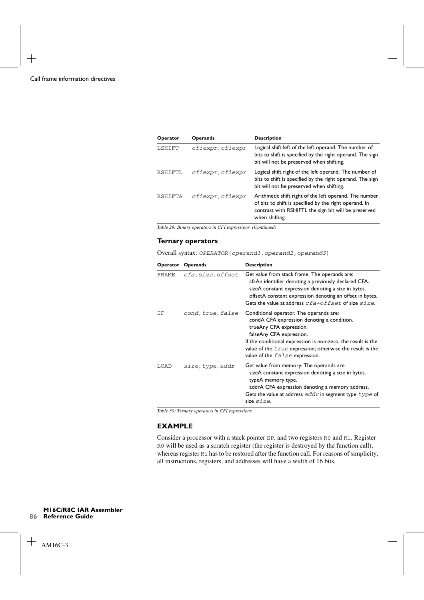| Operator | <b>Operands</b>  | <b>Description</b>                                                                                                                                                                         |
|----------|------------------|--------------------------------------------------------------------------------------------------------------------------------------------------------------------------------------------|
| LSHIFT   | cfiexpr, cfiexpr | Logical shift left of the left operand. The number of<br>bits to shift is specified by the right operand. The sign<br>bit will not be preserved when shifting.                             |
| RSHIFTL  | cfiexpr, cfiexpr | Logical shift right of the left operand. The number of<br>bits to shift is specified by the right operand. The sign<br>bit will not be preserved when shifting.                            |
| RSHIFTA  | cfiexpr, cfiexpr | Arithmetic shift right of the left operand. The number<br>of bits to shift is specified by the right operand. In<br>contrast with RSHIFTL the sign bit will be preserved<br>when shifting. |
|          |                  |                                                                                                                                                                                            |

*Table 29: Binary operators in CFI expressions (Continued)*

#### **Ternary operators**

Overall syntax: *OPERATOR*(*operand1,operand2,operand3*)

<span id="page-97-1"></span><span id="page-97-0"></span>

|              | Operator Operands      | <b>Description</b>                                                                                                                                                                                                                                                                                                   |
|--------------|------------------------|----------------------------------------------------------------------------------------------------------------------------------------------------------------------------------------------------------------------------------------------------------------------------------------------------------------------|
| <b>FRAME</b> | <i>cfa,size,offset</i> | Get value from stack frame. The operands are:<br>cfaAn identifier denoting a previously declared CFA.<br>sizeA constant expression denoting a size in bytes.<br>offsetA constant expression denoting an offset in bytes.<br>Gets the value at address $cfa+offset$ of size $size$ .                                  |
| ΙF           | cond, true, false      | Conditional operator. The operands are:<br>condA CFA expression denoting a condition.<br>trueAny CFA expression.<br>falseAny CFA expression.<br>If the conditional expression is non-zero, the result is the<br>value of the $true$ expression; otherwise the result is the<br>value of the <i>false</i> expression. |
| LOAD         | size,type,addr         | Get value from memory. The operands are:<br>sizeA constant expression denoting a size in bytes.<br>typeA memory type.<br>addrA CFA expression denoting a memory address.<br>Gets the value at address $\frac{\partial}{\partial r}$ in segment type $\frac{t}{\partial \rho}$ of<br>size size.                       |

<span id="page-97-2"></span>*Table 30: Ternary operators in CFI expressions* 

#### **EXAMPLE**

Consider a processor with a stack pointer SP, and two registers R0 and R1. Register R0 will be used as a scratch register (the register is destroyed by the function call), whereas register R1 has to be restored after the function call. For reasons of simplicity, all instructions, registers, and addresses will have a width of 16 bits.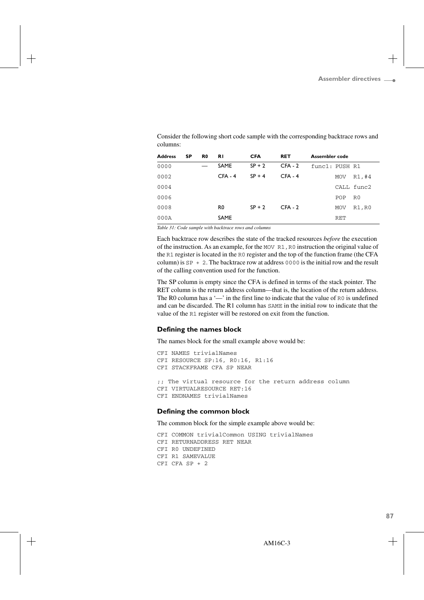| <b>Address</b> | SP | R0 | <b>RI</b> | <b>CFA</b> | <b>RET</b> | Assembler code        |
|----------------|----|----|-----------|------------|------------|-----------------------|
| 0000           |    |    | SAME      | $SP + 2$   | $CFA - 2$  | func1: PUSH R1        |
| 0002           |    |    | $CFA - 4$ | $SP + 4$   | $CFA - 4$  | R1,#4<br>MOV          |
| 0004           |    |    |           |            |            | CALL func2            |
| 0006           |    |    |           |            |            | R <sub>0</sub><br>POP |
| 0008           |    |    | R0        | $SP + 2$   | $CFA - 2$  | $R1$ , $R0$<br>MOV    |
| 000A           |    |    | SAME      |            |            | RET                   |

Consider the following short code sample with the corresponding backtrace rows and columns:

*Table 31: Code sample with backtrace rows and columns* 

Each backtrace row describes the state of the tracked resources *before* the execution of the instruction. As an example, for the MOV R1,R0 instruction the original value of the R1 register is located in the R0 register and the top of the function frame (the CFA column) is SP + 2. The backtrace row at address 0000 is the initial row and the result of the calling convention used for the function.

The SP column is empty since the CFA is defined in terms of the stack pointer. The RET column is the return address column—that is, the location of the return address. The R0 column has a '—' in the first line to indicate that the value of R0 is undefined and can be discarded. The R1 column has SAME in the initial row to indicate that the value of the R1 register will be restored on exit from the function.

#### **Defining the names block**

The names block for the small example above would be:

```
CFI NAMES trivialNames
CFI RESOURCE SP:16, R0:16, R1:16
CFI STACKFRAME CFA SP NEAR
;; The virtual resource for the return address column
CFI VIRTUALRESOURCE RET:16
CFI ENDNAMES trivialNames
```
#### **Defining the common block**

The common block for the simple example above would be:

CFI COMMON trivialCommon USING trivialNames CFI RETURNADDRESS RET NEAR CFI R0 UNDEFINED CFI R1 SAMEVALUE CFI CFA SP + 2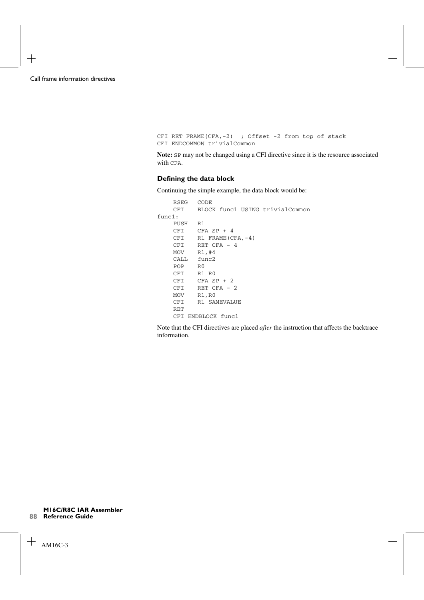CFI RET FRAME(CFA,-2) ; Offset -2 from top of stack CFI ENDCOMMON trivialCommon

**Note:** SP may not be changed using a CFI directive since it is the resource associated with CFA.

#### **Defining the data block**

Continuing the simple example, the data block would be:

```
RSEG CODE
   CFI BLOCK func1 USING trivialCommon
func1:
   PUSH R1
   CFI CFA SP + 4
   CFI R1 FRAME(CFA,-4)
   CFI RET CFA - 4
   MOV R1,#4
   CALL func2
   POP R0
   CFI R1 R0
   CFI CFA SP + 2
   CFI RET CFA - 2
   MOV R1,R0
   CFI R1 SAMEVALUE
   RET
   CFI ENDBLOCK func1
```
Note that the CFI directives are placed *after* the instruction that affects the backtrace information.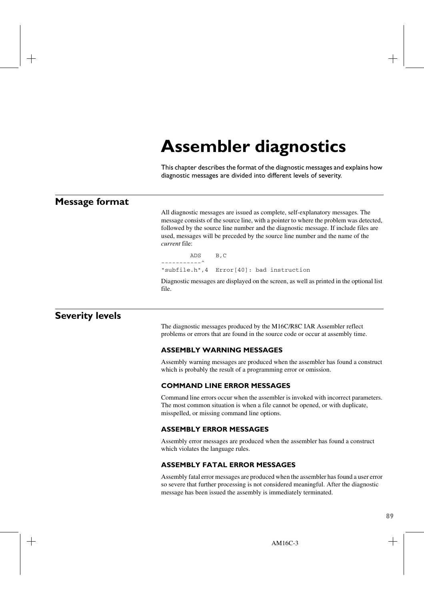# <span id="page-100-0"></span>**Assembler diagnostics**

This chapter describes the format of the diagnostic messages and explains how diagnostic messages are divided into different levels of severity.

### **Message format**

All diagnostic messages are issued as complete, self-explanatory messages. The message consists of the source line, with a pointer to where the problem was detected, followed by the source line number and the diagnostic message. If include files are used, messages will be preceded by the source line number and the name of the *current* file:

```
 ADS B,C
-----------^
"subfile.h",4 Error[40]: bad instruction
```
Diagnostic messages are displayed on the screen, as well as printed in the optional list file.

### **Severity levels**

The diagnostic messages produced by the M16C/R8C IAR Assembler reflect problems or errors that are found in the source code or occur at assembly time.

#### <span id="page-100-2"></span>**ASSEMBLY WARNING MESSAGES**

Assembly warning messages are produced when the assembler has found a construct which is probably the result of a programming error or omission.

#### <span id="page-100-3"></span>**COMMAND LINE ERROR MESSAGES**

Command line errors occur when the assembler is invoked with incorrect parameters. The most common situation is when a file cannot be opened, or with duplicate, misspelled, or missing command line options.

#### <span id="page-100-1"></span>**ASSEMBLY ERROR MESSAGES**

Assembly error messages are produced when the assembler has found a construct which violates the language rules.

#### <span id="page-100-4"></span>**ASSEMBLY FATAL ERROR MESSAGES**

Assembly fatal error messages are produced when the assembler has found a user error so severe that further processing is not considered meaningful. After the diagnostic message has been issued the assembly is immediately terminated.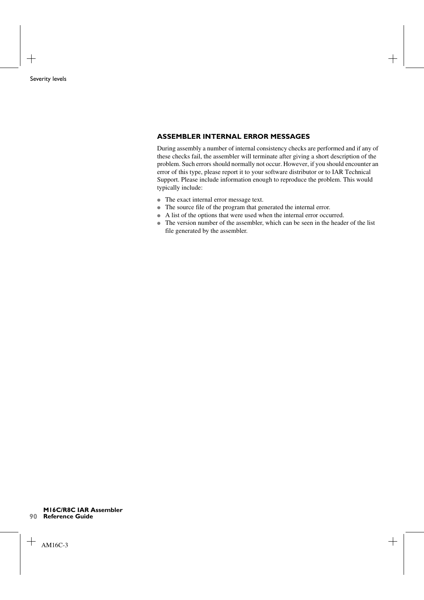#### <span id="page-101-0"></span>**ASSEMBLER INTERNAL ERROR MESSAGES**

During assembly a number of internal consistency checks are performed and if any of these checks fail, the assembler will terminate after giving a short description of the problem. Such errors should normally not occur. However, if you should encounter an error of this type, please report it to your software distributor or to IAR Technical Support. Please include information enough to reproduce the problem. This would typically include:

- The exact internal error message text.
- The source file of the program that generated the internal error.
- A list of the options that were used when the internal error occurred.
- The version number of the assembler, which can be seen in the header of the list file generated by the assembler.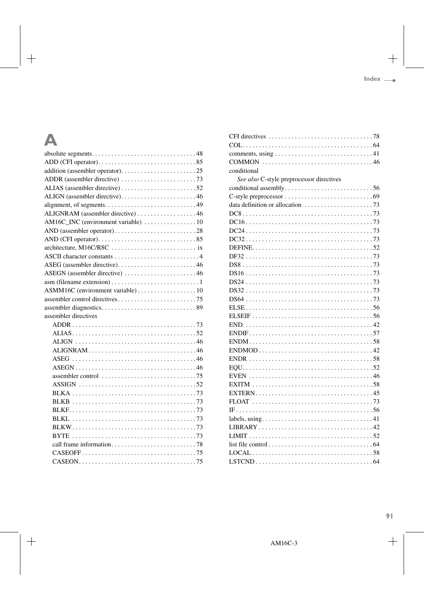## A

| ALIGNRAM (assembler directive) 46 |
|-----------------------------------|
|                                   |
|                                   |
|                                   |
|                                   |
|                                   |
|                                   |
|                                   |
|                                   |
| ASMM16C (environment variable) 10 |
|                                   |
|                                   |
| assembler directives              |
|                                   |
|                                   |
|                                   |
|                                   |
| ALIGNRAM46                        |
|                                   |
|                                   |
|                                   |
|                                   |
|                                   |
|                                   |
|                                   |
|                                   |
|                                   |
|                                   |
|                                   |
|                                   |

| conditional                                                                                     |
|-------------------------------------------------------------------------------------------------|
| See also C-style preprocessor directives                                                        |
| conditional assembly56                                                                          |
|                                                                                                 |
|                                                                                                 |
|                                                                                                 |
|                                                                                                 |
|                                                                                                 |
|                                                                                                 |
|                                                                                                 |
|                                                                                                 |
|                                                                                                 |
|                                                                                                 |
|                                                                                                 |
|                                                                                                 |
|                                                                                                 |
|                                                                                                 |
|                                                                                                 |
|                                                                                                 |
| $ENDIF. \ldots \ldots \ldots \ldots \ldots \ldots \ldots \ldots \ldots \ldots \ldots \ldots 57$ |
|                                                                                                 |
| $ENDMOD \ldots \ldots \ldots \ldots \ldots \ldots \ldots \ldots \ldots \ldots 42$               |
|                                                                                                 |
|                                                                                                 |
|                                                                                                 |
|                                                                                                 |
|                                                                                                 |
|                                                                                                 |
|                                                                                                 |
|                                                                                                 |
|                                                                                                 |
|                                                                                                 |
|                                                                                                 |
|                                                                                                 |
|                                                                                                 |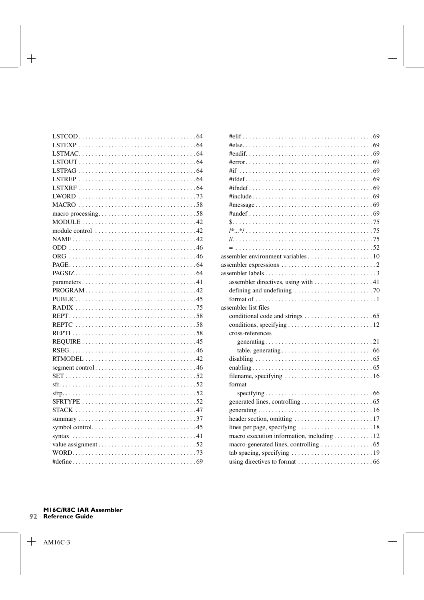| PROGRAM42 |
|-----------|
|           |
|           |
|           |
|           |
|           |
|           |
|           |
|           |
|           |
|           |
|           |
|           |
|           |
|           |
|           |
|           |
|           |
|           |
|           |
|           |

| format of $\dots \dots \dots \dots \dots \dots \dots \dots \dots \dots \dots \dots 1$ |
|---------------------------------------------------------------------------------------|
| assembler list files                                                                  |
|                                                                                       |
|                                                                                       |
| cross-references                                                                      |
|                                                                                       |
|                                                                                       |
|                                                                                       |
|                                                                                       |
|                                                                                       |
| format                                                                                |
|                                                                                       |
|                                                                                       |
|                                                                                       |
|                                                                                       |
|                                                                                       |
| macro execution information, including 12                                             |
|                                                                                       |
| tab spacing, specifying $\ldots \ldots \ldots \ldots \ldots \ldots \ldots \ldots 19$  |
|                                                                                       |
|                                                                                       |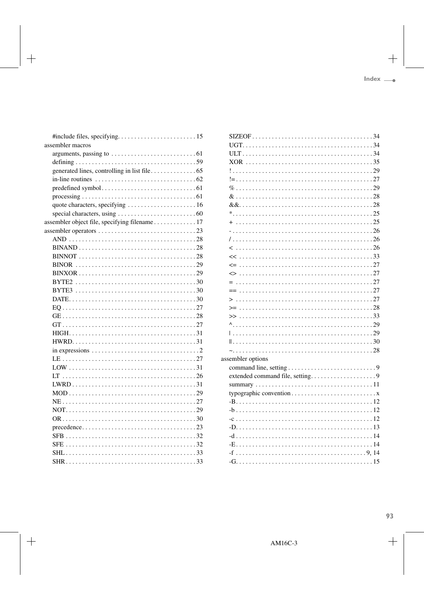| assembler macros                                                                              |
|-----------------------------------------------------------------------------------------------|
|                                                                                               |
|                                                                                               |
|                                                                                               |
|                                                                                               |
|                                                                                               |
|                                                                                               |
|                                                                                               |
|                                                                                               |
| assembler object file, specifying filename17                                                  |
|                                                                                               |
|                                                                                               |
|                                                                                               |
|                                                                                               |
|                                                                                               |
|                                                                                               |
|                                                                                               |
|                                                                                               |
|                                                                                               |
|                                                                                               |
|                                                                                               |
|                                                                                               |
|                                                                                               |
|                                                                                               |
| in expressions $\dots \dots \dots \dots \dots \dots \dots \dots \dots \dots \dots$            |
|                                                                                               |
|                                                                                               |
|                                                                                               |
|                                                                                               |
|                                                                                               |
|                                                                                               |
|                                                                                               |
|                                                                                               |
| $precedence. \ldots \ldots \ldots \ldots \ldots \ldots \ldots \ldots \ldots \ldots \ldots 23$ |
|                                                                                               |
|                                                                                               |
|                                                                                               |
|                                                                                               |
|                                                                                               |

| assembler options |  |
|-------------------|--|
|                   |  |
|                   |  |
|                   |  |
|                   |  |
|                   |  |
|                   |  |
|                   |  |
|                   |  |
|                   |  |
|                   |  |
|                   |  |
|                   |  |
|                   |  |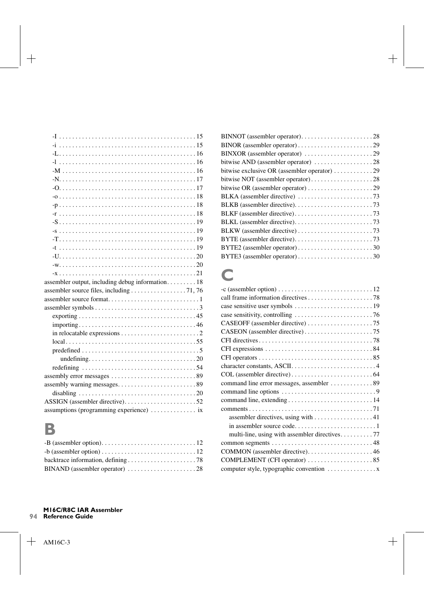| assembler output, including debug information18                                             |
|---------------------------------------------------------------------------------------------|
| assembler source files, including $\dots \dots \dots \dots \dots \dots$ 71, 76              |
|                                                                                             |
|                                                                                             |
| $exporting \ldots \ldots \ldots \ldots \ldots \ldots \ldots \ldots \ldots \ldots \ldots 45$ |
|                                                                                             |
|                                                                                             |
|                                                                                             |
|                                                                                             |
|                                                                                             |
|                                                                                             |
|                                                                                             |
|                                                                                             |
|                                                                                             |
|                                                                                             |
| assumptions (programming experience)  ix                                                    |

## **B**

| bitwise AND (assembler operator) 28                                               |  |
|-----------------------------------------------------------------------------------|--|
| bitwise exclusive OR (assembler operator) $\dots \dots \dots \dots 29$            |  |
|                                                                                   |  |
| bitwise OR (assembler operator) $\dots \dots \dots \dots \dots \dots \dots \dots$ |  |
|                                                                                   |  |
|                                                                                   |  |
|                                                                                   |  |
|                                                                                   |  |
|                                                                                   |  |
|                                                                                   |  |
|                                                                                   |  |
|                                                                                   |  |

## **C**

| COMPLEMENT (CFI operator)  85 |
|-------------------------------|
|                               |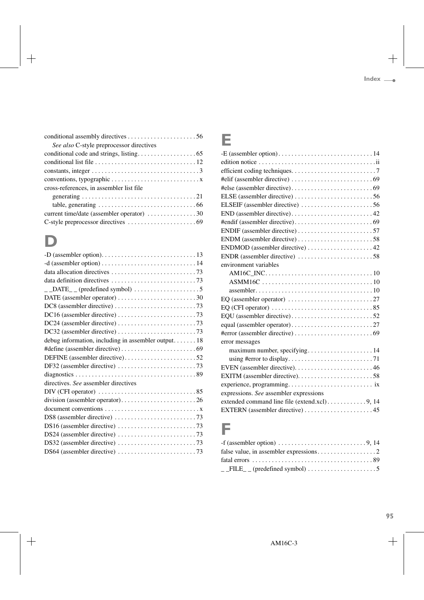| conditional assembly directives $\dots \dots \dots \dots \dots \dots \dots 56$ |
|--------------------------------------------------------------------------------|
| See also C-style preprocessor directives                                       |
|                                                                                |
|                                                                                |
|                                                                                |
|                                                                                |
| cross-references, in assembler list file                                       |
|                                                                                |
|                                                                                |
| current time/date (assembler operator) $\dots \dots \dots \dots \dots 30$      |
|                                                                                |

## **D**

| DATE (assembler operator) 30                        |  |
|-----------------------------------------------------|--|
|                                                     |  |
|                                                     |  |
|                                                     |  |
|                                                     |  |
| debug information, including in assembler output 18 |  |
|                                                     |  |
| DEFINE (assembler directive)52                      |  |
|                                                     |  |
|                                                     |  |
| directives. See assembler directives                |  |
|                                                     |  |
| division (assembler operator)26                     |  |
|                                                     |  |
|                                                     |  |
|                                                     |  |
|                                                     |  |
|                                                     |  |
|                                                     |  |

| ENDMOD (assembler directive) 42                                                                     |
|-----------------------------------------------------------------------------------------------------|
|                                                                                                     |
| environment variables                                                                               |
| $AM16C_NC \ldots \ldots \ldots \ldots \ldots \ldots \ldots \ldots \ldots \ldots 10$                 |
| $\text{ASMM16C} \dots \dots \dots \dots \dots \dots \dots \dots \dots \dots \dots \dots 10$         |
|                                                                                                     |
|                                                                                                     |
| EQ (CFI operator) $\ldots \ldots \ldots \ldots \ldots \ldots \ldots \ldots \ldots \ldots \ldots 85$ |
|                                                                                                     |
|                                                                                                     |
|                                                                                                     |
| error messages                                                                                      |
| maximum number, specifying14                                                                        |
|                                                                                                     |
|                                                                                                     |
|                                                                                                     |
|                                                                                                     |
| expressions. See assembler expressions                                                              |
| extended command line file (extend.xcl)9, 14                                                        |
|                                                                                                     |

## **F**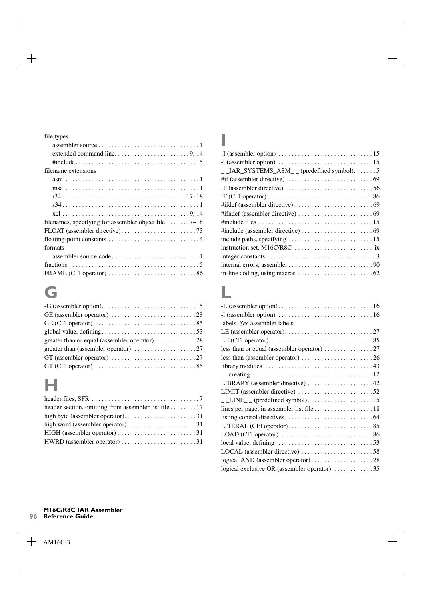| file types                                                                       |
|----------------------------------------------------------------------------------|
|                                                                                  |
|                                                                                  |
|                                                                                  |
| filename extensions                                                              |
|                                                                                  |
|                                                                                  |
|                                                                                  |
|                                                                                  |
|                                                                                  |
| filenames, specifying for assembler object file $\dots \dots 17-18$              |
|                                                                                  |
| floating-point constants $\dots \dots \dots \dots \dots \dots \dots \dots \dots$ |
| formats                                                                          |
|                                                                                  |
|                                                                                  |
|                                                                                  |

# **G**

| greater than or equal (assembler operator). 28                                                      |  |
|-----------------------------------------------------------------------------------------------------|--|
|                                                                                                     |  |
|                                                                                                     |  |
| GT (CFI operator) $\ldots \ldots \ldots \ldots \ldots \ldots \ldots \ldots \ldots \ldots \ldots 85$ |  |

# **H**

| $_LIAR_SYSTEMS\_ASM_{-}$ (predefined symbol)5                                                       |
|-----------------------------------------------------------------------------------------------------|
|                                                                                                     |
|                                                                                                     |
| IF (CFI operator) $\ldots \ldots \ldots \ldots \ldots \ldots \ldots \ldots \ldots \ldots \ldots 86$ |
|                                                                                                     |
|                                                                                                     |
|                                                                                                     |
|                                                                                                     |
|                                                                                                     |
|                                                                                                     |
|                                                                                                     |
|                                                                                                     |
|                                                                                                     |
|                                                                                                     |

## **L**

**I**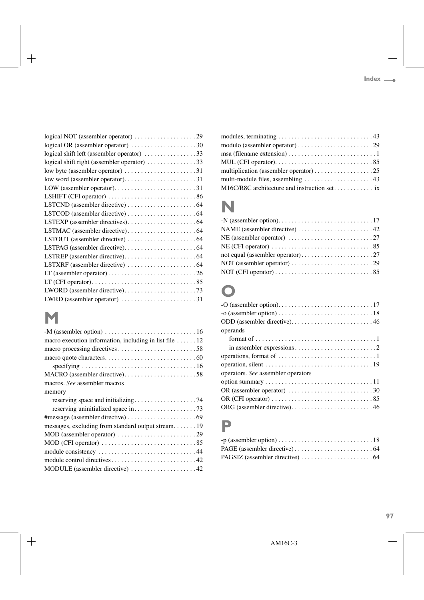| logical OR (assembler operator) 30          |
|---------------------------------------------|
| logical shift left (assembler operator) 33  |
| logical shift right (assembler operator) 33 |
| low byte (assembler operator) 31            |
|                                             |
|                                             |
|                                             |
|                                             |
|                                             |
|                                             |
|                                             |
|                                             |
|                                             |
|                                             |
|                                             |
|                                             |
|                                             |
|                                             |
| LWRD (assembler operator) 31                |

## **M**

| macro execution information, including in list file $\dots \dots 12$ |
|----------------------------------------------------------------------|
|                                                                      |
|                                                                      |
|                                                                      |
| MACRO (assembler directive)58                                        |
| macros. See assembler macros                                         |
| memory                                                               |
|                                                                      |
|                                                                      |
|                                                                      |
| messages, excluding from standard output stream19                    |
|                                                                      |
| MOD (CFI operator)<br>$Q \leq$                                       |

| MODULE (assembler directive) 42 |  |
|---------------------------------|--|

| MUL (CFI operator). $\ldots \ldots \ldots \ldots \ldots \ldots \ldots \ldots \ldots \ldots 85$ |  |
|------------------------------------------------------------------------------------------------|--|
|                                                                                                |  |
|                                                                                                |  |
|                                                                                                |  |

### **N**

| NE (assembler operator) $\dots \dots \dots \dots \dots \dots \dots \dots \dots \dots 27$ |  |
|------------------------------------------------------------------------------------------|--|
|                                                                                          |  |
|                                                                                          |  |
|                                                                                          |  |
|                                                                                          |  |

### **O**

| operands                                                                                              |
|-------------------------------------------------------------------------------------------------------|
| format of $\dots \dots \dots \dots \dots \dots \dots \dots \dots \dots \dots \dots \dots \dots \dots$ |
|                                                                                                       |
| operations, format of $\dots \dots \dots \dots \dots \dots \dots \dots \dots \dots \dots$             |
|                                                                                                       |
| operators. See assembler operators                                                                    |
|                                                                                                       |
|                                                                                                       |
|                                                                                                       |
|                                                                                                       |

### **P**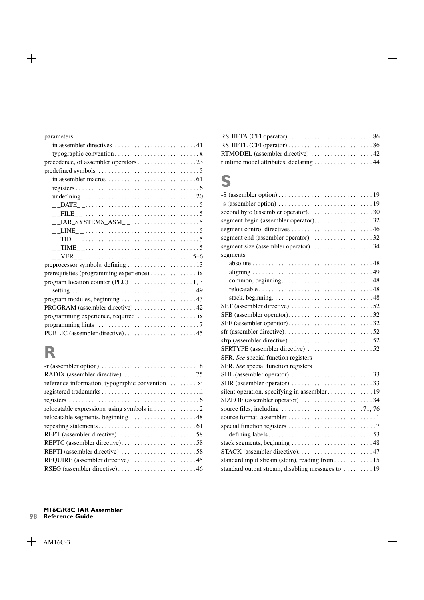| parameters                                                                                               |  |
|----------------------------------------------------------------------------------------------------------|--|
| in assembler directives 41                                                                               |  |
|                                                                                                          |  |
|                                                                                                          |  |
|                                                                                                          |  |
|                                                                                                          |  |
|                                                                                                          |  |
|                                                                                                          |  |
| $\_$ DATE $\_$ $\ldots$ $\ldots$ $\ldots$ $\ldots$ $\ldots$ $\ldots$ $\ldots$ $\ldots$ $\ldots$ $\ldots$ |  |
|                                                                                                          |  |
| $\_IAR_SYSTEMS\_ASM\_ \dots \dots \dots \dots \dots \dots$                                               |  |
| $\_$ LINE $\_$ $\ldots$ $\ldots$ $\ldots$ $\ldots$ $\ldots$ $\ldots$ $\ldots$ $\ldots$ $\ldots$          |  |
|                                                                                                          |  |
| $\_$ TIME $\_$ $\ldots$ $\ldots$ $\ldots$ $\ldots$ $\ldots$ $\ldots$ $\ldots$ $\ldots$ $\ldots$ $\ldots$ |  |
|                                                                                                          |  |
|                                                                                                          |  |
| prerequisites (programming experience) ix                                                                |  |
| program location counter (PLC) $\dots \dots \dots \dots \dots \dots$                                     |  |
|                                                                                                          |  |
|                                                                                                          |  |
|                                                                                                          |  |
| programming experience, required $\dots\dots\dots\dots\dots\dots$ ix                                     |  |
|                                                                                                          |  |
|                                                                                                          |  |
|                                                                                                          |  |

## **R**

| reference information, typographic convention $\dots \dots \dots$ xi |
|----------------------------------------------------------------------|
|                                                                      |
|                                                                      |
| relocatable expressions, using symbols in 2                          |
| relocatable segments, beginning 48                                   |
|                                                                      |
|                                                                      |
|                                                                      |
|                                                                      |
|                                                                      |
|                                                                      |
|                                                                      |

| runtime model attributes, declaring 44 |  |
|----------------------------------------|--|

#### **S**

| second byte (assembler operator)30                |
|---------------------------------------------------|
|                                                   |
|                                                   |
| segment end (assembler operator) 32               |
| segment size (assembler operator)34               |
| segments                                          |
|                                                   |
|                                                   |
|                                                   |
|                                                   |
|                                                   |
|                                                   |
|                                                   |
|                                                   |
|                                                   |
|                                                   |
| SFRTYPE (assembler directive) 52                  |
| SFR. See special function registers               |
| SFR. See special function registers               |
| SHL (assembler operator) 33                       |
|                                                   |
| silent operation, specifying in assembler 19      |
| SIZEOF (assembler operator) 34                    |
|                                                   |
|                                                   |
|                                                   |
|                                                   |
|                                                   |
|                                                   |
| standard input stream (stdin), reading from 15    |
| standard output stream, disabling messages to  19 |
|                                                   |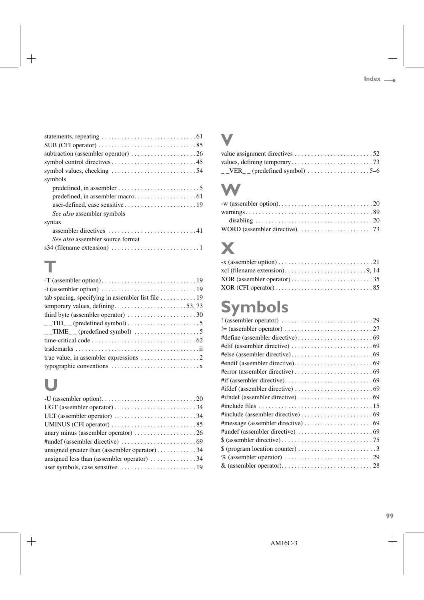| symbol values, checking $\dots \dots \dots \dots \dots \dots \dots \dots \dots 54$ |
|------------------------------------------------------------------------------------|
| symbols                                                                            |
| predefined, in assembler $\dots \dots \dots \dots \dots \dots \dots \dots$         |
|                                                                                    |
|                                                                                    |
| See also assembler symbols                                                         |
| syntax                                                                             |
|                                                                                    |
| <i>See also</i> assembler source format                                            |
|                                                                                    |

# **T**

| tab spacing, specifying in assembler list file $\dots \dots \dots \dots 19$ |
|-----------------------------------------------------------------------------|
| temporary values, defining53,73                                             |
| third byte (assembler operator) 30                                          |
|                                                                             |
|                                                                             |
|                                                                             |
|                                                                             |
|                                                                             |
|                                                                             |

## **U**

| UGT (assembler operator) 34                  |
|----------------------------------------------|
| ULT (assembler operator) 34                  |
|                                              |
| unary minus (assembler operator) 26          |
|                                              |
| unsigned greater than (assembler operator)34 |
| unsigned less than (assembler operator) 34   |
|                                              |
|                                              |

## **V**

| $\text{EVAL}$ (predefined symbol) 5–6 |  |
|---------------------------------------|--|

### **W**

## **X**

# **Symbols**

| #include files $\dots \dots \dots \dots \dots \dots \dots \dots \dots \dots \dots \dots \dots 15$ |
|---------------------------------------------------------------------------------------------------|
|                                                                                                   |
|                                                                                                   |
|                                                                                                   |
|                                                                                                   |
|                                                                                                   |
|                                                                                                   |
|                                                                                                   |
|                                                                                                   |